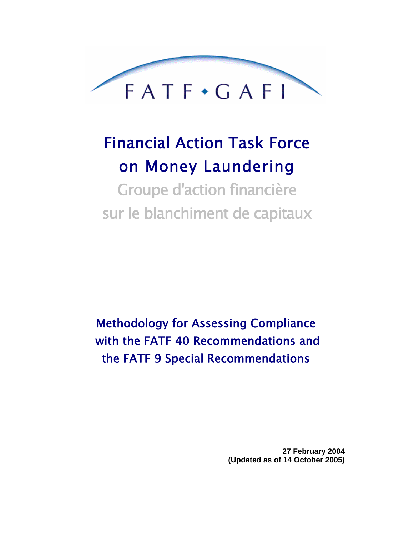

# Financial Action Task Force on Money Laundering

Groupe d'action financière sur le blanchiment de capitaux

Methodology for Assessing Compliance with the FATF 40 Recommendations and the FATF 9 Special Recommendations

> **27 February 2004 (Updated as of 14 October 2005)**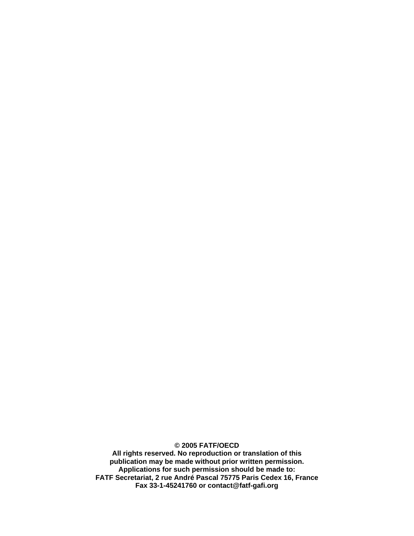**© 2005 FATF/OECD All rights reserved. No reproduction or translation of this publication may be made without prior written permission. Applications for such permission should be made to: FATF Secretariat, 2 rue André Pascal 75775 Paris Cedex 16, France Fax 33-1-45241760 or contact@fatf-gafi.org**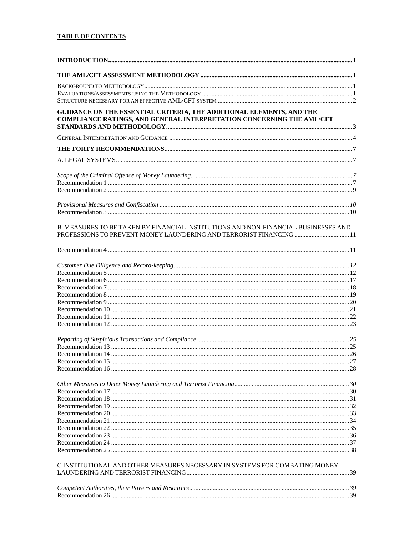# **TABLE OF CONTENTS**

| GUIDANCE ON THE ESSENTIAL CRITERIA, THE ADDITIONAL ELEMENTS, AND THE<br>COMPLIANCE RATINGS, AND GENERAL INTERPRETATION CONCERNING THE AML/CFT            |  |
|----------------------------------------------------------------------------------------------------------------------------------------------------------|--|
|                                                                                                                                                          |  |
|                                                                                                                                                          |  |
|                                                                                                                                                          |  |
|                                                                                                                                                          |  |
|                                                                                                                                                          |  |
|                                                                                                                                                          |  |
|                                                                                                                                                          |  |
|                                                                                                                                                          |  |
| B. MEASURES TO BE TAKEN BY FINANCIAL INSTITUTIONS AND NON-FINANCIAL BUSINESSES AND<br>PROFESSIONS TO PREVENT MONEY LAUNDERING AND TERRORIST FINANCING 11 |  |
|                                                                                                                                                          |  |
|                                                                                                                                                          |  |
|                                                                                                                                                          |  |
|                                                                                                                                                          |  |
|                                                                                                                                                          |  |
|                                                                                                                                                          |  |
|                                                                                                                                                          |  |
|                                                                                                                                                          |  |
|                                                                                                                                                          |  |
|                                                                                                                                                          |  |
|                                                                                                                                                          |  |
|                                                                                                                                                          |  |
|                                                                                                                                                          |  |
|                                                                                                                                                          |  |
|                                                                                                                                                          |  |
|                                                                                                                                                          |  |
|                                                                                                                                                          |  |
|                                                                                                                                                          |  |
|                                                                                                                                                          |  |
|                                                                                                                                                          |  |
|                                                                                                                                                          |  |
|                                                                                                                                                          |  |
|                                                                                                                                                          |  |
|                                                                                                                                                          |  |
| C.INSTITUTIONAL AND OTHER MEASURES NECESSARY IN SYSTEMS FOR COMBATING MONEY                                                                              |  |
|                                                                                                                                                          |  |
|                                                                                                                                                          |  |
|                                                                                                                                                          |  |
|                                                                                                                                                          |  |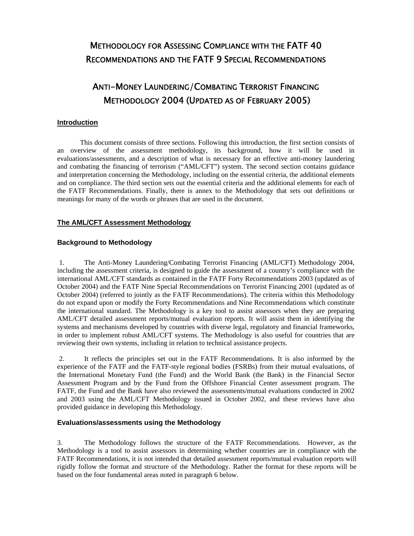# METHODOLOGY FOR ASSESSING COMPLIANCE WITH THE FATF 40 RECOMMENDATIONS AND THE FATF 9 SPECIAL RECOMMENDATIONS

# ANTI-MONEY LAUNDERING/COMBATING TERRORIST FINANCING METHODOLOGY 2004 (UPDATED AS OF FEBRUARY 2005)

# **Introduction**

This document consists of three sections. Following this introduction, the first section consists of an overview of the assessment methodology, its background, how it will be used in evaluations/assessments, and a description of what is necessary for an effective anti-money laundering and combating the financing of terrorism ("AML/CFT") system. The second section contains guidance and interpretation concerning the Methodology, including on the essential criteria, the additional elements and on compliance. The third section sets out the essential criteria and the additional elements for each of the FATF Recommendations. Finally, there is annex to the Methodology that sets out definitions or meanings for many of the words or phrases that are used in the document.

# **The AML/CFT Assessment Methodology**

# **Background to Methodology**

1. The Anti-Money Laundering/Combating Terrorist Financing (AML/CFT) Methodology 2004, including the assessment criteria, is designed to guide the assessment of a country's compliance with the international AML/CFT standards as contained in the FATF Forty Recommendations 2003 (updated as of October 2004) and the FATF Nine Special Recommendations on Terrorist Financing 2001 (updated as of October 2004) (referred to jointly as the FATF Recommendations). The criteria within this Methodology do not expand upon or modify the Forty Recommendations and Nine Recommendations which constitute the international standard. The Methodology is a key tool to assist assessors when they are preparing AML/CFT detailed assessment reports/mutual evaluation reports. It will assist them in identifying the systems and mechanisms developed by countries with diverse legal, regulatory and financial frameworks, in order to implement robust AML/CFT systems. The Methodology is also useful for countries that are reviewing their own systems, including in relation to technical assistance projects.

2. It reflects the principles set out in the FATF Recommendations. It is also informed by the experience of the FATF and the FATF-style regional bodies (FSRBs) from their mutual evaluations, of the International Monetary Fund (the Fund) and the World Bank (the Bank) in the Financial Sector Assessment Program and by the Fund from the Offshore Financial Center assessment program. The FATF, the Fund and the Bank have also reviewed the assessments/mutual evaluations conducted in 2002 and 2003 using the AML/CFT Methodology issued in October 2002, and these reviews have also provided guidance in developing this Methodology.

# **Evaluations/assessments using the Methodology**

3. The Methodology follows the structure of the FATF Recommendations. However, as the Methodology is a tool to assist assessors in determining whether countries are in compliance with the FATF Recommendations, it is not intended that detailed assessment reports/mutual evaluation reports will rigidly follow the format and structure of the Methodology. Rather the format for these reports will be based on the four fundamental areas noted in paragraph 6 below.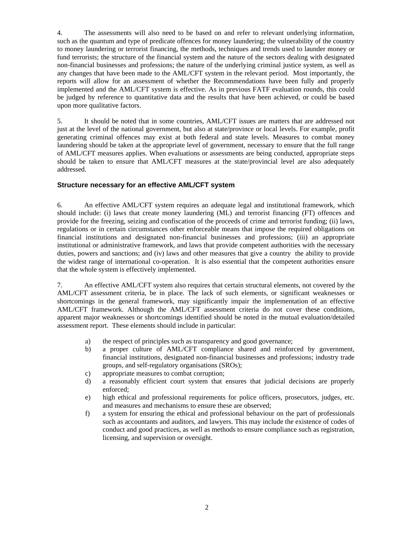4. The assessments will also need to be based on and refer to relevant underlying information, such as the quantum and type of predicate offences for money laundering; the vulnerability of the country to money laundering or terrorist financing, the methods, techniques and trends used to launder money or fund terrorists; the structure of the financial system and the nature of the sectors dealing with designated non-financial businesses and professions; the nature of the underlying criminal justice system, as well as any changes that have been made to the AML/CFT system in the relevant period. Most importantly, the reports will allow for an assessment of whether the Recommendations have been fully and properly implemented and the AML/CFT system is effective. As in previous FATF evaluation rounds, this could be judged by reference to quantitative data and the results that have been achieved, or could be based upon more qualitative factors.

5. It should be noted that in some countries, AML/CFT issues are matters that are addressed not just at the level of the national government, but also at state/province or local levels. For example, profit generating criminal offences may exist at both federal and state levels. Measures to combat money laundering should be taken at the appropriate level of government, necessary to ensure that the full range of AML/CFT measures applies. When evaluations or assessments are being conducted, appropriate steps should be taken to ensure that AML/CFT measures at the state/provincial level are also adequately addressed.

# **Structure necessary for an effective AML/CFT system**

6. An effective AML/CFT system requires an adequate legal and institutional framework, which should include: (i) laws that create money laundering (ML) and terrorist financing (FT) offences and provide for the freezing, seizing and confiscation of the proceeds of crime and terrorist funding; (ii) laws, regulations or in certain circumstances other enforceable means that impose the required obligations on financial institutions and designated non-financial businesses and professions; (iii) an appropriate institutional or administrative framework, and laws that provide competent authorities with the necessary duties, powers and sanctions; and (iv) laws and other measures that give a country the ability to provide the widest range of international co-operation. It is also essential that the competent authorities ensure that the whole system is effectively implemented.

7. An effective AML/CFT system also requires that certain structural elements, not covered by the AML/CFT assessment criteria, be in place. The lack of such elements, or significant weaknesses or shortcomings in the general framework, may significantly impair the implementation of an effective AML/CFT framework. Although the AML/CFT assessment criteria do not cover these conditions, apparent major weaknesses or shortcomings identified should be noted in the mutual evaluation/detailed assessment report. These elements should include in particular:

- a) the respect of principles such as transparency and good governance;
- b) a proper culture of AML/CFT compliance shared and reinforced by government, financial institutions, designated non-financial businesses and professions; industry trade groups, and self-regulatory organisations (SROs);
- c) appropriate measures to combat corruption;
- d) a reasonably efficient court system that ensures that judicial decisions are properly enforced;
- e) high ethical and professional requirements for police officers, prosecutors, judges, etc. and measures and mechanisms to ensure these are observed;
- f) a system for ensuring the ethical and professional behaviour on the part of professionals such as accountants and auditors, and lawyers. This may include the existence of codes of conduct and good practices, as well as methods to ensure compliance such as registration, licensing, and supervision or oversight.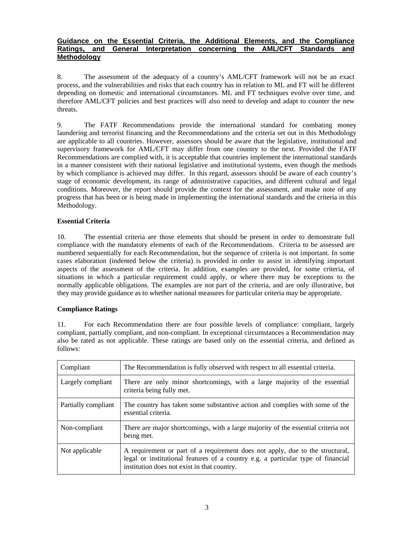# **Guidance on the Essential Criteria, the Additional Elements, and the Compliance Ratings, and General Interpretation concerning the AML/CFT Standards and Methodology**

8. The assessment of the adequacy of a country's AML/CFT framework will not be an exact process, and the vulnerabilities and risks that each country has in relation to ML and FT will be different depending on domestic and international circumstances. ML and FT techniques evolve over time, and therefore AML/CFT policies and best practices will also need to develop and adapt to counter the new threats.

9. The FATF Recommendations provide the international standard for combating money laundering and terrorist financing and the Recommendations and the criteria set out in this Methodology are applicable to all countries. However, assessors should be aware that the legislative, institutional and supervisory framework for AML/CFT may differ from one country to the next. Provided the FATF Recommendations are complied with, it is acceptable that countries implement the international standards in a manner consistent with their national legislative and institutional systems, even though the methods by which compliance is achieved may differ. In this regard, assessors should be aware of each country's stage of economic development, its range of administrative capacities, and different cultural and legal conditions. Moreover, the report should provide the context for the assessment, and make note of any progress that has been or is being made in implementing the international standards and the criteria in this Methodology.

# **Essential Criteria**

10. The essential criteria are those elements that should be present in order to demonstrate full compliance with the mandatory elements of each of the Recommendations. Criteria to be assessed are numbered sequentially for each Recommendation, but the sequence of criteria is not important. In some cases elaboration (indented below the criteria) is provided in order to assist in identifying important aspects of the assessment of the criteria. In addition, examples are provided, for some criteria, of situations in which a particular requirement could apply, or where there may be exceptions to the normally applicable obligations. The examples are not part of the criteria, and are only illustrative, but they may provide guidance as to whether national measures for particular criteria may be appropriate.

# **Compliance Ratings**

11. For each Recommendation there are four possible levels of compliance: compliant, largely compliant, partially compliant, and non-compliant. In exceptional circumstances a Recommendation may also be rated as not applicable. These ratings are based only on the essential criteria, and defined as follows:

| Compliant           | The Recommendation is fully observed with respect to all essential criteria.                                                                                                                                     |
|---------------------|------------------------------------------------------------------------------------------------------------------------------------------------------------------------------------------------------------------|
| Largely compliant   | There are only minor shortcomings, with a large majority of the essential<br>criteria being fully met.                                                                                                           |
| Partially compliant | The country has taken some substantive action and complies with some of the<br>essential criteria.                                                                                                               |
| Non-compliant       | There are major shortcomings, with a large majority of the essential criteria not<br>being met.                                                                                                                  |
| Not applicable      | A requirement or part of a requirement does not apply, due to the structural,<br>legal or institutional features of a country e.g. a particular type of financial<br>institution does not exist in that country. |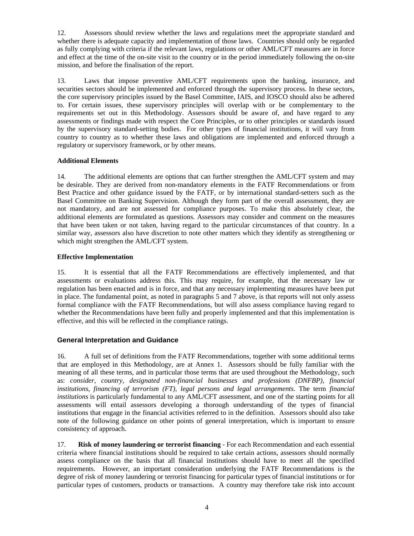12. Assessors should review whether the laws and regulations meet the appropriate standard and whether there is adequate capacity and implementation of those laws. Countries should only be regarded as fully complying with criteria if the relevant laws, regulations or other AML/CFT measures are in force and effect at the time of the on-site visit to the country or in the period immediately following the on-site mission, and before the finalisation of the report.

13. Laws that impose preventive AML/CFT requirements upon the banking, insurance, and securities sectors should be implemented and enforced through the supervisory process. In these sectors, the core supervisory principles issued by the Basel Committee, IAIS, and IOSCO should also be adhered to. For certain issues, these supervisory principles will overlap with or be complementary to the requirements set out in this Methodology. Assessors should be aware of, and have regard to any assessments or findings made with respect the Core Principles, or to other principles or standards issued by the supervisory standard-setting bodies. For other types of financial institutions, it will vary from country to country as to whether these laws and obligations are implemented and enforced through a regulatory or supervisory framework, or by other means.

# **Additional Elements**

14. The additional elements are options that can further strengthen the AML/CFT system and may be desirable. They are derived from non-mandatory elements in the FATF Recommendations or from Best Practice and other guidance issued by the FATF, or by international standard-setters such as the Basel Committee on Banking Supervision. Although they form part of the overall assessment, they are not mandatory, and are not assessed for compliance purposes. To make this absolutely clear, the additional elements are formulated as questions. Assessors may consider and comment on the measures that have been taken or not taken, having regard to the particular circumstances of that country. In a similar way, assessors also have discretion to note other matters which they identify as strengthening or which might strengthen the AML/CFT system.

# **Effective Implementation**

15. It is essential that all the FATF Recommendations are effectively implemented, and that assessments or evaluations address this. This may require, for example, that the necessary law or regulation has been enacted and is in force, and that any necessary implementing measures have been put in place. The fundamental point, as noted in paragraphs 5 and 7 above, is that reports will not only assess formal compliance with the FATF Recommendations, but will also assess compliance having regard to whether the Recommendations have been fully and properly implemented and that this implementation is effective, and this will be reflected in the compliance ratings.

# **General Interpretation and Guidance**

16. A full set of definitions from the FATF Recommendations, together with some additional terms that are employed in this Methodology, are at Annex 1. Assessors should be fully familiar with the meaning of all these terms, and in particular those terms that are used throughout the Methodology, such as: *consider, country, designated non-financial businesses and professions (DNFBP), financial institutions, financing of terrorism (FT), legal persons and legal arrangements*. The term *financial institutions* is particularly fundamental to any AML/CFT assessment, and one of the starting points for all assessments will entail assessors developing a thorough understanding of the types of financial institutions that engage in the financial activities referred to in the definition. Assessors should also take note of the following guidance on other points of general interpretation, which is important to ensure consistency of approach.

17. **Risk of money laundering or terrorist financing** - For each Recommendation and each essential criteria where financial institutions should be required to take certain actions, assessors should normally assess compliance on the basis that all financial institutions should have to meet all the specified requirements. However, an important consideration underlying the FATF Recommendations is the degree of risk of money laundering or terrorist financing for particular types of financial institutions or for particular types of customers, products or transactions. A country may therefore take risk into account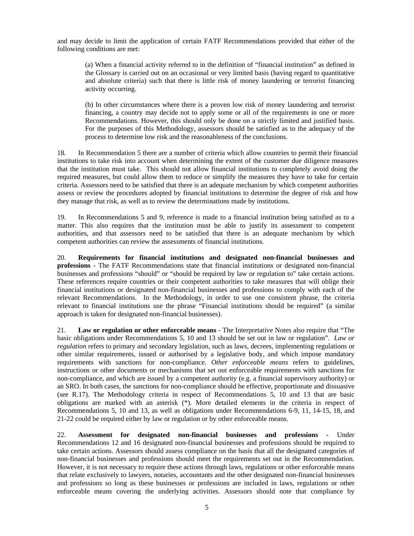and may decide to limit the application of certain FATF Recommendations provided that either of the following conditions are met:

(a) When a financial activity referred to in the definition of "financial institution" as defined in the Glossary is carried out on an occasional or very limited basis (having regard to quantitative and absolute criteria) such that there is little risk of money laundering or terrorist financing activity occurring.

(b) In other circumstances where there is a proven low risk of money laundering and terrorist financing, a country may decide not to apply some or all of the requirements in one or more Recommendations. However, this should only be done on a strictly limited and justified basis. For the purposes of this Methodology, assessors should be satisfied as to the adequacy of the process to determine low risk and the reasonableness of the conclusions.

18. In Recommendation 5 there are a number of criteria which allow countries to permit their financial institutions to take risk into account when determining the extent of the customer due diligence measures that the institution must take. This should not allow financial institutions to completely avoid doing the required measures, but could allow them to reduce or simplify the measures they have to take for certain criteria. Assessors need to be satisfied that there is an adequate mechanism by which competent authorities assess or review the procedures adopted by financial institutions to determine the degree of risk and how they manage that risk, as well as to review the determinations made by institutions.

19. In Recommendations 5 and 9, reference is made to a financial institution being satisfied as to a matter. This also requires that the institution must be able to justify its assessment to competent authorities, and that assessors need to be satisfied that there is an adequate mechanism by which competent authorities can review the assessments of financial institutions.

20. **Requirements for financial institutions and designated non-financial businesses and professions** - The FATF Recommendations state that financial institutions or designated non-financial businesses and professions "should" or "should be required by law or regulation to" take certain actions. These references require countries or their competent authorities to take measures that will oblige their financial institutions or designated non-financial businesses and professions to comply with each of the relevant Recommendations. In the Methodology, in order to use one consistent phrase, the criteria relevant to financial institutions use the phrase "Financial institutions should be required" (a similar approach is taken for designated non-financial businesses).

21. **Law or regulation or other enforceable means** - The Interpretative Notes also require that "The basic obligations under Recommendations 5, 10 and 13 should be set out in law or regulation". *Law or regulation* refers to primary and secondary legislation, such as laws, decrees, implementing regulations or other similar requirements, issued or authorised by a legislative body, and which impose mandatory requirements with sanctions for non-compliance. *Other enforceable means* refers to guidelines, instructions or other documents or mechanisms that set out enforceable requirements with sanctions for non-compliance, and which are issued by a competent authority (e.g. a financial supervisory authority) or an SRO. In both cases, the sanctions for non-compliance should be effective, proportionate and dissuasive (see R.17). The Methodology criteria in respect of Recommendations 5, 10 and 13 that are basic obligations are marked with an asterisk (\*). More detailed elements in the criteria in respect of Recommendations 5, 10 and 13, as well as obligations under Recommendations 6-9, 11, 14-15, 18, and 21-22 could be required either by law or regulation or by other enforceable means.

22. **Assessment for designated non-financial businesses and professions -** Under Recommendations 12 and 16 designated non-financial businesses and professions should be required to take certain actions. Assessors should assess compliance on the basis that all the designated categories of non-financial businesses and professions should meet the requirements set out in the Recommendation. However, it is not necessary to require these actions through laws, regulations or other enforceable means that relate exclusively to lawyers, notaries, accountants and the other designated non-financial businesses and professions so long as these businesses or professions are included in laws, regulations or other enforceable means covering the underlying activities. Assessors should note that compliance by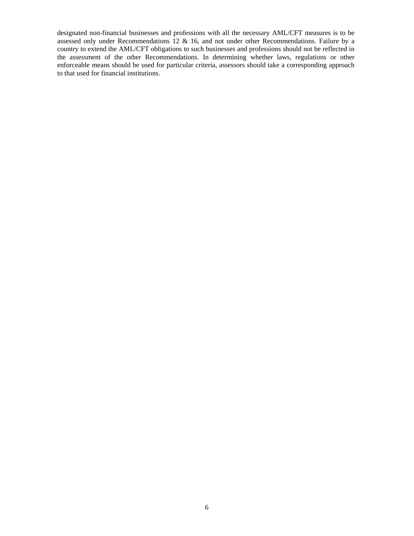designated non-financial businesses and professions with all the necessary AML/CFT measures is to be assessed only under Recommendations 12 & 16, and not under other Recommendations. Failure by a country to extend the AML/CFT obligations to such businesses and professions should not be reflected in the assessment of the other Recommendations. In determining whether laws, regulations or other enforceable means should be used for particular criteria, assessors should take a corresponding approach to that used for financial institutions.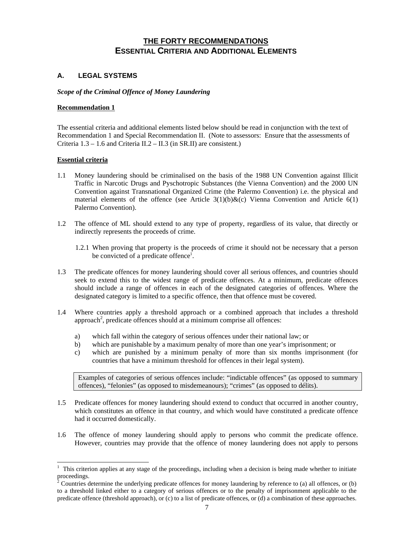# **THE FORTY RECOMMENDATIONS ESSENTIAL CRITERIA AND ADDITIONAL ELEMENTS**

# **A. LEGAL SYSTEMS**

# *Scope of the Criminal Offence of Money Laundering*

# **Recommendation 1**

The essential criteria and additional elements listed below should be read in conjunction with the text of Recommendation 1 and Special Recommendation II. (Note to assessors: Ensure that the assessments of Criteria 1.3 – 1.6 and Criteria II.2 – II.3 (in SR.II) are consistent.)

# **Essential criteria**

 $\overline{a}$ 

- 1.1 Money laundering should be criminalised on the basis of the 1988 UN Convention against Illicit Traffic in Narcotic Drugs and Pyschotropic Substances (the Vienna Convention) and the 2000 UN Convention against Transnational Organized Crime (the Palermo Convention) i.e. the physical and material elements of the offence (see Article  $3(1)(b)\&c)$  Vienna Convention and Article 6(1) Palermo Convention).
- 1.2 The offence of ML should extend to any type of property, regardless of its value, that directly or indirectly represents the proceeds of crime.
	- 1.2.1 When proving that property is the proceeds of crime it should not be necessary that a person be convicted of a predicate offence<sup>1</sup>.
- 1.3 The predicate offences for money laundering should cover all serious offences, and countries should seek to extend this to the widest range of predicate offences. At a minimum, predicate offences should include a range of offences in each of the designated categories of offences. Where the designated category is limited to a specific offence, then that offence must be covered.
- 1.4 Where countries apply a threshold approach or a combined approach that includes a threshold approach<sup>2</sup>, predicate offences should at a minimum comprise all offences:
	- a) which fall within the category of serious offences under their national law; or
	- b) which are punishable by a maximum penalty of more than one year's imprisonment; or
	- c) which are punished by a minimum penalty of more than six months imprisonment (for countries that have a minimum threshold for offences in their legal system).

 Examples of categories of serious offences include: "indictable offences" (as opposed to summary offences), "felonies" (as opposed to misdemeanours); "crimes" (as opposed to délits).

- 1.5 Predicate offences for money laundering should extend to conduct that occurred in another country, which constitutes an offence in that country, and which would have constituted a predicate offence had it occurred domestically.
- 1.6 The offence of money laundering should apply to persons who commit the predicate offence. However, countries may provide that the offence of money laundering does not apply to persons

<sup>1</sup> This criterion applies at any stage of the proceedings, including when a decision is being made whether to initiate proceedings.<br><sup>2</sup> Countries d

Countries determine the underlying predicate offences for money laundering by reference to (a) all offences, or (b) to a threshold linked either to a category of serious offences or to the penalty of imprisonment applicable to the predicate offence (threshold approach), or (c) to a list of predicate offences, or (d) a combination of these approaches.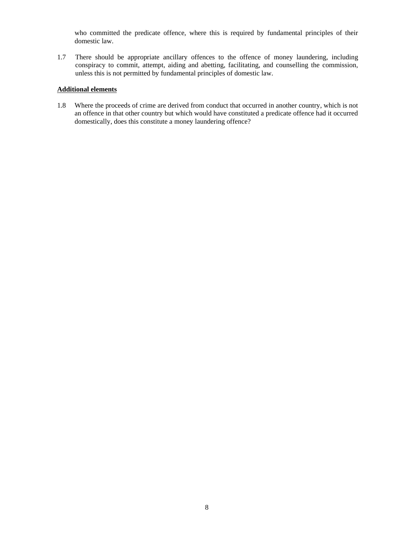who committed the predicate offence, where this is required by fundamental principles of their domestic law.

1.7 There should be appropriate ancillary offences to the offence of money laundering, including conspiracy to commit, attempt, aiding and abetting, facilitating, and counselling the commission, unless this is not permitted by fundamental principles of domestic law.

# **Additional elements**

1.8 Where the proceeds of crime are derived from conduct that occurred in another country, which is not an offence in that other country but which would have constituted a predicate offence had it occurred domestically, does this constitute a money laundering offence?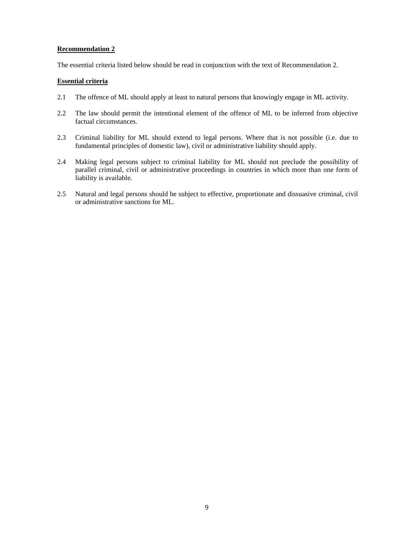The essential criteria listed below should be read in conjunction with the text of Recommendation 2.

# **Essential criteria**

- 2.1 The offence of ML should apply at least to natural persons that knowingly engage in ML activity.
- 2.2 The law should permit the intentional element of the offence of ML to be inferred from objective factual circumstances.
- 2.3 Criminal liability for ML should extend to legal persons. Where that is not possible (i.e. due to fundamental principles of domestic law), civil or administrative liability should apply.
- 2.4 Making legal persons subject to criminal liability for ML should not preclude the possibility of parallel criminal, civil or administrative proceedings in countries in which more than one form of liability is available.
- 2.5 Natural and legal persons should be subject to effective, proportionate and dissuasive criminal, civil or administrative sanctions for ML.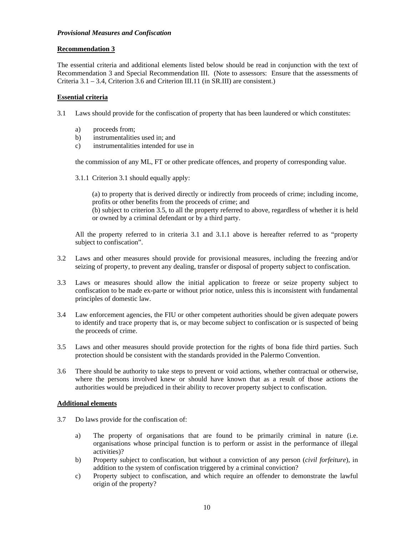#### *Provisional Measures and Confiscation*

# **Recommendation 3**

The essential criteria and additional elements listed below should be read in conjunction with the text of Recommendation 3 and Special Recommendation III. (Note to assessors: Ensure that the assessments of Criteria 3.1 – 3.4, Criterion 3.6 and Criterion III.11 (in SR.III) are consistent.)

# **Essential criteria**

3.1 Laws should provide for the confiscation of property that has been laundered or which constitutes:

- a) proceeds from;
- b) instrumentalities used in; and
- c) instrumentalities intended for use in

the commission of any ML, FT or other predicate offences, and property of corresponding value.

3.1.1 Criterion 3.1 should equally apply:

 (a) to property that is derived directly or indirectly from proceeds of crime; including income, profits or other benefits from the proceeds of crime; and

 (b) subject to criterion 3.5, to all the property referred to above, regardless of whether it is held or owned by a criminal defendant or by a third party.

 All the property referred to in criteria 3.1 and 3.1.1 above is hereafter referred to as "property subject to confiscation".

- 3.2 Laws and other measures should provide for provisional measures, including the freezing and/or seizing of property, to prevent any dealing, transfer or disposal of property subject to confiscation.
- 3.3 Laws or measures should allow the initial application to freeze or seize property subject to confiscation to be made ex-parte or without prior notice, unless this is inconsistent with fundamental principles of domestic law.
- 3.4 Law enforcement agencies, the FIU or other competent authorities should be given adequate powers to identify and trace property that is, or may become subject to confiscation or is suspected of being the proceeds of crime.
- 3.5 Laws and other measures should provide protection for the rights of bona fide third parties. Such protection should be consistent with the standards provided in the Palermo Convention.
- 3.6 There should be authority to take steps to prevent or void actions, whether contractual or otherwise, where the persons involved knew or should have known that as a result of those actions the authorities would be prejudiced in their ability to recover property subject to confiscation.

# **Additional elements**

- 3.7 Do laws provide for the confiscation of:
	- a) The property of organisations that are found to be primarily criminal in nature (i.e. organisations whose principal function is to perform or assist in the performance of illegal activities)?
	- b) Property subject to confiscation, but without a conviction of any person (*civil forfeiture*), in addition to the system of confiscation triggered by a criminal conviction?
	- c) Property subject to confiscation, and which require an offender to demonstrate the lawful origin of the property?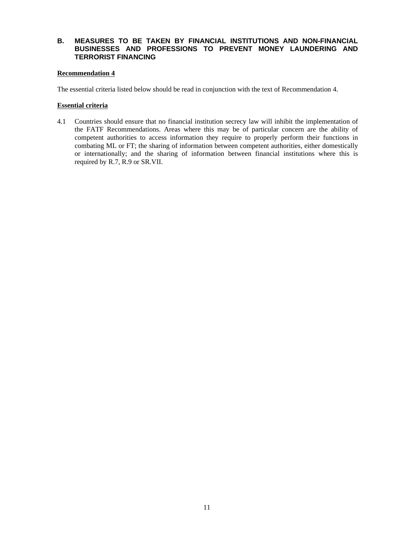# **B. MEASURES TO BE TAKEN BY FINANCIAL INSTITUTIONS AND NON-FINANCIAL BUSINESSES AND PROFESSIONS TO PREVENT MONEY LAUNDERING AND TERRORIST FINANCING**

# **Recommendation 4**

The essential criteria listed below should be read in conjunction with the text of Recommendation 4.

#### **Essential criteria**

4.1 Countries should ensure that no financial institution secrecy law will inhibit the implementation of the FATF Recommendations. Areas where this may be of particular concern are the ability of competent authorities to access information they require to properly perform their functions in combating ML or FT; the sharing of information between competent authorities, either domestically or internationally; and the sharing of information between financial institutions where this is required by R.7, R.9 or SR.VII.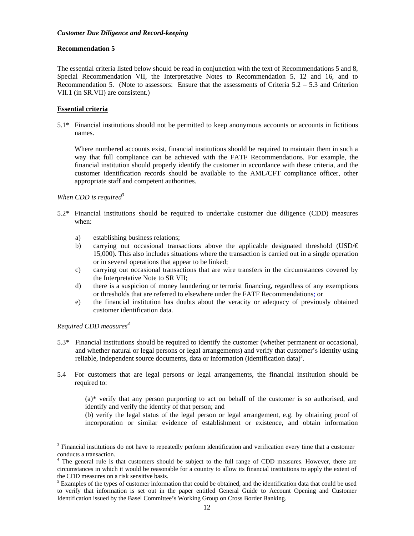The essential criteria listed below should be read in conjunction with the text of Recommendations 5 and 8, Special Recommendation VII, the Interpretative Notes to Recommendation 5, 12 and 16, and to Recommendation 5. (Note to assessors: Ensure that the assessments of Criteria  $5.2 - 5.3$  and Criterion VII.1 (in SR.VII) are consistent.)

# **Essential criteria**

5.1\* Financial institutions should not be permitted to keep anonymous accounts or accounts in fictitious names.

Where numbered accounts exist, financial institutions should be required to maintain them in such a way that full compliance can be achieved with the FATF Recommendations. For example, the financial institution should properly identify the customer in accordance with these criteria, and the customer identification records should be available to the AML/CFT compliance officer, other appropriate staff and competent authorities.

# *When CDD is required<sup>3</sup>*

- 5.2\* Financial institutions should be required to undertake customer due diligence (CDD) measures when:
	- a) establishing business relations;
	- b) carrying out occasional transactions above the applicable designated threshold  $(USD/\epsilon)$ 15,000). This also includes situations where the transaction is carried out in a single operation or in several operations that appear to be linked;
	- c) carrying out occasional transactions that are wire transfers in the circumstances covered by the Interpretative Note to SR VII;
	- d) there is a suspicion of money laundering or terrorist financing, regardless of any exemptions or thresholds that are referred to elsewhere under the FATF Recommendations; or
	- e) the financial institution has doubts about the veracity or adequacy of previously obtained customer identification data.

# *Required CDD measures<sup>4</sup>*

l

- 5.3\* Financial institutions should be required to identify the customer (whether permanent or occasional, and whether natural or legal persons or legal arrangements) and verify that customer's identity using reliable, independent source documents, data or information (identification data)<sup>5</sup>.
- 5.4 For customers that are legal persons or legal arrangements, the financial institution should be required to:

 (a)\* verify that any person purporting to act on behalf of the customer is so authorised, and identify and verify the identity of that person; and

 (b) verify the legal status of the legal person or legal arrangement, e.g. by obtaining proof of incorporation or similar evidence of establishment or existence, and obtain information

<sup>3</sup> Financial institutions do not have to repeatedly perform identification and verification every time that a customer conducts a transaction. 4 The general rule is that customers should be subject to the full range of CDD measures. However, there are

circumstances in which it would be reasonable for a country to allow its financial institutions to apply the extent of the CDD measures on a risk sensitive basis.

 $<sup>5</sup>$  Examples of the types of customer information that could be obtained, and the identification data that could be used</sup> to verify that information is set out in the paper entitled General Guide to Account Opening and Customer Identification issued by the Basel Committee's Working Group on Cross Border Banking.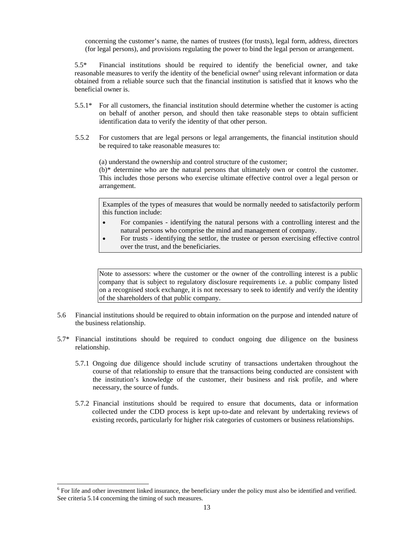concerning the customer's name, the names of trustees (for trusts), legal form, address, directors (for legal persons), and provisions regulating the power to bind the legal person or arrangement.

5.5\* Financial institutions should be required to identify the beneficial owner, and take reasonable measures to verify the identity of the beneficial owner<sup>6</sup> using relevant information or data obtained from a reliable source such that the financial institution is satisfied that it knows who the beneficial owner is.

- 5.5.1\* For all customers, the financial institution should determine whether the customer is acting on behalf of another person, and should then take reasonable steps to obtain sufficient identification data to verify the identity of that other person.
- 5.5.2 For customers that are legal persons or legal arrangements, the financial institution should be required to take reasonable measures to:

(a) understand the ownership and control structure of the customer;

 (b)\* determine who are the natural persons that ultimately own or control the customer. This includes those persons who exercise ultimate effective control over a legal person or arrangement.

Examples of the types of measures that would be normally needed to satisfactorily perform this function include:

- For companies identifying the natural persons with a controlling interest and the natural persons who comprise the mind and management of company.
- For trusts identifying the settlor, the trustee or person exercising effective control over the trust, and the beneficiaries.

Note to assessors: where the customer or the owner of the controlling interest is a public company that is subject to regulatory disclosure requirements i.e. a public company listed on a recognised stock exchange, it is not necessary to seek to identify and verify the identity of the shareholders of that public company.

- 5.6 Financial institutions should be required to obtain information on the purpose and intended nature of the business relationship.
- 5.7\* Financial institutions should be required to conduct ongoing due diligence on the business relationship.
	- 5.7.1 Ongoing due diligence should include scrutiny of transactions undertaken throughout the course of that relationship to ensure that the transactions being conducted are consistent with the institution's knowledge of the customer, their business and risk profile, and where necessary, the source of funds.
	- 5.7.2 Financial institutions should be required to ensure that documents, data or information collected under the CDD process is kept up-to-date and relevant by undertaking reviews of existing records, particularly for higher risk categories of customers or business relationships.

l

 $6$  For life and other investment linked insurance, the beneficiary under the policy must also be identified and verified. See criteria 5.14 concerning the timing of such measures.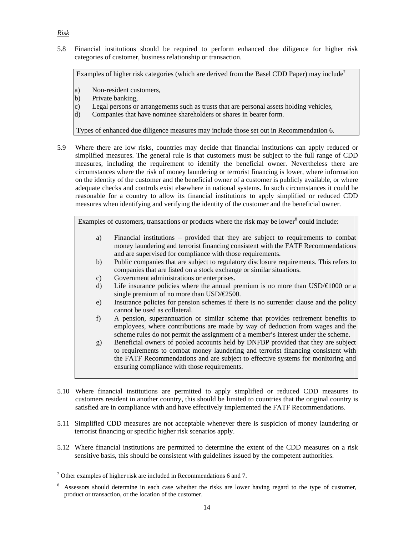5.8 Financial institutions should be required to perform enhanced due diligence for higher risk categories of customer, business relationship or transaction.

Examples of higher risk categories (which are derived from the Basel CDD Paper) may include<sup>7</sup>

- a) Non-resident customers,
- b) Private banking,
- c) Legal persons or arrangements such as trusts that are personal assets holding vehicles,
- d) Companies that have nominee shareholders or shares in bearer form.

Types of enhanced due diligence measures may include those set out in Recommendation 6.

5.9 Where there are low risks, countries may decide that financial institutions can apply reduced or simplified measures. The general rule is that customers must be subject to the full range of CDD measures, including the requirement to identify the beneficial owner. Nevertheless there are circumstances where the risk of money laundering or terrorist financing is lower, where information on the identity of the customer and the beneficial owner of a customer is publicly available, or where adequate checks and controls exist elsewhere in national systems. In such circumstances it could be reasonable for a country to allow its financial institutions to apply simplified or reduced CDD measures when identifying and verifying the identity of the customer and the beneficial owner.

Examples of customers, transactions or products where the risk may be lower<sup>8</sup> could include:

- a) Financial institutions provided that they are subject to requirements to combat money laundering and terrorist financing consistent with the FATF Recommendations and are supervised for compliance with those requirements.
- b) Public companies that are subject to regulatory disclosure requirements. This refers to companies that are listed on a stock exchange or similar situations.
- c) Government administrations or enterprises.
- d) Life insurance policies where the annual premium is no more than  $USD/€1000$  or a single premium of no more than USD/€2500.
- e) Insurance policies for pension schemes if there is no surrender clause and the policy cannot be used as collateral.
- f) A pension, superannuation or similar scheme that provides retirement benefits to employees, where contributions are made by way of deduction from wages and the scheme rules do not permit the assignment of a member's interest under the scheme.
- g) Beneficial owners of pooled accounts held by DNFBP provided that they are subject to requirements to combat money laundering and terrorist financing consistent with the FATF Recommendations and are subject to effective systems for monitoring and ensuring compliance with those requirements.
- 5.10 Where financial institutions are permitted to apply simplified or reduced CDD measures to customers resident in another country, this should be limited to countries that the original country is satisfied are in compliance with and have effectively implemented the FATF Recommendations.
- 5.11 Simplified CDD measures are not acceptable whenever there is suspicion of money laundering or terrorist financing or specific higher risk scenarios apply.
- 5.12 Where financial institutions are permitted to determine the extent of the CDD measures on a risk sensitive basis, this should be consistent with guidelines issued by the competent authorities.

# *Risk*

l  $7$  Other examples of higher risk are included in Recommendations 6 and 7.

<sup>8</sup> Assessors should determine in each case whether the risks are lower having regard to the type of customer, product or transaction, or the location of the customer.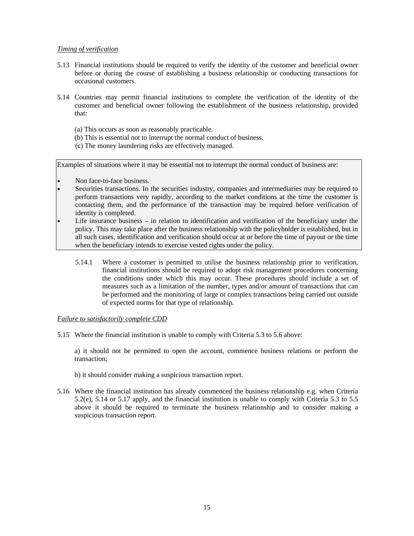#### *Timing of verification*

- 5.13 Financial institutions should be required to verify the identity of the customer and beneficial owner before or during the course of establishing a business relationship or conducting transactions for occasional customers.
- 5.14 Countries may permit financial institutions to complete the verification of the identity of the customer and beneficial owner following the establishment of the business relationship, provided that:
	- (a) This occurs as soon as reasonably practicable.
	- (b) This is essential not to interrupt the normal conduct of business.
	- (c) The money laundering risks are effectively managed.

Examples of situations where it may be essential not to interrupt the normal conduct of business are:

- Non face-to-face business.
- Securities transactions. In the securities industry, companies and intermediaries may be required to perform transactions very rapidly, according to the market conditions at the time the customer is contacting them, and the performance of the transaction may be required before verification of identity is completed.
- Life insurance business in relation to identification and verification of the beneficiary under the policy. This may take place after the business relationship with the policyholder is established, but in all such cases, identification and verification should occur at or before the time of payout or the time when the beneficiary intends to exercise vested rights under the policy.
	- 5.14.1 Where a customer is permitted to utilise the business relationship prior to verification, financial institutions should be required to adopt risk management procedures concerning the conditions under which this may occur. These procedures should include a set of measures such as a limitation of the number, types and/or amount of transactions that can be performed and the monitoring of large or complex transactions being carried out outside of expected norms for that type of relationship.

#### *Failure to satisfactorily complete CDD*

5.15 Where the financial institution is unable to comply with Criteria 5.3 to 5.6 above:

 a) it should not be permitted to open the account, commence business relations or perform the transaction;

- b) it should consider making a suspicious transaction report.
- 5.16 Where the financial institution has already commenced the business relationship e.g. when Criteria 5.2(e), 5.14 or 5.17 apply, and the financial institution is unable to comply with Criteria 5.3 to 5.5 above it should be required to terminate the business relationship and to consider making a suspicious transaction report.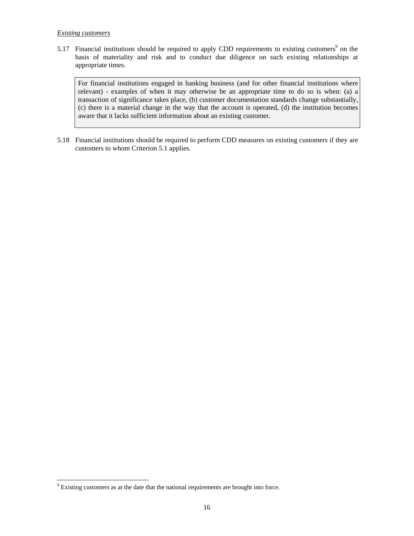# *Existing customers*

5.17 Financial institutions should be required to apply CDD requirements to existing customers<sup>9</sup> on the basis of materiality and risk and to conduct due diligence on such existing relationships at appropriate times.

For financial institutions engaged in banking business (and for other financial institutions where relevant) - examples of when it may otherwise be an appropriate time to do so is when: (a) a transaction of significance takes place, (b) customer documentation standards change substantially, (c) there is a material change in the way that the account is operated, (d) the institution becomes aware that it lacks sufficient information about an existing customer.

5.18 Financial institutions should be required to perform CDD measures on existing customers if they are customers to whom Criterion 5.1 applies.

 9 Existing customers as at the date that the national requirements are brought into force.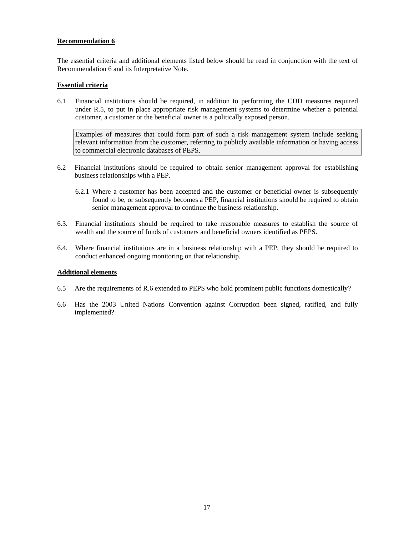The essential criteria and additional elements listed below should be read in conjunction with the text of Recommendation 6 and its Interpretative Note.

#### **Essential criteria**

6.1 Financial institutions should be required, in addition to performing the CDD measures required under R.5, to put in place appropriate risk management systems to determine whether a potential customer, a customer or the beneficial owner is a politically exposed person.

 Examples of measures that could form part of such a risk management system include seeking relevant information from the customer, referring to publicly available information or having access to commercial electronic databases of PEPS.

- 6.2 Financial institutions should be required to obtain senior management approval for establishing business relationships with a PEP.
	- 6.2.1 Where a customer has been accepted and the customer or beneficial owner is subsequently found to be, or subsequently becomes a PEP, financial institutions should be required to obtain senior management approval to continue the business relationship.
- 6.3. Financial institutions should be required to take reasonable measures to establish the source of wealth and the source of funds of customers and beneficial owners identified as PEPS.
- 6.4. Where financial institutions are in a business relationship with a PEP, they should be required to conduct enhanced ongoing monitoring on that relationship.

#### **Additional elements**

- 6.5 Are the requirements of R.6 extended to PEPS who hold prominent public functions domestically?
- 6.6 Has the 2003 United Nations Convention against Corruption been signed, ratified, and fully implemented?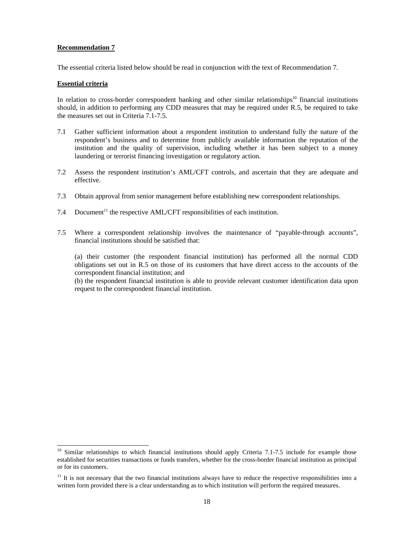The essential criteria listed below should be read in conjunction with the text of Recommendation 7.

#### **Essential criteria**

l

In relation to cross-border correspondent banking and other similar relationships<sup>10</sup> financial institutions should, in addition to performing any CDD measures that may be required under R.5, be required to take the measures set out in Criteria 7.1-7.5.

- 7.1 Gather sufficient information about a respondent institution to understand fully the nature of the respondent's business and to determine from publicly available information the reputation of the institution and the quality of supervision, including whether it has been subject to a money laundering or terrorist financing investigation or regulatory action.
- 7.2 Assess the respondent institution's AML/CFT controls, and ascertain that they are adequate and effective.
- 7.3 Obtain approval from senior management before establishing new correspondent relationships.
- 7.4 Document<sup>11</sup> the respective AML/CFT responsibilities of each institution.
- 7.5 Where a correspondent relationship involves the maintenance of "payable-through accounts", financial institutions should be satisfied that:

 (a) their customer (the respondent financial institution) has performed all the normal CDD obligations set out in R.5 on those of its customers that have direct access to the accounts of the correspondent financial institution; and

 (b) the respondent financial institution is able to provide relevant customer identification data upon request to the correspondent financial institution.

<sup>&</sup>lt;sup>10</sup> Similar relationships to which financial institutions should apply Criteria 7.1-7.5 include for example those established for securities transactions or funds transfers, whether for the cross-border financial institution as principal or for its customers.

 $11$  It is not necessary that the two financial institutions always have to reduce the respective responsibilities into a written form provided there is a clear understanding as to which institution will perform the required measures.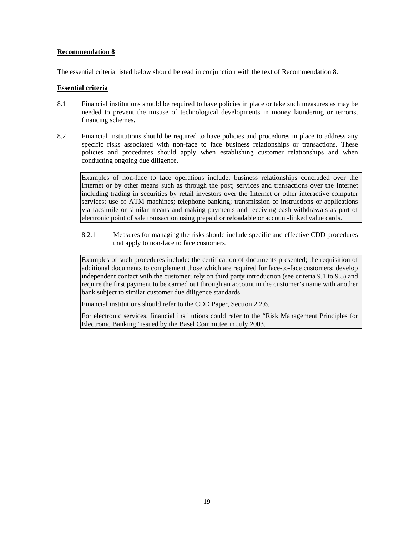The essential criteria listed below should be read in conjunction with the text of Recommendation 8.

#### **Essential criteria**

- 8.1 Financial institutions should be required to have policies in place or take such measures as may be needed to prevent the misuse of technological developments in money laundering or terrorist financing schemes.
- 8.2 Financial institutions should be required to have policies and procedures in place to address any specific risks associated with non-face to face business relationships or transactions. These policies and procedures should apply when establishing customer relationships and when conducting ongoing due diligence.

Examples of non-face to face operations include: business relationships concluded over the Internet or by other means such as through the post; services and transactions over the Internet including trading in securities by retail investors over the Internet or other interactive computer services; use of ATM machines; telephone banking; transmission of instructions or applications via facsimile or similar means and making payments and receiving cash withdrawals as part of electronic point of sale transaction using prepaid or reloadable or account-linked value cards.

8.2.1 Measures for managing the risks should include specific and effective CDD procedures that apply to non-face to face customers.

Examples of such procedures include: the certification of documents presented; the requisition of additional documents to complement those which are required for face-to-face customers; develop independent contact with the customer; rely on third party introduction (see criteria 9.1 to 9.5) and require the first payment to be carried out through an account in the customer's name with another bank subject to similar customer due diligence standards.

Financial institutions should refer to the CDD Paper, Section 2.2.6.

For electronic services, financial institutions could refer to the "Risk Management Principles for Electronic Banking" issued by the Basel Committee in July 2003.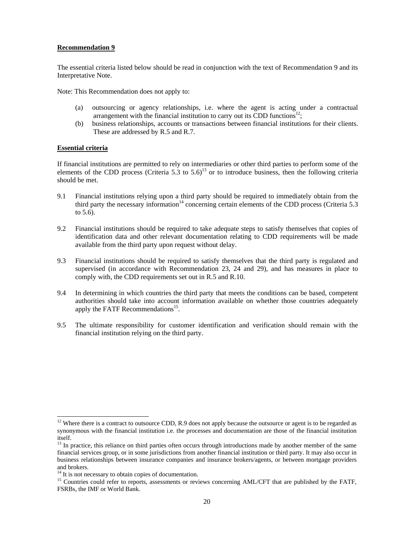The essential criteria listed below should be read in conjunction with the text of Recommendation 9 and its Interpretative Note.

Note: This Recommendation does not apply to:

- (a) outsourcing or agency relationships, i.e. where the agent is acting under a contractual arrangement with the financial institution to carry out its CDD functions<sup>12</sup>;
- (b) business relationships, accounts or transactions between financial institutions for their clients. These are addressed by R.5 and R.7.

#### **Essential criteria**

l

If financial institutions are permitted to rely on intermediaries or other third parties to perform some of the elements of the CDD process (Criteria 5.3 to  $5.6$ )<sup>13</sup> or to introduce business, then the following criteria should be met.

- 9.1 Financial institutions relying upon a third party should be required to immediately obtain from the third party the necessary information<sup>14</sup> concerning certain elements of the CDD process (Criteria 5.3) to 5.6).
- 9.2 Financial institutions should be required to take adequate steps to satisfy themselves that copies of identification data and other relevant documentation relating to CDD requirements will be made available from the third party upon request without delay.
- 9.3 Financial institutions should be required to satisfy themselves that the third party is regulated and supervised (in accordance with Recommendation 23, 24 and 29), and has measures in place to comply with, the CDD requirements set out in R.5 and R.10.
- 9.4 In determining in which countries the third party that meets the conditions can be based, competent authorities should take into account information available on whether those countries adequately apply the FATF Recommendations<sup>15</sup>.
- 9.5 The ultimate responsibility for customer identification and verification should remain with the financial institution relying on the third party.

 $12$  Where there is a contract to outsource CDD, R.9 does not apply because the outsource or agent is to be regarded as synonymous with the financial institution i.e. the processes and documentation are those of the financial institution itself.

 $<sup>13</sup>$  In practice, this reliance on third parties often occurs through introductions made by another member of the same</sup> financial services group, or in some jurisdictions from another financial institution or third party. It may also occur in business relationships between insurance companies and insurance brokers/agents, or between mortgage providers and brokers.

<sup>&</sup>lt;sup>14</sup> It is not necessary to obtain copies of documentation.

<sup>&</sup>lt;sup>15</sup> Countries could refer to reports, assessments or reviews concerning AML/CFT that are published by the FATF, FSRBs, the IMF or World Bank.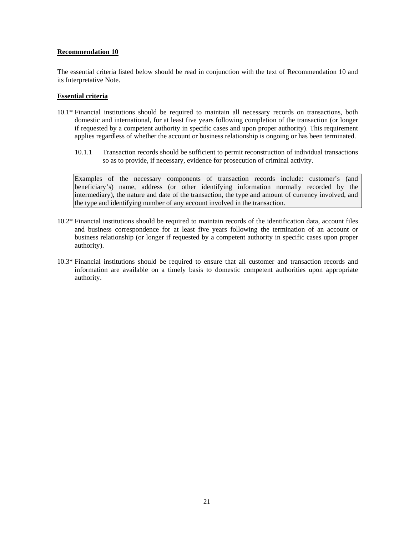The essential criteria listed below should be read in conjunction with the text of Recommendation 10 and its Interpretative Note.

# **Essential criteria**

- 10.1\* Financial institutions should be required to maintain all necessary records on transactions, both domestic and international, for at least five years following completion of the transaction (or longer if requested by a competent authority in specific cases and upon proper authority). This requirement applies regardless of whether the account or business relationship is ongoing or has been terminated.
	- 10.1.1 Transaction records should be sufficient to permit reconstruction of individual transactions so as to provide, if necessary, evidence for prosecution of criminal activity.

Examples of the necessary components of transaction records include: customer's (and beneficiary's) name, address (or other identifying information normally recorded by the intermediary), the nature and date of the transaction, the type and amount of currency involved, and the type and identifying number of any account involved in the transaction.

- 10.2\* Financial institutions should be required to maintain records of the identification data, account files and business correspondence for at least five years following the termination of an account or business relationship (or longer if requested by a competent authority in specific cases upon proper authority).
- 10.3\* Financial institutions should be required to ensure that all customer and transaction records and information are available on a timely basis to domestic competent authorities upon appropriate authority.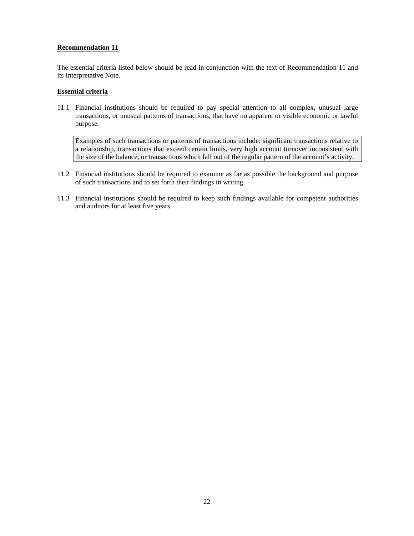The essential criteria listed below should be read in conjunction with the text of Recommendation 11 and its Interpretative Note.

# **Essential criteria**

11.1 Financial institutions should be required to pay special attention to all complex, unusual large transactions, or unusual patterns of transactions, that have no apparent or visible economic or lawful purpose.

 Examples of such transactions or patterns of transactions include: significant transactions relative to a relationship, transactions that exceed certain limits, very high account turnover inconsistent with the size of the balance, or transactions which fall out of the regular pattern of the account's activity.

- 11.2 Financial institutions should be required to examine as far as possible the background and purpose of such transactions and to set forth their findings in writing.
- 11.3 Financial institutions should be required to keep such findings available for competent authorities and auditors for at least five years.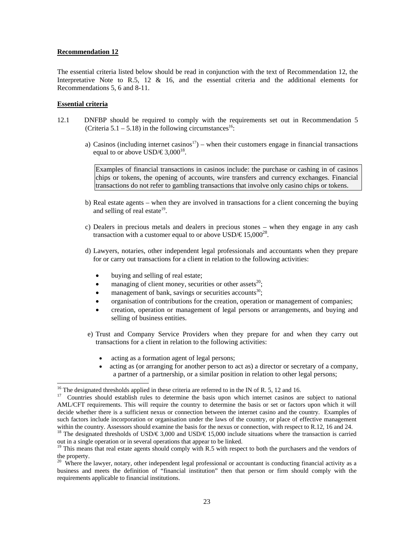The essential criteria listed below should be read in conjunction with the text of Recommendation 12, the Interpretative Note to R.5, 12  $\&$  16, and the essential criteria and the additional elements for Recommendations 5, 6 and 8-11.

#### **Essential criteria**

 $\overline{a}$ 

- 12.1 DNFBP should be required to comply with the requirements set out in Recommendation 5 (Criteria  $5.1 - 5.18$ ) in the following circumstances<sup>16</sup>:
	- a) Casinos (including internet casinos<sup>17</sup>) when their customers engage in financial transactions equal to or above USD/€3,000<sup>18</sup>.

Examples of financial transactions in casinos include: the purchase or cashing in of casinos chips or tokens, the opening of accounts, wire transfers and currency exchanges. Financial transactions do not refer to gambling transactions that involve only casino chips or tokens.

- b) Real estate agents when they are involved in transactions for a client concerning the buying and selling of real estate $19$ .
- c) Dealers in precious metals and dealers in precious stones when they engage in any cash transaction with a customer equal to or above  $\text{USD}/\text{\textsterling}15,000^{28}$ .
- d) Lawyers, notaries, other independent legal professionals and accountants when they prepare for or carry out transactions for a client in relation to the following activities:
	- buying and selling of real estate;
	- managing of client money, securities or other assets<sup>20</sup>;
	- management of bank, savings or securities accounts<sup>30</sup>;
	- organisation of contributions for the creation, operation or management of companies;
	- creation, operation or management of legal persons or arrangements, and buying and selling of business entities.
- e) Trust and Company Service Providers when they prepare for and when they carry out transactions for a client in relation to the following activities:
	- acting as a formation agent of legal persons;
	- acting as (or arranging for another person to act as) a director or secretary of a company, a partner of a partnership, or a similar position in relation to other legal persons;

<sup>&</sup>lt;sup>16</sup> The designated thresholds applied in these criteria are referred to in the IN of R. 5, 12 and 16.

<sup>&</sup>lt;sup>17</sup> Countries should establish rules to determine the basis upon which internet casinos are subject to national AML/CFT requirements. This will require the country to determine the basis or set or factors upon which it will decide whether there is a sufficient nexus or connection between the internet casino and the country. Examples of such factors include incorporation or organisation under the laws of the country, or place of effective management within the country. Assessors should examine the basis for the nexus or connection, with respect to R.12, 16 and 24.

<sup>&</sup>lt;sup>18</sup> The designated thresholds of USD/€3,000 and USD/€15,000 include situations where the transaction is carried out in a single operation or in several operations that appear to be linked.

<sup>&</sup>lt;sup>19</sup> This means that real estate agents should comply with R.5 with respect to both the purchasers and the vendors of the property.

 $20$  Where the lawyer, notary, other independent legal professional or accountant is conducting financial activity as a business and meets the definition of "financial institution" then that person or firm should comply with the requirements applicable to financial institutions.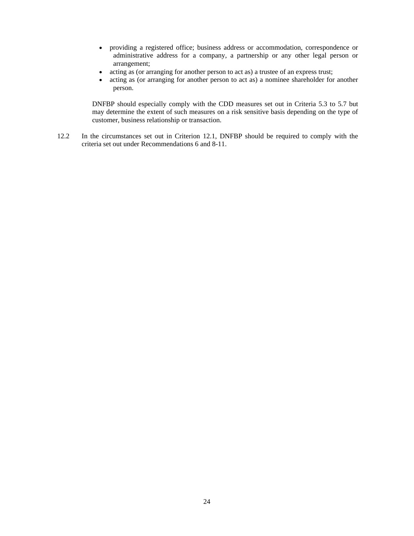- providing a registered office; business address or accommodation, correspondence or administrative address for a company, a partnership or any other legal person or arrangement;
- acting as (or arranging for another person to act as) a trustee of an express trust;
- acting as (or arranging for another person to act as) a nominee shareholder for another person.

DNFBP should especially comply with the CDD measures set out in Criteria 5.3 to 5.7 but may determine the extent of such measures on a risk sensitive basis depending on the type of customer, business relationship or transaction.

12.2 In the circumstances set out in Criterion 12.1, DNFBP should be required to comply with the criteria set out under Recommendations 6 and 8-11.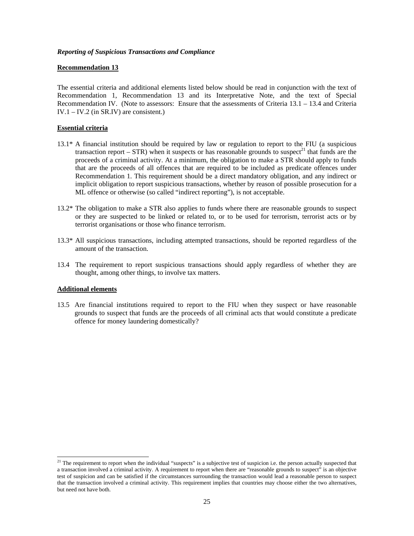#### *Reporting of Suspicious Transactions and Compliance*

#### **Recommendation 13**

The essential criteria and additional elements listed below should be read in conjunction with the text of Recommendation 1, Recommendation 13 and its Interpretative Note, and the text of Special Recommendation IV. (Note to assessors: Ensure that the assessments of Criteria  $13.1 - 13.4$  and Criteria IV.1 – IV.2 (in SR.IV) are consistent.)

#### **Essential criteria**

- 13.1\* A financial institution should be required by law or regulation to report to the FIU (a suspicious transaction report – STR) when it suspects or has reasonable grounds to suspect<sup>21</sup> that funds are the proceeds of a criminal activity. At a minimum, the obligation to make a STR should apply to funds that are the proceeds of all offences that are required to be included as predicate offences under Recommendation 1. This requirement should be a direct mandatory obligation, and any indirect or implicit obligation to report suspicious transactions, whether by reason of possible prosecution for a ML offence or otherwise (so called "indirect reporting"), is not acceptable.
- 13.2\* The obligation to make a STR also applies to funds where there are reasonable grounds to suspect or they are suspected to be linked or related to, or to be used for terrorism, terrorist acts or by terrorist organisations or those who finance terrorism.
- 13.3\* All suspicious transactions, including attempted transactions, should be reported regardless of the amount of the transaction.
- 13.4 The requirement to report suspicious transactions should apply regardless of whether they are thought, among other things, to involve tax matters.

#### **Additional elements**

 $\overline{a}$ 

13.5 Are financial institutions required to report to the FIU when they suspect or have reasonable grounds to suspect that funds are the proceeds of all criminal acts that would constitute a predicate offence for money laundering domestically?

<sup>&</sup>lt;sup>21</sup> The requirement to report when the individual "suspects" is a subjective test of suspicion i.e. the person actually suspected that a transaction involved a criminal activity. A requirement to report when there are "reasonable grounds to suspect" is an objective test of suspicion and can be satisfied if the circumstances surrounding the transaction would lead a reasonable person to suspect that the transaction involved a criminal activity. This requirement implies that countries may choose either the two alternatives, but need not have both.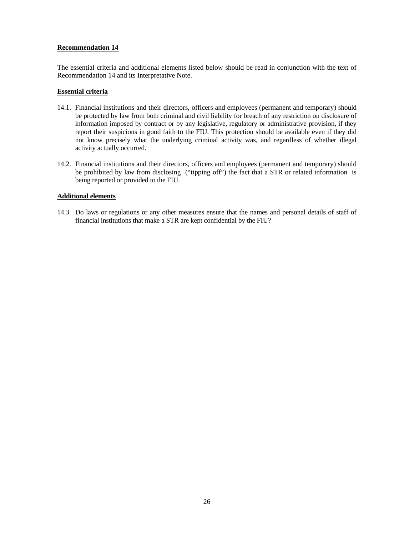The essential criteria and additional elements listed below should be read in conjunction with the text of Recommendation 14 and its Interpretative Note.

# **Essential criteria**

- 14.1. Financial institutions and their directors, officers and employees (permanent and temporary) should be protected by law from both criminal and civil liability for breach of any restriction on disclosure of information imposed by contract or by any legislative, regulatory or administrative provision, if they report their suspicions in good faith to the FIU. This protection should be available even if they did not know precisely what the underlying criminal activity was, and regardless of whether illegal activity actually occurred.
- 14.2. Financial institutions and their directors, officers and employees (permanent and temporary) should be prohibited by law from disclosing ("tipping off") the fact that a STR or related information is being reported or provided to the FIU.

# **Additional elements**

14.3 Do laws or regulations or any other measures ensure that the names and personal details of staff of financial institutions that make a STR are kept confidential by the FIU?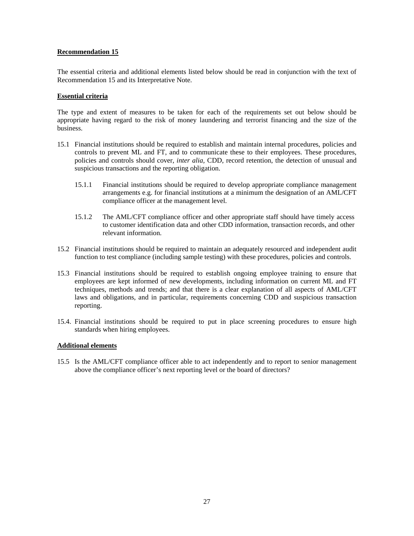The essential criteria and additional elements listed below should be read in conjunction with the text of Recommendation 15 and its Interpretative Note.

# **Essential criteria**

The type and extent of measures to be taken for each of the requirements set out below should be appropriate having regard to the risk of money laundering and terrorist financing and the size of the business.

- 15.1 Financial institutions should be required to establish and maintain internal procedures, policies and controls to prevent ML and FT, and to communicate these to their employees. These procedures, policies and controls should cover, *inter alia,* CDD, record retention, the detection of unusual and suspicious transactions and the reporting obligation.
	- 15.1.1 Financial institutions should be required to develop appropriate compliance management arrangements e.g. for financial institutions at a minimum the designation of an AML/CFT compliance officer at the management level.
	- 15.1.2 The AML/CFT compliance officer and other appropriate staff should have timely access to customer identification data and other CDD information, transaction records, and other relevant information.
- 15.2 Financial institutions should be required to maintain an adequately resourced and independent audit function to test compliance (including sample testing) with these procedures, policies and controls.
- 15.3 Financial institutions should be required to establish ongoing employee training to ensure that employees are kept informed of new developments, including information on current ML and FT techniques, methods and trends; and that there is a clear explanation of all aspects of AML/CFT laws and obligations, and in particular, requirements concerning CDD and suspicious transaction reporting.
- 15.4. Financial institutions should be required to put in place screening procedures to ensure high standards when hiring employees.

# **Additional elements**

15.5 Is the AML/CFT compliance officer able to act independently and to report to senior management above the compliance officer's next reporting level or the board of directors?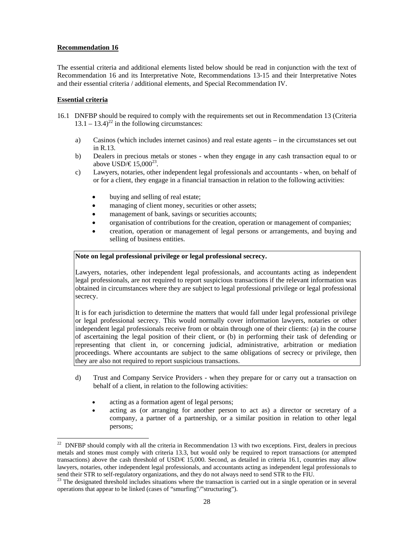The essential criteria and additional elements listed below should be read in conjunction with the text of Recommendation 16 and its Interpretative Note, Recommendations 13-15 and their Interpretative Notes and their essential criteria / additional elements, and Special Recommendation IV.

# **Essential criteria**

- 16.1 DNFBP should be required to comply with the requirements set out in Recommendation 13 (Criteria  $13.1 - 13.4$ <sup>22</sup> in the following circumstances:
	- a) Casinos (which includes internet casinos) and real estate agents in the circumstances set out in R.13.
	- b) Dealers in precious metals or stones when they engage in any cash transaction equal to or above USD/€15,000<sup>23</sup>.
	- c) Lawyers, notaries, other independent legal professionals and accountants when, on behalf of or for a client, they engage in a financial transaction in relation to the following activities:
		- buying and selling of real estate;
		- managing of client money, securities or other assets;
		- management of bank, savings or securities accounts;
		- organisation of contributions for the creation, operation or management of companies;
		- creation, operation or management of legal persons or arrangements, and buying and selling of business entities.

# **Note on legal professional privilege or legal professional secrecy.**

Lawyers, notaries, other independent legal professionals, and accountants acting as independent legal professionals, are not required to report suspicious transactions if the relevant information was obtained in circumstances where they are subject to legal professional privilege or legal professional secrecy.

It is for each jurisdiction to determine the matters that would fall under legal professional privilege or legal professional secrecy. This would normally cover information lawyers, notaries or other independent legal professionals receive from or obtain through one of their clients: (a) in the course of ascertaining the legal position of their client, or (b) in performing their task of defending or representing that client in, or concerning judicial, administrative, arbitration or mediation proceedings. Where accountants are subject to the same obligations of secrecy or privilege, then they are also not required to report suspicious transactions.

- d) Trust and Company Service Providers when they prepare for or carry out a transaction on behalf of a client, in relation to the following activities:
	- acting as a formation agent of legal persons;
	- acting as (or arranging for another person to act as) a director or secretary of a company, a partner of a partnership, or a similar position in relation to other legal persons;

 $\overline{a}$  $22$  DNFBP should comply with all the criteria in Recommendation 13 with two exceptions. First, dealers in precious metals and stones must comply with criteria 13.3, but would only be required to report transactions (or attempted transactions) above the cash threshold of USD/ $\in$  15,000. Second, as detailed in criteria 16.1, countries may allow lawyers, notaries, other independent legal professionals, and accountants acting as independent legal professionals to send their STR to self-regulatory organizations, and they do not always need to send STR to the FIU.

 $33$  The designated threshold includes situations where the transaction is carried out in a single operation or in several operations that appear to be linked (cases of "smurfing"/"structuring").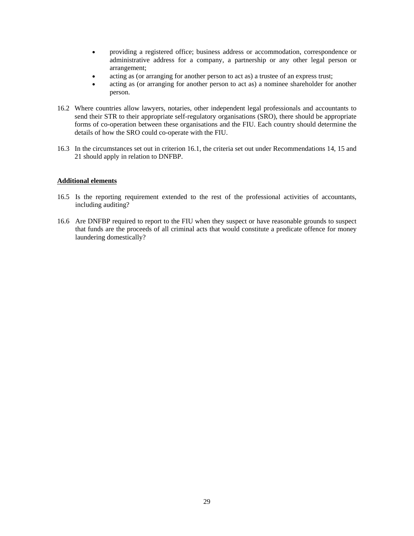- providing a registered office; business address or accommodation, correspondence or administrative address for a company, a partnership or any other legal person or arrangement;
- acting as (or arranging for another person to act as) a trustee of an express trust;
- acting as (or arranging for another person to act as) a nominee shareholder for another person.
- 16.2 Where countries allow lawyers, notaries, other independent legal professionals and accountants to send their STR to their appropriate self-regulatory organisations (SRO), there should be appropriate forms of co-operation between these organisations and the FIU. Each country should determine the details of how the SRO could co-operate with the FIU.
- 16.3 In the circumstances set out in criterion 16.1, the criteria set out under Recommendations 14, 15 and 21 should apply in relation to DNFBP.

# **Additional elements**

- 16.5 Is the reporting requirement extended to the rest of the professional activities of accountants, including auditing?
- 16.6 Are DNFBP required to report to the FIU when they suspect or have reasonable grounds to suspect that funds are the proceeds of all criminal acts that would constitute a predicate offence for money laundering domestically?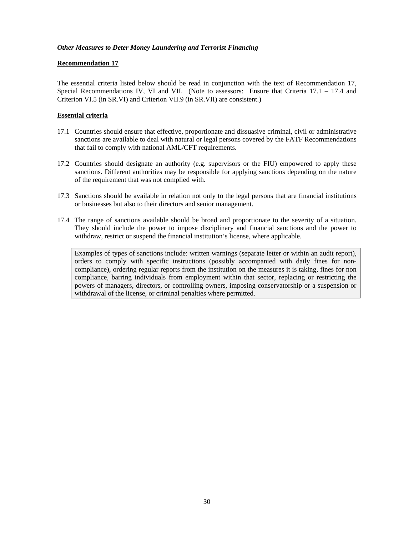# *Other Measures to Deter Money Laundering and Terrorist Financing*

# **Recommendation 17**

The essential criteria listed below should be read in conjunction with the text of Recommendation 17, Special Recommendations IV, VI and VII. (Note to assessors: Ensure that Criteria  $17.1 - 17.4$  and Criterion VI.5 (in SR.VI) and Criterion VII.9 (in SR.VII) are consistent.)

# **Essential criteria**

- 17.1 Countries should ensure that effective, proportionate and dissuasive criminal, civil or administrative sanctions are available to deal with natural or legal persons covered by the FATF Recommendations that fail to comply with national AML/CFT requirements.
- 17.2 Countries should designate an authority (e.g. supervisors or the FIU) empowered to apply these sanctions. Different authorities may be responsible for applying sanctions depending on the nature of the requirement that was not complied with.
- 17.3 Sanctions should be available in relation not only to the legal persons that are financial institutions or businesses but also to their directors and senior management.
- 17.4 The range of sanctions available should be broad and proportionate to the severity of a situation. They should include the power to impose disciplinary and financial sanctions and the power to withdraw, restrict or suspend the financial institution's license, where applicable.

Examples of types of sanctions include: written warnings (separate letter or within an audit report), orders to comply with specific instructions (possibly accompanied with daily fines for noncompliance), ordering regular reports from the institution on the measures it is taking, fines for non compliance, barring individuals from employment within that sector, replacing or restricting the powers of managers, directors, or controlling owners, imposing conservatorship or a suspension or withdrawal of the license, or criminal penalties where permitted.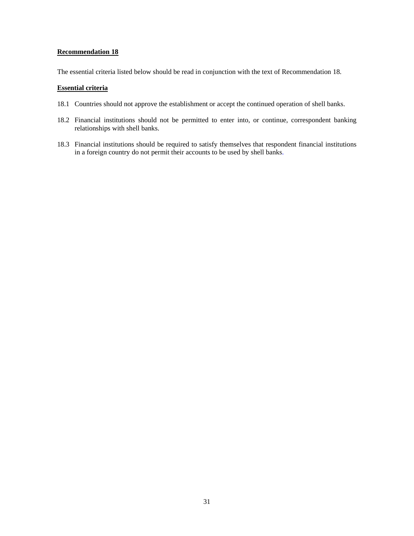The essential criteria listed below should be read in conjunction with the text of Recommendation 18.

# **Essential criteria**

- 18.1 Countries should not approve the establishment or accept the continued operation of shell banks.
- 18.2 Financial institutions should not be permitted to enter into, or continue, correspondent banking relationships with shell banks.
- 18.3 Financial institutions should be required to satisfy themselves that respondent financial institutions in a foreign country do not permit their accounts to be used by shell banks.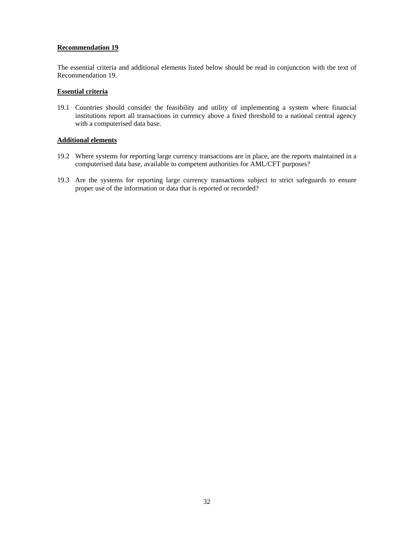The essential criteria and additional elements listed below should be read in conjunction with the text of Recommendation 19.

# **Essential criteria**

19.1 Countries should consider the feasibility and utility of implementing a system where financial institutions report all transactions in currency above a fixed threshold to a national central agency with a computerised data base.

# **Additional elements**

- 19.2 Where systems for reporting large currency transactions are in place, are the reports maintained in a computerised data base, available to competent authorities for AML/CFT purposes?
- 19.3 Are the systems for reporting large currency transactions subject to strict safeguards to ensure proper use of the information or data that is reported or recorded?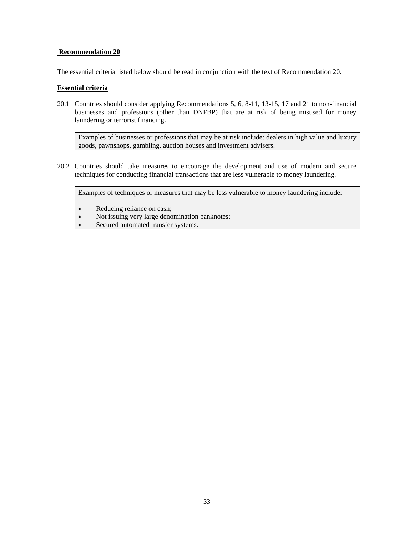The essential criteria listed below should be read in conjunction with the text of Recommendation 20.

#### **Essential criteria**

20.1 Countries should consider applying Recommendations 5, 6, 8-11, 13-15, 17 and 21 to non-financial businesses and professions (other than DNFBP) that are at risk of being misused for money laundering or terrorist financing.

Examples of businesses or professions that may be at risk include: dealers in high value and luxury goods, pawnshops, gambling, auction houses and investment advisers.

20.2 Countries should take measures to encourage the development and use of modern and secure techniques for conducting financial transactions that are less vulnerable to money laundering.

Examples of techniques or measures that may be less vulnerable to money laundering include:

- Reducing reliance on cash;
- Not issuing very large denomination banknotes;
- Secured automated transfer systems.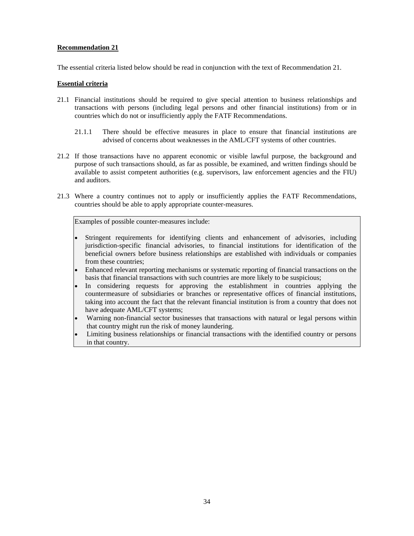The essential criteria listed below should be read in conjunction with the text of Recommendation 21.

# **Essential criteria**

- 21.1 Financial institutions should be required to give special attention to business relationships and transactions with persons (including legal persons and other financial institutions) from or in countries which do not or insufficiently apply the FATF Recommendations.
	- 21.1.1 There should be effective measures in place to ensure that financial institutions are advised of concerns about weaknesses in the AML/CFT systems of other countries.
- 21.2 If those transactions have no apparent economic or visible lawful purpose, the background and purpose of such transactions should, as far as possible, be examined, and written findings should be available to assist competent authorities (e.g. supervisors, law enforcement agencies and the FIU) and auditors.
- 21.3 Where a country continues not to apply or insufficiently applies the FATF Recommendations, countries should be able to apply appropriate counter-measures.

Examples of possible counter-measures include:

- Stringent requirements for identifying clients and enhancement of advisories, including jurisdiction-specific financial advisories, to financial institutions for identification of the beneficial owners before business relationships are established with individuals or companies from these countries;
- Enhanced relevant reporting mechanisms or systematic reporting of financial transactions on the basis that financial transactions with such countries are more likely to be suspicious;
- In considering requests for approving the establishment in countries applying the countermeasure of subsidiaries or branches or representative offices of financial institutions, taking into account the fact that the relevant financial institution is from a country that does not have adequate AML/CFT systems;
- Warning non-financial sector businesses that transactions with natural or legal persons within that country might run the risk of money laundering.
- Limiting business relationships or financial transactions with the identified country or persons in that country.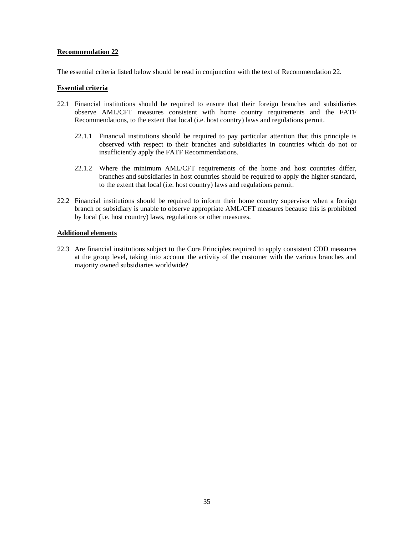The essential criteria listed below should be read in conjunction with the text of Recommendation 22.

#### **Essential criteria**

- 22.1 Financial institutions should be required to ensure that their foreign branches and subsidiaries observe AML/CFT measures consistent with home country requirements and the FATF Recommendations, to the extent that local (i.e. host country) laws and regulations permit.
	- 22.1.1 Financial institutions should be required to pay particular attention that this principle is observed with respect to their branches and subsidiaries in countries which do not or insufficiently apply the FATF Recommendations.
	- 22.1.2 Where the minimum AML/CFT requirements of the home and host countries differ, branches and subsidiaries in host countries should be required to apply the higher standard, to the extent that local (i.e. host country) laws and regulations permit.
- 22.2 Financial institutions should be required to inform their home country supervisor when a foreign branch or subsidiary is unable to observe appropriate AML/CFT measures because this is prohibited by local (i.e. host country) laws, regulations or other measures.

#### **Additional elements**

22.3 Are financial institutions subject to the Core Principles required to apply consistent CDD measures at the group level, taking into account the activity of the customer with the various branches and majority owned subsidiaries worldwide?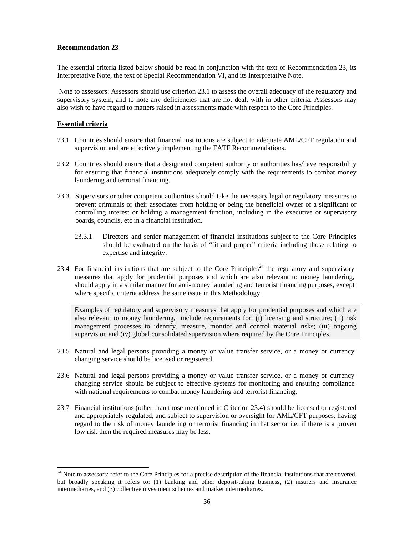The essential criteria listed below should be read in conjunction with the text of Recommendation 23, its Interpretative Note, the text of Special Recommendation VI, and its Interpretative Note.

 Note to assessors: Assessors should use criterion 23.1 to assess the overall adequacy of the regulatory and supervisory system, and to note any deficiencies that are not dealt with in other criteria. Assessors may also wish to have regard to matters raised in assessments made with respect to the Core Principles.

# **Essential criteria**

 $\overline{a}$ 

- 23.1 Countries should ensure that financial institutions are subject to adequate AML/CFT regulation and supervision and are effectively implementing the FATF Recommendations.
- 23.2 Countries should ensure that a designated competent authority or authorities has/have responsibility for ensuring that financial institutions adequately comply with the requirements to combat money laundering and terrorist financing.
- 23.3 Supervisors or other competent authorities should take the necessary legal or regulatory measures to prevent criminals or their associates from holding or being the beneficial owner of a significant or controlling interest or holding a management function, including in the executive or supervisory boards, councils, etc in a financial institution.
	- 23.3.1 Directors and senior management of financial institutions subject to the Core Principles should be evaluated on the basis of "fit and proper" criteria including those relating to expertise and integrity.
- 23.4 For financial institutions that are subject to the Core Principles<sup>24</sup> the regulatory and supervisory measures that apply for prudential purposes and which are also relevant to money laundering, should apply in a similar manner for anti-money laundering and terrorist financing purposes, except where specific criteria address the same issue in this Methodology*.*

Examples of regulatory and supervisory measures that apply for prudential purposes and which are also relevant to money laundering, include requirements for: (i) licensing and structure; (ii) risk management processes to identify, measure, monitor and control material risks; (iii) ongoing supervision and (iv) global consolidated supervision where required by the Core Principles.

- 23.5 Natural and legal persons providing a money or value transfer service, or a money or currency changing service should be licensed or registered.
- 23.6 Natural and legal persons providing a money or value transfer service, or a money or currency changing service should be subject to effective systems for monitoring and ensuring compliance with national requirements to combat money laundering and terrorist financing.
- 23.7 Financial institutions (other than those mentioned in Criterion 23.4) should be licensed or registered and appropriately regulated, and subject to supervision or oversight for AML/CFT purposes, having regard to the risk of money laundering or terrorist financing in that sector i.e. if there is a proven low risk then the required measures may be less.

 $24$  Note to assessors: refer to the Core Principles for a precise description of the financial institutions that are covered, but broadly speaking it refers to: (1) banking and other deposit-taking business, (2) insurers and insurance intermediaries, and (3) collective investment schemes and market intermediaries.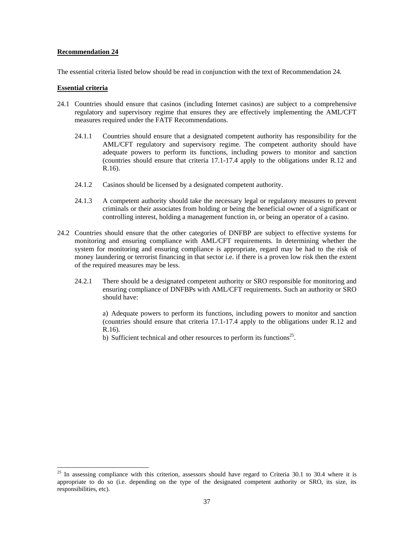The essential criteria listed below should be read in conjunction with the text of Recommendation 24.

#### **Essential criteria**

 $\overline{a}$ 

- 24.1 Countries should ensure that casinos (including Internet casinos) are subject to a comprehensive regulatory and supervisory regime that ensures they are effectively implementing the AML/CFT measures required under the FATF Recommendations.
	- 24.1.1 Countries should ensure that a designated competent authority has responsibility for the AML/CFT regulatory and supervisory regime. The competent authority should have adequate powers to perform its functions, including powers to monitor and sanction (countries should ensure that criteria 17.1-17.4 apply to the obligations under R.12 and R.16).
	- 24.1.2 Casinos should be licensed by a designated competent authority.
	- 24.1.3 A competent authority should take the necessary legal or regulatory measures to prevent criminals or their associates from holding or being the beneficial owner of a significant or controlling interest, holding a management function in, or being an operator of a casino.
- 24.2 Countries should ensure that the other categories of DNFBP are subject to effective systems for monitoring and ensuring compliance with AML/CFT requirements. In determining whether the system for monitoring and ensuring compliance is appropriate, regard may be had to the risk of money laundering or terrorist financing in that sector i.e. if there is a proven low risk then the extent of the required measures may be less.
	- 24.2.1 There should be a designated competent authority or SRO responsible for monitoring and ensuring compliance of DNFBPs with AML/CFT requirements. Such an authority or SRO should have:

a) Adequate powers to perform its functions, including powers to monitor and sanction (countries should ensure that criteria 17.1-17.4 apply to the obligations under R.12 and R.16).

b) Sufficient technical and other resources to perform its functions<sup>25</sup>.

 $25$  In assessing compliance with this criterion, assessors should have regard to Criteria 30.1 to 30.4 where it is appropriate to do so (i.e. depending on the type of the designated competent authority or SRO, its size, its responsibilities, etc).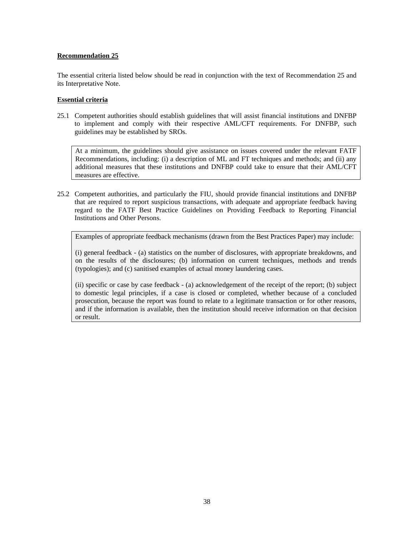The essential criteria listed below should be read in conjunction with the text of Recommendation 25 and its Interpretative Note.

#### **Essential criteria**

25.1 Competent authorities should establish guidelines that will assist financial institutions and DNFBP to implement and comply with their respective AML/CFT requirements. For DNFBP, such guidelines may be established by SROs.

At a minimum, the guidelines should give assistance on issues covered under the relevant FATF Recommendations, including: (i) a description of ML and FT techniques and methods; and (ii) any additional measures that these institutions and DNFBP could take to ensure that their AML/CFT measures are effective.

25.2 Competent authorities, and particularly the FIU, should provide financial institutions and DNFBP that are required to report suspicious transactions, with adequate and appropriate feedback having regard to the FATF Best Practice Guidelines on Providing Feedback to Reporting Financial Institutions and Other Persons.

Examples of appropriate feedback mechanisms (drawn from the Best Practices Paper) may include:

(i) general feedback - (a) statistics on the number of disclosures, with appropriate breakdowns, and on the results of the disclosures; (b) information on current techniques, methods and trends (typologies); and (c) sanitised examples of actual money laundering cases.

(ii) specific or case by case feedback - (a) acknowledgement of the receipt of the report; (b) subject to domestic legal principles, if a case is closed or completed, whether because of a concluded prosecution, because the report was found to relate to a legitimate transaction or for other reasons, and if the information is available, then the institution should receive information on that decision or result.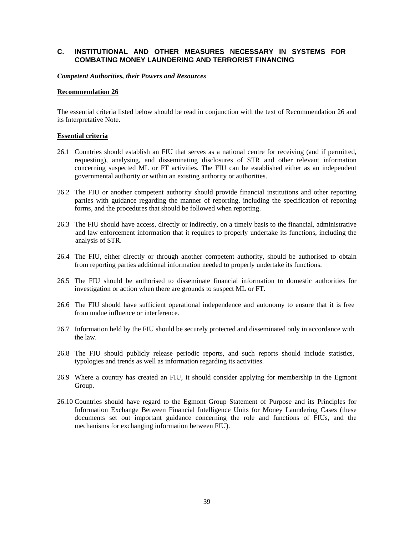# **C. INSTITUTIONAL AND OTHER MEASURES NECESSARY IN SYSTEMS FOR COMBATING MONEY LAUNDERING AND TERRORIST FINANCING**

*Competent Authorities, their Powers and Resources* 

#### **Recommendation 26**

The essential criteria listed below should be read in conjunction with the text of Recommendation 26 and its Interpretative Note.

#### **Essential criteria**

- 26.1 Countries should establish an FIU that serves as a national centre for receiving (and if permitted, requesting), analysing, and disseminating disclosures of STR and other relevant information concerning suspected ML or FT activities. The FIU can be established either as an independent governmental authority or within an existing authority or authorities.
- 26.2 The FIU or another competent authority should provide financial institutions and other reporting parties with guidance regarding the manner of reporting, including the specification of reporting forms, and the procedures that should be followed when reporting.
- 26.3 The FIU should have access, directly or indirectly, on a timely basis to the financial, administrative and law enforcement information that it requires to properly undertake its functions, including the analysis of STR.
- 26.4 The FIU, either directly or through another competent authority, should be authorised to obtain from reporting parties additional information needed to properly undertake its functions.
- 26.5 The FIU should be authorised to disseminate financial information to domestic authorities for investigation or action when there are grounds to suspect ML or FT.
- 26.6 The FIU should have sufficient operational independence and autonomy to ensure that it is free from undue influence or interference.
- 26.7 Information held by the FIU should be securely protected and disseminated only in accordance with the law.
- 26.8 The FIU should publicly release periodic reports, and such reports should include statistics, typologies and trends as well as information regarding its activities.
- 26.9 Where a country has created an FIU, it should consider applying for membership in the Egmont Group.
- 26.10 Countries should have regard to the Egmont Group Statement of Purpose and its Principles for Information Exchange Between Financial Intelligence Units for Money Laundering Cases (these documents set out important guidance concerning the role and functions of FIUs, and the mechanisms for exchanging information between FIU).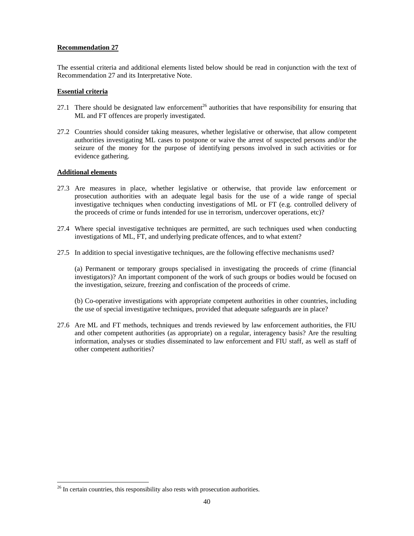The essential criteria and additional elements listed below should be read in conjunction with the text of Recommendation 27 and its Interpretative Note.

#### **Essential criteria**

- 27.1 There should be designated law enforcement<sup>26</sup> authorities that have responsibility for ensuring that ML and FT offences are properly investigated.
- 27.2 Countries should consider taking measures, whether legislative or otherwise, that allow competent authorities investigating ML cases to postpone or waive the arrest of suspected persons and/or the seizure of the money for the purpose of identifying persons involved in such activities or for evidence gathering.

#### **Additional elements**

 $\overline{a}$ 

- 27.3 Are measures in place, whether legislative or otherwise, that provide law enforcement or prosecution authorities with an adequate legal basis for the use of a wide range of special investigative techniques when conducting investigations of ML or FT (e.g. controlled delivery of the proceeds of crime or funds intended for use in terrorism, undercover operations, etc)?
- 27.4 Where special investigative techniques are permitted, are such techniques used when conducting investigations of ML, FT, and underlying predicate offences, and to what extent?
- 27.5 In addition to special investigative techniques, are the following effective mechanisms used?

 (a) Permanent or temporary groups specialised in investigating the proceeds of crime (financial investigators)? An important component of the work of such groups or bodies would be focused on the investigation, seizure, freezing and confiscation of the proceeds of crime.

 (b) Co-operative investigations with appropriate competent authorities in other countries, including the use of special investigative techniques, provided that adequate safeguards are in place?

27.6 Are ML and FT methods, techniques and trends reviewed by law enforcement authorities, the FIU and other competent authorities (as appropriate) on a regular, interagency basis? Are the resulting information, analyses or studies disseminated to law enforcement and FIU staff, as well as staff of other competent authorities?

 $26$  In certain countries, this responsibility also rests with prosecution authorities.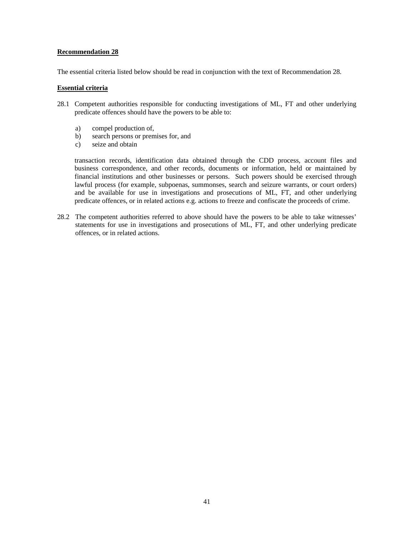The essential criteria listed below should be read in conjunction with the text of Recommendation 28.

#### **Essential criteria**

- 28.1 Competent authorities responsible for conducting investigations of ML, FT and other underlying predicate offences should have the powers to be able to:
	- a) compel production of,
	- b) search persons or premises for, and
	- c) seize and obtain

 transaction records, identification data obtained through the CDD process, account files and business correspondence, and other records, documents or information, held or maintained by financial institutions and other businesses or persons. Such powers should be exercised through lawful process (for example, subpoenas, summonses, search and seizure warrants, or court orders) and be available for use in investigations and prosecutions of ML, FT, and other underlying predicate offences, or in related actions e.g. actions to freeze and confiscate the proceeds of crime.

28.2 The competent authorities referred to above should have the powers to be able to take witnesses' statements for use in investigations and prosecutions of ML, FT, and other underlying predicate offences, or in related actions.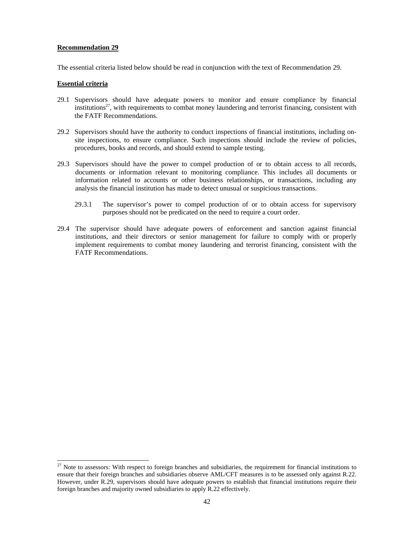The essential criteria listed below should be read in conjunction with the text of Recommendation 29.

#### **Essential criteria**

l

- 29.1 Supervisors should have adequate powers to monitor and ensure compliance by financial institutions<sup>27</sup>, with requirements to combat money laundering and terrorist financing, consistent with the FATF Recommendations.
- 29.2 Supervisors should have the authority to conduct inspections of financial institutions, including onsite inspections, to ensure compliance. Such inspections should include the review of policies, procedures, books and records, and should extend to sample testing.
- 29.3 Supervisors should have the power to compel production of or to obtain access to all records, documents or information relevant to monitoring compliance. This includes all documents or information related to accounts or other business relationships, or transactions, including any analysis the financial institution has made to detect unusual or suspicious transactions.
	- 29.3.1 The supervisor's power to compel production of or to obtain access for supervisory purposes should not be predicated on the need to require a court order.
- 29.4 The supervisor should have adequate powers of enforcement and sanction against financial institutions, and their directors or senior management for failure to comply with or properly implement requirements to combat money laundering and terrorist financing, consistent with the FATF Recommendations.

 $27$  Note to assessors: With respect to foreign branches and subsidiaries, the requirement for financial institutions to ensure that their foreign branches and subsidiaries observe AML/CFT measures is to be assessed only against R.22. However, under R.29, supervisors should have adequate powers to establish that financial institutions require their foreign branches and majority owned subsidiaries to apply R.22 effectively.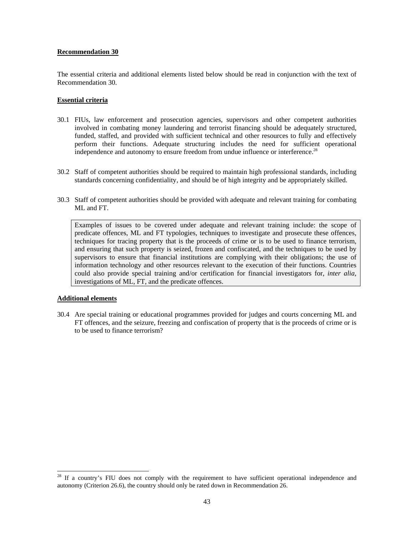The essential criteria and additional elements listed below should be read in conjunction with the text of Recommendation 30.

#### **Essential criteria**

- 30.1 FIUs, law enforcement and prosecution agencies, supervisors and other competent authorities involved in combating money laundering and terrorist financing should be adequately structured, funded, staffed, and provided with sufficient technical and other resources to fully and effectively perform their functions. Adequate structuring includes the need for sufficient operational independence and autonomy to ensure freedom from undue influence or interference.<sup>28</sup>
- 30.2 Staff of competent authorities should be required to maintain high professional standards, including standards concerning confidentiality, and should be of high integrity and be appropriately skilled.
- 30.3 Staff of competent authorities should be provided with adequate and relevant training for combating ML and FT.

Examples of issues to be covered under adequate and relevant training include: the scope of predicate offences, ML and FT typologies, techniques to investigate and prosecute these offences, techniques for tracing property that is the proceeds of crime or is to be used to finance terrorism, and ensuring that such property is seized, frozen and confiscated, and the techniques to be used by supervisors to ensure that financial institutions are complying with their obligations; the use of information technology and other resources relevant to the execution of their functions. Countries could also provide special training and/or certification for financial investigators for, *inter alia*, investigations of ML, FT, and the predicate offences.

#### **Additional elements**

 $\overline{a}$ 

30.4 Are special training or educational programmes provided for judges and courts concerning ML and FT offences, and the seizure, freezing and confiscation of property that is the proceeds of crime or is to be used to finance terrorism?

If a country's FIU does not comply with the requirement to have sufficient operational independence and autonomy (Criterion 26.6), the country should only be rated down in Recommendation 26.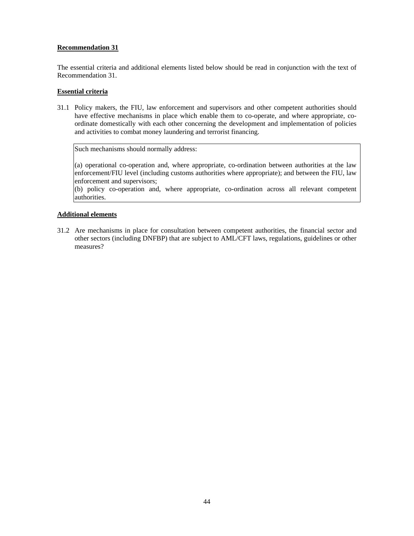The essential criteria and additional elements listed below should be read in conjunction with the text of Recommendation 31.

# **Essential criteria**

31.1 Policy makers, the FIU, law enforcement and supervisors and other competent authorities should have effective mechanisms in place which enable them to co-operate, and where appropriate, coordinate domestically with each other concerning the development and implementation of policies and activities to combat money laundering and terrorist financing.

Such mechanisms should normally address:

(a) operational co-operation and, where appropriate, co-ordination between authorities at the law enforcement/FIU level (including customs authorities where appropriate); and between the FIU, law enforcement and supervisors;

(b) policy co-operation and, where appropriate, co-ordination across all relevant competent authorities.

# **Additional elements**

31.2 Are mechanisms in place for consultation between competent authorities, the financial sector and other sectors (including DNFBP) that are subject to AML/CFT laws, regulations, guidelines or other measures?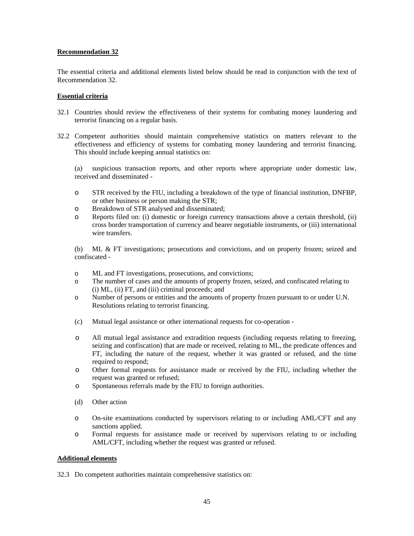The essential criteria and additional elements listed below should be read in conjunction with the text of Recommendation 32.

# **Essential criteria**

- 32.1 Countries should review the effectiveness of their systems for combating money laundering and terrorist financing on a regular basis.
- 32.2 Competent authorities should maintain comprehensive statistics on matters relevant to the effectiveness and efficiency of systems for combating money laundering and terrorist financing. This should include keeping annual statistics on:

 (a) suspicious transaction reports, and other reports where appropriate under domestic law, received and disseminated -

- o STR received by the FIU, including a breakdown of the type of financial institution, DNFBP, or other business or person making the STR;
- o Breakdown of STR analysed and disseminated;
- o Reports filed on: (i) domestic or foreign currency transactions above a certain threshold, (ii) cross border transportation of currency and bearer negotiable instruments, or (iii) international wire transfers.

 (b) ML & FT investigations; prosecutions and convictions, and on property frozen; seized and confiscated -

- o ML and FT investigations, prosecutions, and convictions;
- o The number of cases and the amounts of property frozen, seized, and confiscated relating to (i) ML, (ii) FT, and (iii) criminal proceeds; and
- o Number of persons or entities and the amounts of property frozen pursuant to or under U.N. Resolutions relating to terrorist financing.
- (c) Mutual legal assistance or other international requests for co-operation -
- o All mutual legal assistance and extradition requests (including requests relating to freezing, seizing and confiscation) that are made or received, relating to ML, the predicate offences and FT, including the nature of the request, whether it was granted or refused, and the time required to respond;
- o Other formal requests for assistance made or received by the FIU, including whether the request was granted or refused;
- o Spontaneous referrals made by the FIU to foreign authorities.
- (d) Other action
- o On-site examinations conducted by supervisors relating to or including AML/CFT and any sanctions applied.
- o Formal requests for assistance made or received by supervisors relating to or including AML/CFT, including whether the request was granted or refused.

#### **Additional elements**

32.3 Do competent authorities maintain comprehensive statistics on: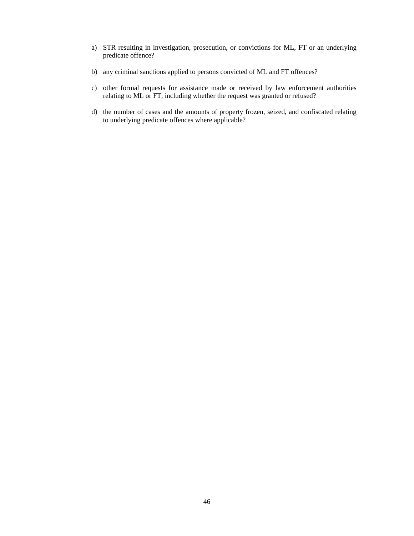- a) STR resulting in investigation, prosecution, or convictions for ML, FT or an underlying predicate offence?
- b) any criminal sanctions applied to persons convicted of ML and FT offences?
- c) other formal requests for assistance made or received by law enforcement authorities relating to ML or FT, including whether the request was granted or refused?
- d) the number of cases and the amounts of property frozen, seized, and confiscated relating to underlying predicate offences where applicable?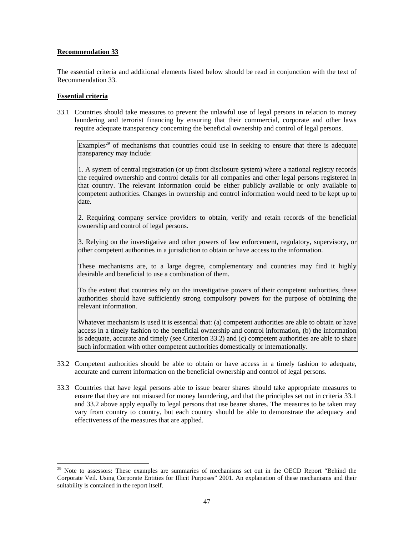The essential criteria and additional elements listed below should be read in conjunction with the text of Recommendation 33.

# **Essential criteria**

 $\overline{a}$ 

33.1 Countries should take measures to prevent the unlawful use of legal persons in relation to money laundering and terrorist financing by ensuring that their commercial, corporate and other laws require adequate transparency concerning the beneficial ownership and control of legal persons.

Examples<sup>29</sup> of mechanisms that countries could use in seeking to ensure that there is adequate transparency may include:

1. A system of central registration (or up front disclosure system) where a national registry records the required ownership and control details for all companies and other legal persons registered in that country. The relevant information could be either publicly available or only available to competent authorities. Changes in ownership and control information would need to be kept up to date.

2. Requiring company service providers to obtain, verify and retain records of the beneficial ownership and control of legal persons.

3. Relying on the investigative and other powers of law enforcement, regulatory, supervisory, or other competent authorities in a jurisdiction to obtain or have access to the information.

These mechanisms are, to a large degree, complementary and countries may find it highly desirable and beneficial to use a combination of them.

To the extent that countries rely on the investigative powers of their competent authorities, these authorities should have sufficiently strong compulsory powers for the purpose of obtaining the relevant information.

Whatever mechanism is used it is essential that: (a) competent authorities are able to obtain or have access in a timely fashion to the beneficial ownership and control information, (b) the information is adequate, accurate and timely (see Criterion 33.2) and (c) competent authorities are able to share such information with other competent authorities domestically or internationally.

- 33.2 Competent authorities should be able to obtain or have access in a timely fashion to adequate, accurate and current information on the beneficial ownership and control of legal persons.
- 33.3 Countries that have legal persons able to issue bearer shares should take appropriate measures to ensure that they are not misused for money laundering, and that the principles set out in criteria 33.1 and 33.2 above apply equally to legal persons that use bearer shares. The measures to be taken may vary from country to country, but each country should be able to demonstrate the adequacy and effectiveness of the measures that are applied.

<sup>&</sup>lt;sup>29</sup> Note to assessors: These examples are summaries of mechanisms set out in the OECD Report "Behind the Corporate Veil. Using Corporate Entities for Illicit Purposes" 2001. An explanation of these mechanisms and their suitability is contained in the report itself.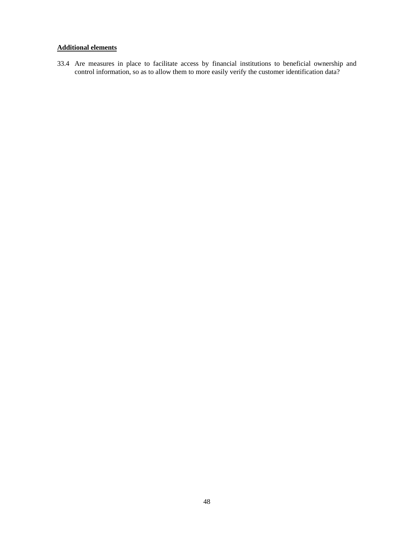# **Additional elements**

33.4 Are measures in place to facilitate access by financial institutions to beneficial ownership and control information, so as to allow them to more easily verify the customer identification data?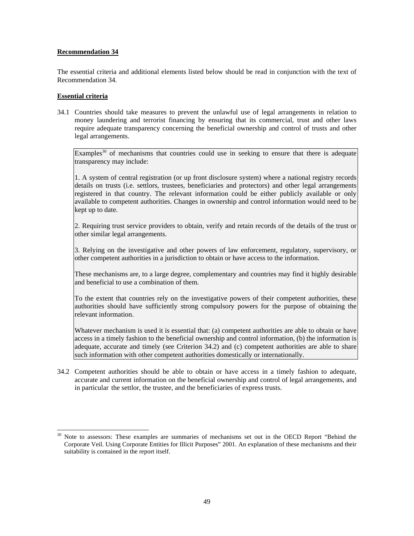The essential criteria and additional elements listed below should be read in conjunction with the text of Recommendation 34.

# **Essential criteria**

 $\overline{a}$ 

34.1 Countries should take measures to prevent the unlawful use of legal arrangements in relation to money laundering and terrorist financing by ensuring that its commercial, trust and other laws require adequate transparency concerning the beneficial ownership and control of trusts and other legal arrangements.

Examples $30$  of mechanisms that countries could use in seeking to ensure that there is adequate transparency may include:

1. A system of central registration (or up front disclosure system) where a national registry records details on trusts (i.e. settlors, trustees, beneficiaries and protectors) and other legal arrangements registered in that country. The relevant information could be either publicly available or only available to competent authorities. Changes in ownership and control information would need to be kept up to date.

2. Requiring trust service providers to obtain, verify and retain records of the details of the trust or other similar legal arrangements.

3. Relying on the investigative and other powers of law enforcement, regulatory, supervisory, or other competent authorities in a jurisdiction to obtain or have access to the information.

These mechanisms are, to a large degree, complementary and countries may find it highly desirable and beneficial to use a combination of them.

To the extent that countries rely on the investigative powers of their competent authorities, these authorities should have sufficiently strong compulsory powers for the purpose of obtaining the relevant information.

Whatever mechanism is used it is essential that: (a) competent authorities are able to obtain or have access in a timely fashion to the beneficial ownership and control information, (b) the information is adequate, accurate and timely (see Criterion 34.2) and (c) competent authorities are able to share such information with other competent authorities domestically or internationally.

34.2 Competent authorities should be able to obtain or have access in a timely fashion to adequate, accurate and current information on the beneficial ownership and control of legal arrangements, and in particular the settlor, the trustee, and the beneficiaries of express trusts.

<sup>30</sup> Note to assessors: These examples are summaries of mechanisms set out in the OECD Report "Behind the Corporate Veil. Using Corporate Entities for Illicit Purposes" 2001. An explanation of these mechanisms and their suitability is contained in the report itself.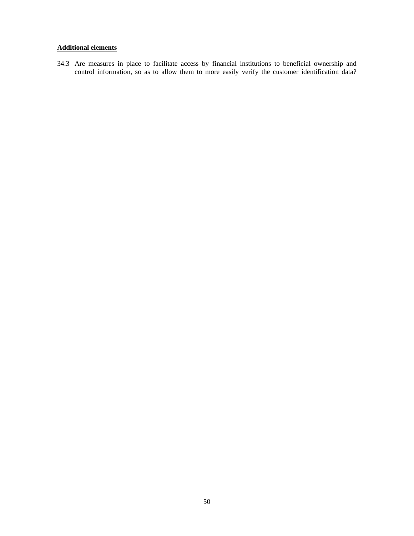# **Additional elements**

34.3 Are measures in place to facilitate access by financial institutions to beneficial ownership and control information, so as to allow them to more easily verify the customer identification data?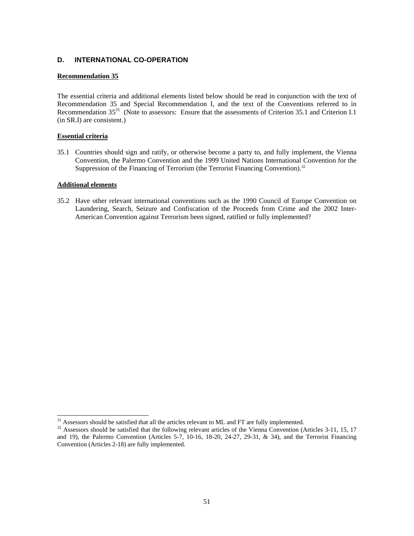# **D. INTERNATIONAL CO-OPERATION**

### **Recommendation 35**

The essential criteria and additional elements listed below should be read in conjunction with the text of Recommendation 35 and Special Recommendation I, and the text of the Conventions referred to in Recommendation 35<sup>31</sup> (Note to assessors: Ensure that the assessments of Criterion 35.1 and Criterion I.1 (in SR.I) are consistent.)

#### **Essential criteria**

35.1 Countries should sign and ratify, or otherwise become a party to, and fully implement, the Vienna Convention, the Palermo Convention and the 1999 United Nations International Convention for the Suppression of the Financing of Terrorism (the Terrorist Financing Convention).<sup>32</sup>

#### **Additional elements**

 $\overline{a}$ 

35.2 Have other relevant international conventions such as the 1990 Council of Europe Convention on Laundering, Search, Seizure and Confiscation of the Proceeds from Crime and the 2002 Inter-American Convention against Terrorism been signed, ratified or fully implemented?

<sup>&</sup>lt;sup>31</sup> Assessors should be satisfied that all the articles relevant to ML and FT are fully implemented.

<sup>&</sup>lt;sup>32</sup> Assessors should be satisfied that the following relevant articles of the Vienna Convention (Articles 3-11, 15, 17 and 19), the Palermo Convention (Articles 5-7, 10-16, 18-20, 24-27, 29-31, & 34), and the Terrorist Financing Convention (Articles 2-18) are fully implemented.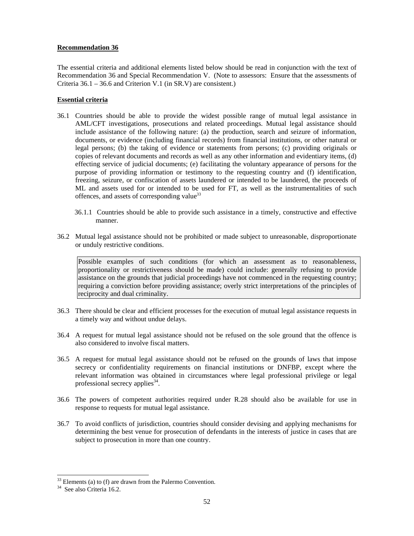The essential criteria and additional elements listed below should be read in conjunction with the text of Recommendation 36 and Special Recommendation V. (Note to assessors: Ensure that the assessments of Criteria 36.1 – 36.6 and Criterion V.1 (in SR.V) are consistent.)

# **Essential criteria**

- 36.1 Countries should be able to provide the widest possible range of mutual legal assistance in AML/CFT investigations, prosecutions and related proceedings. Mutual legal assistance should include assistance of the following nature: (a) the production, search and seizure of information, documents, or evidence (including financial records) from financial institutions, or other natural or legal persons; (b) the taking of evidence or statements from persons; (c) providing originals or copies of relevant documents and records as well as any other information and evidentiary items, (d) effecting service of judicial documents; (e) facilitating the voluntary appearance of persons for the purpose of providing information or testimony to the requesting country and (f) identification, freezing, seizure, or confiscation of assets laundered or intended to be laundered, the proceeds of ML and assets used for or intended to be used for FT, as well as the instrumentalities of such offences, and assets of corresponding value<sup>33</sup>
	- 36.1.1 Countries should be able to provide such assistance in a timely, constructive and effective manner.
- 36.2 Mutual legal assistance should not be prohibited or made subject to unreasonable, disproportionate or unduly restrictive conditions.

Possible examples of such conditions (for which an assessment as to reasonableness, proportionality or restrictiveness should be made) could include: generally refusing to provide assistance on the grounds that judicial proceedings have not commenced in the requesting country; requiring a conviction before providing assistance; overly strict interpretations of the principles of reciprocity and dual criminality.

- 36.3 There should be clear and efficient processes for the execution of mutual legal assistance requests in a timely way and without undue delays.
- 36.4 A request for mutual legal assistance should not be refused on the sole ground that the offence is also considered to involve fiscal matters.
- 36.5 A request for mutual legal assistance should not be refused on the grounds of laws that impose secrecy or confidentiality requirements on financial institutions or DNFBP, except where the relevant information was obtained in circumstances where legal professional privilege or legal professional secrecy applies $34$ .
- 36.6 The powers of competent authorities required under R.28 should also be available for use in response to requests for mutual legal assistance.
- 36.7 To avoid conflicts of jurisdiction, countries should consider devising and applying mechanisms for determining the best venue for prosecution of defendants in the interests of justice in cases that are subject to prosecution in more than one country.

 $\overline{a}$ 

 $33$  Elements (a) to (f) are drawn from the Palermo Convention.<br><sup>34</sup> See also Criteria 16.2.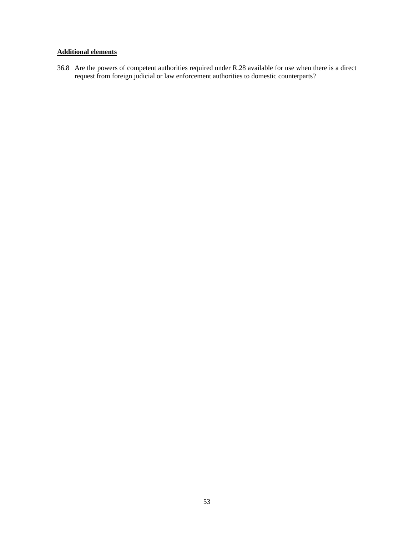# **Additional elements**

36.8 Are the powers of competent authorities required under R.28 available for use when there is a direct request from foreign judicial or law enforcement authorities to domestic counterparts?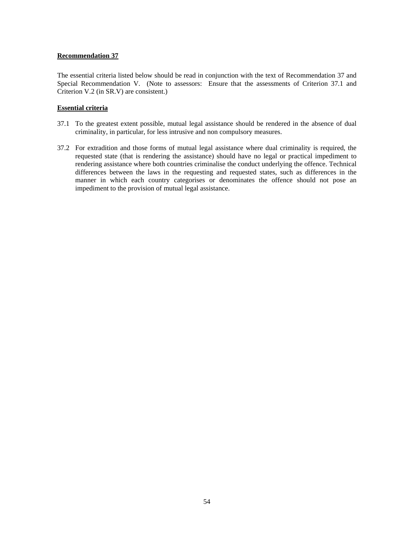The essential criteria listed below should be read in conjunction with the text of Recommendation 37 and Special Recommendation V. (Note to assessors: Ensure that the assessments of Criterion 37.1 and Criterion V.2 (in SR.V) are consistent.)

# **Essential criteria**

- 37.1 To the greatest extent possible, mutual legal assistance should be rendered in the absence of dual criminality, in particular, for less intrusive and non compulsory measures.
- 37.2 For extradition and those forms of mutual legal assistance where dual criminality is required, the requested state (that is rendering the assistance) should have no legal or practical impediment to rendering assistance where both countries criminalise the conduct underlying the offence. Technical differences between the laws in the requesting and requested states, such as differences in the manner in which each country categorises or denominates the offence should not pose an impediment to the provision of mutual legal assistance.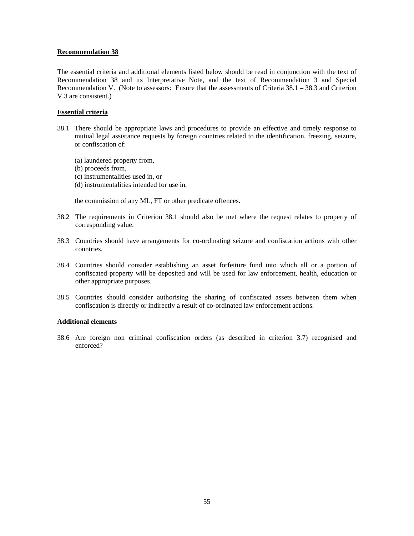The essential criteria and additional elements listed below should be read in conjunction with the text of Recommendation 38 and its Interpretative Note, and the text of Recommendation 3 and Special Recommendation V. (Note to assessors: Ensure that the assessments of Criteria 38.1 – 38.3 and Criterion V.3 are consistent.)

#### **Essential criteria**

- 38.1 There should be appropriate laws and procedures to provide an effective and timely response to mutual legal assistance requests by foreign countries related to the identification, freezing, seizure, or confiscation of:
	- (a) laundered property from,
	- (b) proceeds from,
	- (c) instrumentalities used in, or
	- (d) instrumentalities intended for use in,

the commission of any ML, FT or other predicate offences.

- 38.2 The requirements in Criterion 38.1 should also be met where the request relates to property of corresponding value.
- 38.3 Countries should have arrangements for co-ordinating seizure and confiscation actions with other countries.
- 38.4 Countries should consider establishing an asset forfeiture fund into which all or a portion of confiscated property will be deposited and will be used for law enforcement, health, education or other appropriate purposes.
- 38.5 Countries should consider authorising the sharing of confiscated assets between them when confiscation is directly or indirectly a result of co-ordinated law enforcement actions.

#### **Additional elements**

38.6 Are foreign non criminal confiscation orders (as described in criterion 3.7) recognised and enforced?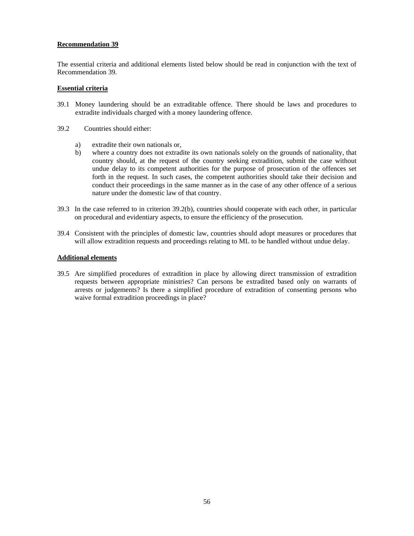The essential criteria and additional elements listed below should be read in conjunction with the text of Recommendation 39.

# **Essential criteria**

- 39.1 Money laundering should be an extraditable offence. There should be laws and procedures to extradite individuals charged with a money laundering offence.
- 39.2 Countries should either:
	- a) extradite their own nationals or,
	- b) where a country does not extradite its own nationals solely on the grounds of nationality, that country should, at the request of the country seeking extradition, submit the case without undue delay to its competent authorities for the purpose of prosecution of the offences set forth in the request. In such cases, the competent authorities should take their decision and conduct their proceedings in the same manner as in the case of any other offence of a serious nature under the domestic law of that country.
- 39.3 In the case referred to in criterion 39.2(b), countries should cooperate with each other, in particular on procedural and evidentiary aspects, to ensure the efficiency of the prosecution.
- 39.4 Consistent with the principles of domestic law, countries should adopt measures or procedures that will allow extradition requests and proceedings relating to ML to be handled without undue delay.

#### **Additional elements**

39.5 Are simplified procedures of extradition in place by allowing direct transmission of extradition requests between appropriate ministries? Can persons be extradited based only on warrants of arrests or judgements? Is there a simplified procedure of extradition of consenting persons who waive formal extradition proceedings in place?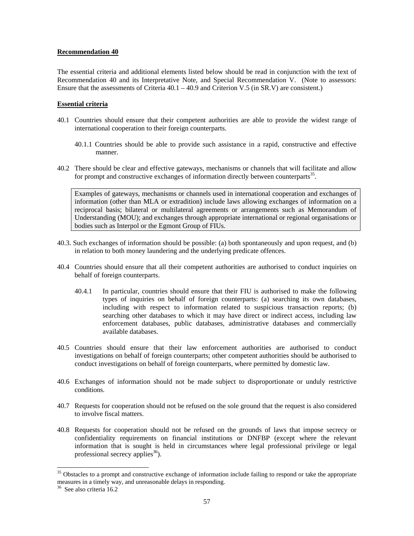The essential criteria and additional elements listed below should be read in conjunction with the text of Recommendation 40 and its Interpretative Note, and Special Recommendation V. (Note to assessors: Ensure that the assessments of Criteria 40.1 – 40.9 and Criterion V.5 (in SR.V) are consistent.)

# **Essential criteria**

- 40.1 Countries should ensure that their competent authorities are able to provide the widest range of international cooperation to their foreign counterparts.
	- 40.1.1 Countries should be able to provide such assistance in a rapid, constructive and effective manner.
- 40.2 There should be clear and effective gateways, mechanisms or channels that will facilitate and allow for prompt and constructive exchanges of information directly between counterparts<sup>35</sup>.

Examples of gateways, mechanisms or channels used in international cooperation and exchanges of information (other than MLA or extradition) include laws allowing exchanges of information on a reciprocal basis; bilateral or multilateral agreements or arrangements such as Memorandum of Understanding (MOU); and exchanges through appropriate international or regional organisations or bodies such as Interpol or the Egmont Group of FIUs.

- 40.3. Such exchanges of information should be possible: (a) both spontaneously and upon request, and (b) in relation to both money laundering and the underlying predicate offences.
- 40.4 Countries should ensure that all their competent authorities are authorised to conduct inquiries on behalf of foreign counterparts.
	- 40.4.1 In particular, countries should ensure that their FIU is authorised to make the following types of inquiries on behalf of foreign counterparts: (a) searching its own databases, including with respect to information related to suspicious transaction reports; (b) searching other databases to which it may have direct or indirect access, including law enforcement databases, public databases, administrative databases and commercially available databases.
- 40.5 Countries should ensure that their law enforcement authorities are authorised to conduct investigations on behalf of foreign counterparts; other competent authorities should be authorised to conduct investigations on behalf of foreign counterparts, where permitted by domestic law.
- 40.6 Exchanges of information should not be made subject to disproportionate or unduly restrictive conditions.
- 40.7 Requests for cooperation should not be refused on the sole ground that the request is also considered to involve fiscal matters.
- 40.8 Requests for cooperation should not be refused on the grounds of laws that impose secrecy or confidentiality requirements on financial institutions or DNFBP (except where the relevant information that is sought is held in circumstances where legal professional privilege or legal professional secrecy applies $36$ ).

 $\overline{a}$ 

<sup>&</sup>lt;sup>35</sup> Obstacles to a prompt and constructive exchange of information include failing to respond or take the appropriate measures in a timely way, and unreasonable delays in responding.

<sup>36</sup> See also criteria 16.2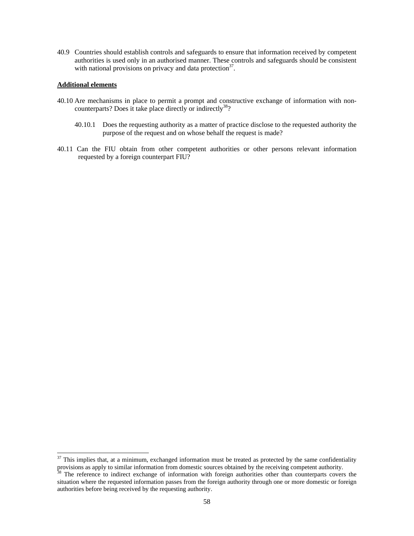40.9 Countries should establish controls and safeguards to ensure that information received by competent authorities is used only in an authorised manner. These controls and safeguards should be consistent with national provisions on privacy and data protection<sup>37</sup>.

#### **Additional elements**

l

- 40.10 Are mechanisms in place to permit a prompt and constructive exchange of information with noncounterparts? Does it take place directly or indirectly<sup>38</sup>?
	- 40.10.1 Does the requesting authority as a matter of practice disclose to the requested authority the purpose of the request and on whose behalf the request is made?
- 40.11 Can the FIU obtain from other competent authorities or other persons relevant information requested by a foreign counterpart FIU?

 $37$  This implies that, at a minimum, exchanged information must be treated as protected by the same confidentiality provisions as apply to similar information from domestic sources obtained by the receiving competent authority.

<sup>&</sup>lt;sup>38</sup> The reference to indirect exchange of information with foreign authorities other than counterparts covers the situation where the requested information passes from the foreign authority through one or more domestic or foreign authorities before being received by the requesting authority.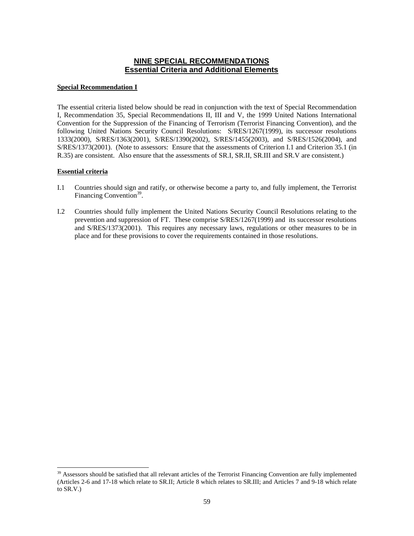# **NINE SPECIAL RECOMMENDATIONS Essential Criteria and Additional Elements**

# **Special Recommendation I**

The essential criteria listed below should be read in conjunction with the text of Special Recommendation I, Recommendation 35, Special Recommendations II, III and V, the 1999 United Nations International Convention for the Suppression of the Financing of Terrorism (Terrorist Financing Convention), and the following United Nations Security Council Resolutions: S/RES/1267(1999), its successor resolutions 1333(2000), S/RES/1363(2001), S/RES/1390(2002), S/RES/1455(2003), and S/RES/1526(2004), and S/RES/1373(2001). (Note to assessors: Ensure that the assessments of Criterion I.1 and Criterion 35.1 (in R.35) are consistent. Also ensure that the assessments of SR.I, SR.II, SR.III and SR.V are consistent.)

# **Essential criteria**

 $\overline{a}$ 

- I.1 Countries should sign and ratify, or otherwise become a party to, and fully implement, the Terrorist Financing Convention<sup>39</sup>.
- I.2 Countries should fully implement the United Nations Security Council Resolutions relating to the prevention and suppression of FT. These comprise S/RES/1267(1999) and its successor resolutions and S/RES/1373(2001). This requires any necessary laws, regulations or other measures to be in place and for these provisions to cover the requirements contained in those resolutions.

<sup>&</sup>lt;sup>39</sup> Assessors should be satisfied that all relevant articles of the Terrorist Financing Convention are fully implemented (Articles 2-6 and 17-18 which relate to SR.II; Article 8 which relates to SR.III; and Articles 7 and 9-18 which relate to SR.V.)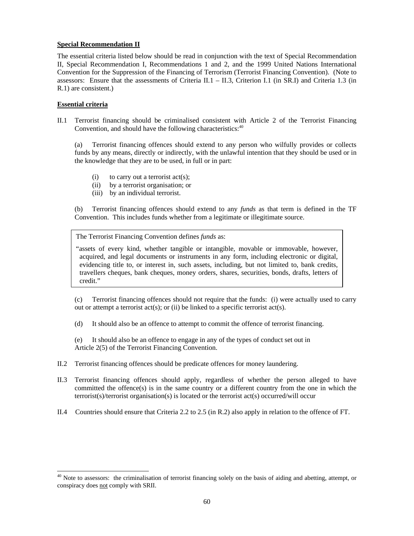# **Special Recommendation II**

The essential criteria listed below should be read in conjunction with the text of Special Recommendation II, Special Recommendation I, Recommendations 1 and 2, and the 1999 United Nations International Convention for the Suppression of the Financing of Terrorism (Terrorist Financing Convention). (Note to assessors: Ensure that the assessments of Criteria II.1 – II.3, Criterion I.1 (in SR.I) and Criteria 1.3 (in R.1) are consistent.)

# **Essential criteria**

 $\overline{a}$ 

II.1 Terrorist financing should be criminalised consistent with Article 2 of the Terrorist Financing Convention, and should have the following characteristics: $40$ 

 (a) Terrorist financing offences should extend to any person who wilfully provides or collects funds by any means, directly or indirectly, with the unlawful intention that they should be used or in the knowledge that they are to be used, in full or in part:

- (i) to carry out a terrorist  $act(s)$ ;
- (ii) by a terrorist organisation; or
- (iii) by an individual terrorist.

 (b) Terrorist financing offences should extend to any *funds* as that term is defined in the TF Convention. This includes funds whether from a legitimate or illegitimate source.

The Terrorist Financing Convention defines *funds* as:

"assets of every kind, whether tangible or intangible, movable or immovable, however, acquired, and legal documents or instruments in any form, including electronic or digital, evidencing title to, or interest in, such assets, including, but not limited to, bank credits, travellers cheques, bank cheques, money orders, shares, securities, bonds, drafts, letters of credit."

 (c) Terrorist financing offences should not require that the funds: (i) were actually used to carry out or attempt a terrorist  $act(s)$ ; or (ii) be linked to a specific terrorist  $act(s)$ .

(d) It should also be an offence to attempt to commit the offence of terrorist financing.

 (e) It should also be an offence to engage in any of the types of conduct set out in Article 2(5) of the Terrorist Financing Convention.

- II.2 Terrorist financing offences should be predicate offences for money laundering.
- II.3 Terrorist financing offences should apply, regardless of whether the person alleged to have committed the offence(s) is in the same country or a different country from the one in which the terrorist(s)/terrorist organisation(s) is located or the terrorist act(s) occurred/will occur
- II.4 Countries should ensure that Criteria 2.2 to 2.5 (in R.2) also apply in relation to the offence of FT.

 $40$  Note to assessors: the criminalisation of terrorist financing solely on the basis of aiding and abetting, attempt, or conspiracy does not comply with SRII.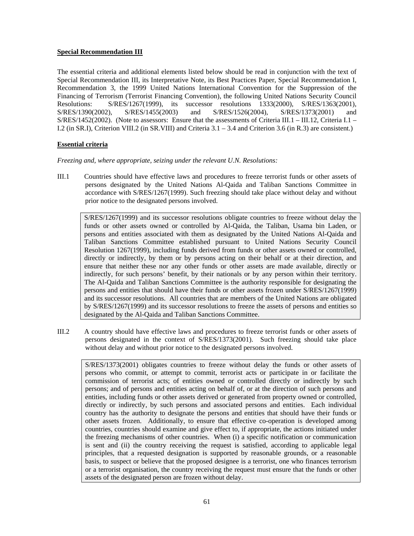# **Special Recommendation III**

The essential criteria and additional elements listed below should be read in conjunction with the text of Special Recommendation III, its Interpretative Note, its Best Practices Paper, Special Recommendation I, Recommendation 3, the 1999 United Nations International Convention for the Suppression of the Financing of Terrorism (Terrorist Financing Convention), the following United Nations Security Council Resolutions: S/RES/1267(1999), its successor resolutions 1333(2000), S/RES/1363(2001), S/RES/1390(2002), S/RES/1455(2003) and S/RES/1526(2004), S/RES/1373(2001) and  $S/RES/1452(2002)$ . (Note to assessors: Ensure that the assessments of Criteria III.1 – III.12, Criteria I.1 – I.2 (in SR.I), Criterion VIII.2 (in SR.VIII) and Criteria 3.1 – 3.4 and Criterion 3.6 (in R.3) are consistent.)

# **Essential criteria**

*Freezing and, where appropriate, seizing under the relevant U.N. Resolutions:* 

III.1 Countries should have effective laws and procedures to freeze terrorist funds or other assets of persons designated by the United Nations Al-Qaida and Taliban Sanctions Committee in accordance with S/RES/1267(1999). Such freezing should take place without delay and without prior notice to the designated persons involved.

S/RES/1267(1999) and its successor resolutions obligate countries to freeze without delay the funds or other assets owned or controlled by Al-Qaida, the Taliban, Usama bin Laden, or persons and entities associated with them as designated by the United Nations Al-Qaida and Taliban Sanctions Committee established pursuant to United Nations Security Council Resolution 1267(1999), including funds derived from funds or other assets owned or controlled, directly or indirectly, by them or by persons acting on their behalf or at their direction, and ensure that neither these nor any other funds or other assets are made available, directly or indirectly, for such persons' benefit, by their nationals or by any person within their territory. The Al-Qaida and Taliban Sanctions Committee is the authority responsible for designating the persons and entities that should have their funds or other assets frozen under S/RES/1267(1999) and its successor resolutions. All countries that are members of the United Nations are obligated by S/RES/1267(1999) and its successor resolutions to freeze the assets of persons and entities so designated by the Al-Qaida and Taliban Sanctions Committee.

III.2 A country should have effective laws and procedures to freeze terrorist funds or other assets of persons designated in the context of S/RES/1373(2001). Such freezing should take place without delay and without prior notice to the designated persons involved.

S/RES/1373(2001) obligates countries to freeze without delay the funds or other assets of persons who commit, or attempt to commit, terrorist acts or participate in or facilitate the commission of terrorist acts; of entities owned or controlled directly or indirectly by such persons; and of persons and entities acting on behalf of, or at the direction of such persons and entities, including funds or other assets derived or generated from property owned or controlled, directly or indirectly, by such persons and associated persons and entities. Each individual country has the authority to designate the persons and entities that should have their funds or other assets frozen. Additionally, to ensure that effective co-operation is developed among countries, countries should examine and give effect to, if appropriate, the actions initiated under the freezing mechanisms of other countries. When (i) a specific notification or communication is sent and (ii) the country receiving the request is satisfied, according to applicable legal principles, that a requested designation is supported by reasonable grounds, or a reasonable basis, to suspect or believe that the proposed designee is a terrorist, one who finances terrorism or a terrorist organisation, the country receiving the request must ensure that the funds or other assets of the designated person are frozen without delay.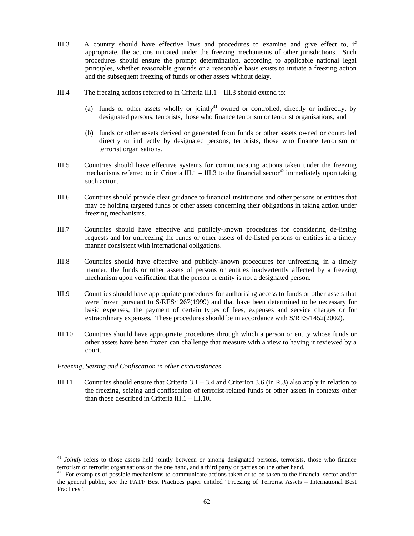- III.3 A country should have effective laws and procedures to examine and give effect to, if appropriate, the actions initiated under the freezing mechanisms of other jurisdictions. Such procedures should ensure the prompt determination, according to applicable national legal principles, whether reasonable grounds or a reasonable basis exists to initiate a freezing action and the subsequent freezing of funds or other assets without delay.
- III.4 The freezing actions referred to in Criteria III.1 III.3 should extend to:
	- (a) funds or other assets wholly or jointly<sup>41</sup> owned or controlled, directly or indirectly, by designated persons, terrorists, those who finance terrorism or terrorist organisations; and
	- (b) funds or other assets derived or generated from funds or other assets owned or controlled directly or indirectly by designated persons, terrorists, those who finance terrorism or terrorist organisations.
- III.5 Countries should have effective systems for communicating actions taken under the freezing mechanisms referred to in Criteria III.1 – III.3 to the financial sector<sup>42</sup> immediately upon taking such action.
- III.6 Countries should provide clear guidance to financial institutions and other persons or entities that may be holding targeted funds or other assets concerning their obligations in taking action under freezing mechanisms.
- III.7 Countries should have effective and publicly-known procedures for considering de-listing requests and for unfreezing the funds or other assets of de-listed persons or entities in a timely manner consistent with international obligations.
- III.8 Countries should have effective and publicly-known procedures for unfreezing, in a timely manner, the funds or other assets of persons or entities inadvertently affected by a freezing mechanism upon verification that the person or entity is not a designated person.
- III.9 Countries should have appropriate procedures for authorising access to funds or other assets that were frozen pursuant to S/RES/1267(1999) and that have been determined to be necessary for basic expenses, the payment of certain types of fees, expenses and service charges or for extraordinary expenses. These procedures should be in accordance with S/RES/1452(2002).
- III.10 Countries should have appropriate procedures through which a person or entity whose funds or other assets have been frozen can challenge that measure with a view to having it reviewed by a court.

# *Freezing, Seizing and Confiscation in other circumstances*

l

III.11 Countries should ensure that Criteria 3.1 – 3.4 and Criterion 3.6 (in R.3) also apply in relation to the freezing, seizing and confiscation of terrorist-related funds or other assets in contexts other than those described in Criteria III.1 – III.10.

<sup>&</sup>lt;sup>41</sup> *Jointly* refers to those assets held jointly between or among designated persons, terrorists, those who finance terrorism or terrorist organisations on the one hand, and a third party or parties on the other hand.

 $42$  For examples of possible mechanisms to communicate actions taken or to be taken to the financial sector and/or the general public, see the FATF Best Practices paper entitled "Freezing of Terrorist Assets – International Best Practices".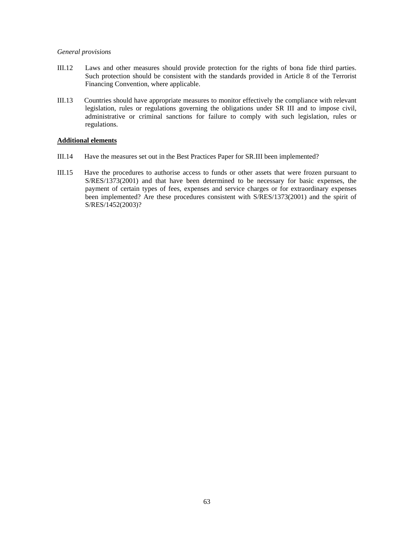### *General provisions*

- III.12 Laws and other measures should provide protection for the rights of bona fide third parties. Such protection should be consistent with the standards provided in Article 8 of the Terrorist Financing Convention, where applicable.
- III.13 Countries should have appropriate measures to monitor effectively the compliance with relevant legislation, rules or regulations governing the obligations under SR III and to impose civil, administrative or criminal sanctions for failure to comply with such legislation, rules or regulations.

#### **Additional elements**

- III.14 Have the measures set out in the Best Practices Paper for SR.III been implemented?
- III.15 Have the procedures to authorise access to funds or other assets that were frozen pursuant to S/RES/1373(2001) and that have been determined to be necessary for basic expenses, the payment of certain types of fees, expenses and service charges or for extraordinary expenses been implemented? Are these procedures consistent with S/RES/1373(2001) and the spirit of S/RES/1452(2003)?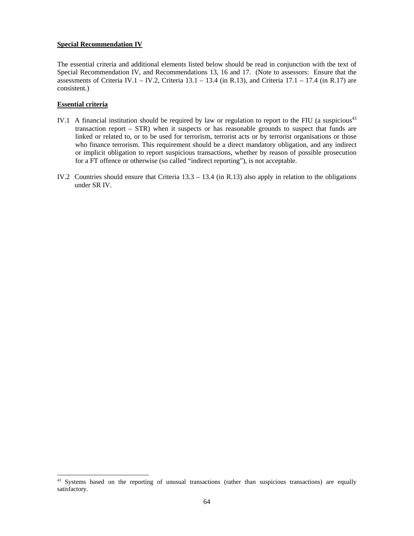#### **Special Recommendation IV**

The essential criteria and additional elements listed below should be read in conjunction with the text of Special Recommendation IV, and Recommendations 13, 16 and 17. (Note to assessors: Ensure that the assessments of Criteria IV.1 – IV.2, Criteria  $13.1 - 13.4$  (in R.13), and Criteria  $17.1 - 17.4$  (in R.17) are consistent.)

# **Essential criteria**

 $\overline{a}$ 

- IV.1 A financial institution should be required by law or regulation to report to the FIU (a suspicious<sup>43</sup> transaction report – STR) when it suspects or has reasonable grounds to suspect that funds are linked or related to, or to be used for terrorism, terrorist acts or by terrorist organisations or those who finance terrorism. This requirement should be a direct mandatory obligation, and any indirect or implicit obligation to report suspicious transactions, whether by reason of possible prosecution for a FT offence or otherwise (so called "indirect reporting"), is not acceptable.
- IV.2 Countries should ensure that Criteria 13.3 13.4 (in R.13) also apply in relation to the obligations under SR IV.

<sup>&</sup>lt;sup>43</sup> Systems based on the reporting of unusual transactions (rather than suspicious transactions) are equally satisfactory.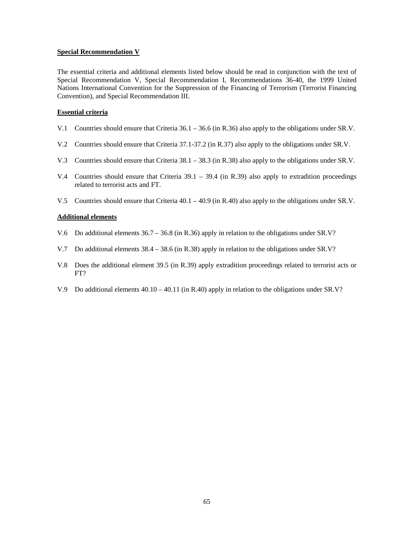### **Special Recommendation V**

The essential criteria and additional elements listed below should be read in conjunction with the text of Special Recommendation V, Special Recommendation I, Recommendations 36-40, the 1999 United Nations International Convention for the Suppression of the Financing of Terrorism (Terrorist Financing Convention), and Special Recommendation III.

#### **Essential criteria**

- V.1 Countries should ensure that Criteria 36.1 36.6 (in R.36) also apply to the obligations under SR.V.
- V.2 Countries should ensure that Criteria 37.1-37.2 (in R.37) also apply to the obligations under SR.V.
- V.3 Countries should ensure that Criteria 38.1 38.3 (in R.38) also apply to the obligations under SR.V.
- V.4 Countries should ensure that Criteria  $39.1 39.4$  (in R.39) also apply to extradition proceedings related to terrorist acts and FT.
- V.5 Countries should ensure that Criteria 40.1 40.9 (in R.40) also apply to the obligations under SR.V.

#### **Additional elements**

- V.6 Do additional elements 36.7 36.8 (in R.36) apply in relation to the obligations under SR.V?
- V.7 Do additional elements 38.4 38.6 (in R.38) apply in relation to the obligations under SR.V?
- V.8 Does the additional element 39.5 (in R.39) apply extradition proceedings related to terrorist acts or FT?
- V.9 Do additional elements 40.10 40.11 (in R.40) apply in relation to the obligations under SR.V?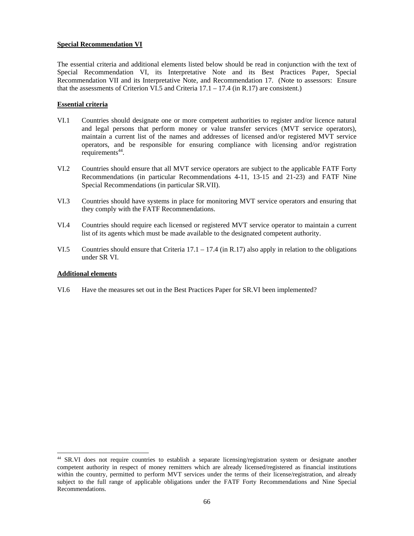# **Special Recommendation VI**

The essential criteria and additional elements listed below should be read in conjunction with the text of Special Recommendation VI, its Interpretative Note and its Best Practices Paper, Special Recommendation VII and its Interpretative Note, and Recommendation 17. (Note to assessors: Ensure that the assessments of Criterion VI.5 and Criteria 17.1 – 17.4 (in R.17) are consistent.)

# **Essential criteria**

- VI.1 Countries should designate one or more competent authorities to register and/or licence natural and legal persons that perform money or value transfer services (MVT service operators), maintain a current list of the names and addresses of licensed and/or registered MVT service operators, and be responsible for ensuring compliance with licensing and/or registration requirements $44$ .
- VI.2 Countries should ensure that all MVT service operators are subject to the applicable FATF Forty Recommendations (in particular Recommendations 4-11, 13-15 and 21-23) and FATF Nine Special Recommendations (in particular SR.VII).
- VI.3 Countries should have systems in place for monitoring MVT service operators and ensuring that they comply with the FATF Recommendations.
- VI.4 Countries should require each licensed or registered MVT service operator to maintain a current list of its agents which must be made available to the designated competent authority.
- VI.5 Countries should ensure that Criteria 17.1 17.4 (in R.17) also apply in relation to the obligations under SR VI.

# **Additional elements**

l

VI.6 Have the measures set out in the Best Practices Paper for SR.VI been implemented?

<sup>44</sup> SR.VI does not require countries to establish a separate licensing/registration system or designate another competent authority in respect of money remitters which are already licensed/registered as financial institutions within the country, permitted to perform MVT services under the terms of their license/registration, and already subject to the full range of applicable obligations under the FATF Forty Recommendations and Nine Special Recommendations.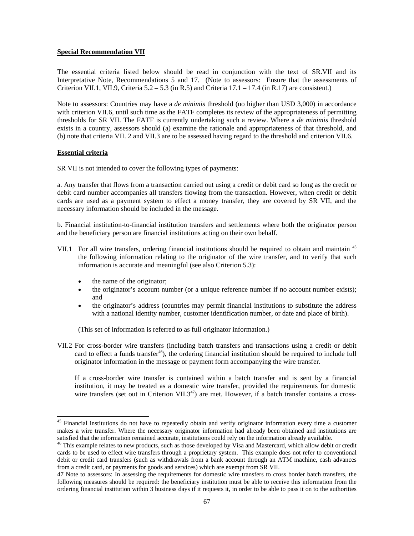### **Special Recommendation VII**

The essential criteria listed below should be read in conjunction with the text of SR.VII and its Interpretative Note, Recommendations 5 and 17. (Note to assessors: Ensure that the assessments of Criterion VII.1, VII.9, Criteria  $5.2 - 5.3$  (in R.5) and Criteria  $17.1 - 17.4$  (in R.17) are consistent.)

Note to assessors: Countries may have a *de minimis* threshold (no higher than USD 3,000) in accordance with criterion VII.6, until such time as the FATF completes its review of the appropriateness of permitting thresholds for SR VII. The FATF is currently undertaking such a review. Where a *de minimis* threshold exists in a country, assessors should (a) examine the rationale and appropriateness of that threshold, and (b) note that criteria VII. 2 and VII.3 are to be assessed having regard to the threshold and criterion VII.6.

# **Essential criteria**

l

SR VII is not intended to cover the following types of payments:

a. Any transfer that flows from a transaction carried out using a credit or debit card so long as the credit or debit card number accompanies all transfers flowing from the transaction. However, when credit or debit cards are used as a payment system to effect a money transfer, they are covered by SR VII, and the necessary information should be included in the message.

b. Financial institution-to-financial institution transfers and settlements where both the originator person and the beneficiary person are financial institutions acting on their own behalf.

- VII.1 For all wire transfers, ordering financial institutions should be required to obtain and maintain <sup>45</sup> the following information relating to the originator of the wire transfer, and to verify that such information is accurate and meaningful (see also Criterion 5.3):
	- the name of the originator;
	- the originator's account number (or a unique reference number if no account number exists); and
	- the originator's address (countries may permit financial institutions to substitute the address with a national identity number, customer identification number, or date and place of birth).

(This set of information is referred to as full originator information.)

VII.2 For cross-border wire transfers (including batch transfers and transactions using a credit or debit card to effect a funds transfer<sup>46</sup>), the ordering financial institution should be required to include full originator information in the message or payment form accompanying the wire transfer.

If a cross-border wire transfer is contained within a batch transfer and is sent by a financial institution, it may be treated as a domestic wire transfer, provided the requirements for domestic wire transfers (set out in Criterion VII.3<sup>47</sup>) are met. However, if a batch transfer contains a cross-

<sup>&</sup>lt;sup>45</sup> Financial institutions do not have to repeatedly obtain and verify originator information every time a customer makes a wire transfer. Where the necessary originator information had already been obtained and institutions are satisfied that the information remained accurate, institutions could rely on the information already available.

<sup>&</sup>lt;sup>46</sup> This example relates to new products, such as those developed by Visa and Mastercard, which allow debit or credit cards to be used to effect wire transfers through a proprietary system. This example does not refer to conventional debit or credit card transfers (such as withdrawals from a bank account through an ATM machine, cash advances from a credit card, or payments for goods and services) which are exempt from SR VII.

<sup>47</sup> Note to assessors: In assessing the requirements for domestic wire transfers to cross border batch transfers, the following measures should be required: the beneficiary institution must be able to receive this information from the ordering financial institution within 3 business days if it requests it, in order to be able to pass it on to the authorities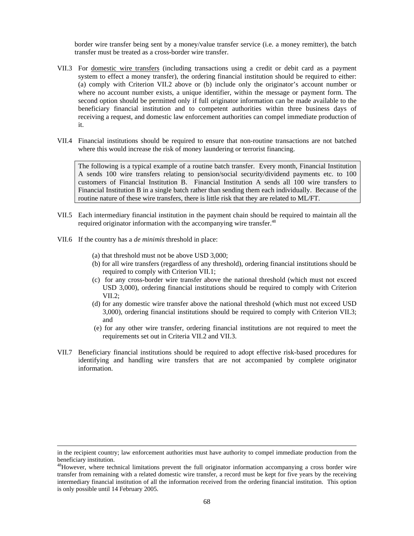border wire transfer being sent by a money/value transfer service (i.e. a money remitter), the batch transfer must be treated as a cross-border wire transfer.

- VII.3 For domestic wire transfers (including transactions using a credit or debit card as a payment system to effect a money transfer), the ordering financial institution should be required to either: (a) comply with Criterion VII.2 above or (b) include only the originator's account number or where no account number exists, a unique identifier, within the message or payment form. The second option should be permitted only if full originator information can be made available to the beneficiary financial institution and to competent authorities within three business days of receiving a request, and domestic law enforcement authorities can compel immediate production of it.
- VII.4 Financial institutions should be required to ensure that non-routine transactions are not batched where this would increase the risk of money laundering or terrorist financing.

The following is a typical example of a routine batch transfer. Every month, Financial Institution A sends 100 wire transfers relating to pension/social security/dividend payments etc. to 100 customers of Financial Institution B. Financial Institution A sends all 100 wire transfers to Financial Institution B in a single batch rather than sending them each individually. Because of the routine nature of these wire transfers, there is little risk that they are related to ML/FT.

- VII.5 Each intermediary financial institution in the payment chain should be required to maintain all the required originator information with the accompanying wire transfer.<sup>48</sup>
- VII.6 If the country has a *de minimis* threshold in place:

-

- (a) that threshold must not be above USD 3,000;
- (b) for all wire transfers (regardless of any threshold), ordering financial institutions should be required to comply with Criterion VII.1;
- (c) for any cross-border wire transfer above the national threshold (which must not exceed USD 3,000), ordering financial institutions should be required to comply with Criterion VII.2;
- (d) for any domestic wire transfer above the national threshold (which must not exceed USD 3,000), ordering financial institutions should be required to comply with Criterion VII.3; and
- (e) for any other wire transfer, ordering financial institutions are not required to meet the requirements set out in Criteria VII.2 and VII.3.
- VII.7 Beneficiary financial institutions should be required to adopt effective risk-based procedures for identifying and handling wire transfers that are not accompanied by complete originator information.

in the recipient country; law enforcement authorities must have authority to compel immediate production from the beneficiary institution.

<sup>&</sup>lt;sup>48</sup>However, where technical limitations prevent the full originator information accompanying a cross border wire transfer from remaining with a related domestic wire transfer, a record must be kept for five years by the receiving intermediary financial institution of all the information received from the ordering financial institution. This option is only possible until 14 February 2005.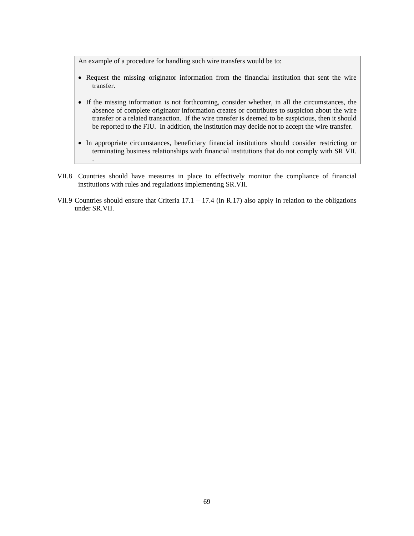An example of a procedure for handling such wire transfers would be to:

- Request the missing originator information from the financial institution that sent the wire transfer.
- If the missing information is not forthcoming, consider whether, in all the circumstances, the absence of complete originator information creates or contributes to suspicion about the wire transfer or a related transaction. If the wire transfer is deemed to be suspicious, then it should be reported to the FIU. In addition, the institution may decide not to accept the wire transfer.
- In appropriate circumstances, beneficiary financial institutions should consider restricting or terminating business relationships with financial institutions that do not comply with SR VII. .
- VII.8 Countries should have measures in place to effectively monitor the compliance of financial institutions with rules and regulations implementing SR.VII.
- VII.9 Countries should ensure that Criteria  $17.1 17.4$  (in R.17) also apply in relation to the obligations under SR.VII.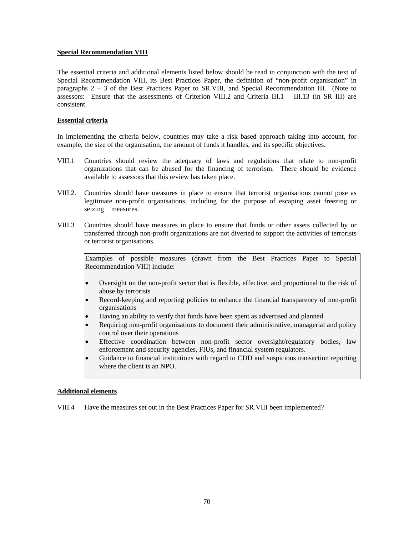### **Special Recommendation VIII**

The essential criteria and additional elements listed below should be read in conjunction with the text of Special Recommendation VIII, its Best Practices Paper, the definition of "non-profit organisation" in paragraphs 2 – 3 of the Best Practices Paper to SR.VIII, and Special Recommendation III. (Note to assessors: Ensure that the assessments of Criterion VIII.2 and Criteria III.1 – III.13 (in SR III) are consistent.

### **Essential criteria**

In implementing the criteria below, countries may take a risk based approach taking into account, for example, the size of the organisation, the amount of funds it handles, and its specific objectives.

- VIII.1 Countries should review the adequacy of laws and regulations that relate to non-profit organizations that can be abused for the financing of terrorism. There should be evidence available to assessors that this review has taken place.
- VIII.2. Countries should have measures in place to ensure that terrorist organisations cannot pose as legitimate non-profit organisations, including for the purpose of escaping asset freezing or seizing measures.
- VIII.3 Countries should have measures in place to ensure that funds or other assets collected by or transferred through non-profit organizations are not diverted to support the activities of terrorists or terrorist organisations.

Examples of possible measures (drawn from the Best Practices Paper to Special Recommendation VIII) include:

- Oversight on the non-profit sector that is flexible, effective, and proportional to the risk of abuse by terrorists
- Record-keeping and reporting policies to enhance the financial transparency of non-profit organisations
- Having an ability to verify that funds have been spent as advertised and planned
- Requiring non-profit organisations to document their administrative, managerial and policy control over their operations
- Effective coordination between non-profit sector oversight/regulatory bodies, law enforcement and security agencies, FIUs, and financial system regulators.
- Guidance to financial institutions with regard to CDD and suspicious transaction reporting where the client is an NPO.

#### **Additional elements**

VIII.4 Have the measures set out in the Best Practices Paper for SR.VIII been implemented?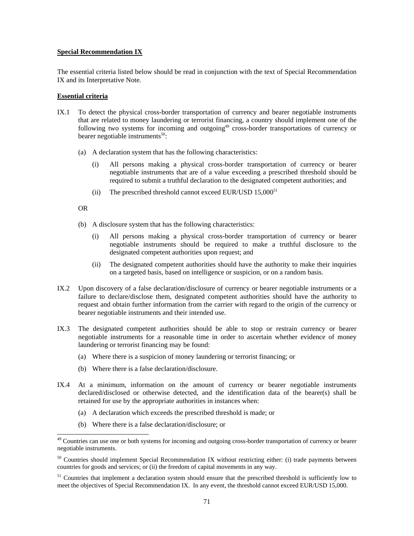#### **Special Recommendation IX**

The essential criteria listed below should be read in conjunction with the text of Special Recommendation IX and its Interpretative Note.

#### **Essential criteria**

- IX.1 To detect the physical cross-border transportation of currency and bearer negotiable instruments that are related to money laundering or terrorist financing, a country should implement one of the following two systems for incoming and outgoing<sup>49</sup> cross-border transportations of currency or bearer negotiable instruments $^{50}$ :
	- (a) A declaration system that has the following characteristics:
		- (i) All persons making a physical cross-border transportation of currency or bearer negotiable instruments that are of a value exceeding a prescribed threshold should be required to submit a truthful declaration to the designated competent authorities; and
		- (ii) The prescribed threshold cannot exceed EUR/USD  $15,000^{51}$

OR

l

- (b) A disclosure system that has the following characteristics:
	- (i) All persons making a physical cross-border transportation of currency or bearer negotiable instruments should be required to make a truthful disclosure to the designated competent authorities upon request; and
	- (ii) The designated competent authorities should have the authority to make their inquiries on a targeted basis, based on intelligence or suspicion, or on a random basis.
- IX.2 Upon discovery of a false declaration/disclosure of currency or bearer negotiable instruments or a failure to declare/disclose them, designated competent authorities should have the authority to request and obtain further information from the carrier with regard to the origin of the currency or bearer negotiable instruments and their intended use.
- IX.3 The designated competent authorities should be able to stop or restrain currency or bearer negotiable instruments for a reasonable time in order to ascertain whether evidence of money laundering or terrorist financing may be found:
	- (a) Where there is a suspicion of money laundering or terrorist financing; or
	- (b) Where there is a false declaration/disclosure.
- IX.4 At a minimum, information on the amount of currency or bearer negotiable instruments declared/disclosed or otherwise detected, and the identification data of the bearer(s) shall be retained for use by the appropriate authorities in instances when:
	- (a) A declaration which exceeds the prescribed threshold is made; or
	- (b) Where there is a false declaration/disclosure; or

<sup>&</sup>lt;sup>49</sup> Countries can use one or both systems for incoming and outgoing cross-border transportation of currency or bearer negotiable instruments.

<sup>&</sup>lt;sup>50</sup> Countries should implement Special Recommendation IX without restricting either: (i) trade payments between countries for goods and services; or (ii) the freedom of capital movements in any way.

 $51$  Countries that implement a declaration system should ensure that the prescribed threshold is sufficiently low to meet the objectives of Special Recommendation IX. In any event, the threshold cannot exceed EUR/USD 15,000.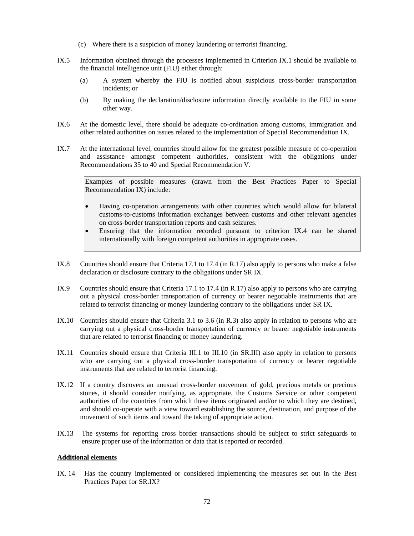- (c) Where there is a suspicion of money laundering or terrorist financing.
- IX.5 Information obtained through the processes implemented in Criterion IX.1 should be available to the financial intelligence unit (FIU) either through:
	- (a) A system whereby the FIU is notified about suspicious cross-border transportation incidents; or
	- (b) By making the declaration/disclosure information directly available to the FIU in some other way.
- IX.6 At the domestic level, there should be adequate co-ordination among customs, immigration and other related authorities on issues related to the implementation of Special Recommendation IX.
- IX.7 At the international level, countries should allow for the greatest possible measure of co-operation and assistance amongst competent authorities, consistent with the obligations under Recommendations 35 to 40 and Special Recommendation V.

Examples of possible measures (drawn from the Best Practices Paper to Special Recommendation IX) include:

- Having co-operation arrangements with other countries which would allow for bilateral customs-to-customs information exchanges between customs and other relevant agencies on cross-border transportation reports and cash seizures.
- Ensuring that the information recorded pursuant to criterion IX.4 can be shared internationally with foreign competent authorities in appropriate cases.
- IX.8 Countries should ensure that Criteria 17.1 to 17.4 (in R.17) also apply to persons who make a false declaration or disclosure contrary to the obligations under SR IX.
- IX.9 Countries should ensure that Criteria 17.1 to 17.4 (in R.17) also apply to persons who are carrying out a physical cross-border transportation of currency or bearer negotiable instruments that are related to terrorist financing or money laundering contrary to the obligations under SR IX.
- IX.10 Countries should ensure that Criteria 3.1 to 3.6 (in R.3) also apply in relation to persons who are carrying out a physical cross-border transportation of currency or bearer negotiable instruments that are related to terrorist financing or money laundering.
- IX.11 Countries should ensure that Criteria III.1 to III.10 (in SR.III) also apply in relation to persons who are carrying out a physical cross-border transportation of currency or bearer negotiable instruments that are related to terrorist financing.
- IX.12 If a country discovers an unusual cross-border movement of gold, precious metals or precious stones, it should consider notifying, as appropriate, the Customs Service or other competent authorities of the countries from which these items originated and/or to which they are destined, and should co-operate with a view toward establishing the source, destination, and purpose of the movement of such items and toward the taking of appropriate action.
- IX.13 The systems for reporting cross border transactions should be subject to strict safeguards to ensure proper use of the information or data that is reported or recorded.

#### **Additional elements**

IX. 14 Has the country implemented or considered implementing the measures set out in the Best Practices Paper for SR.IX?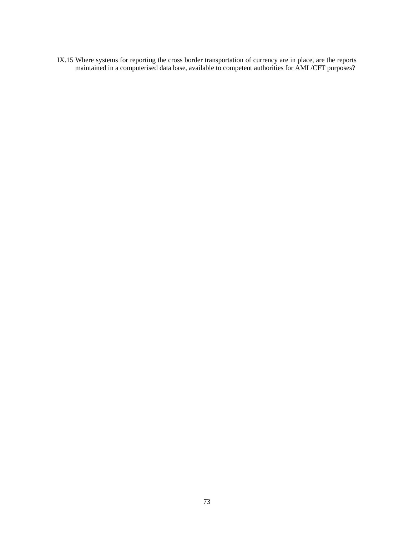IX.15 Where systems for reporting the cross border transportation of currency are in place, are the reports maintained in a computerised data base, available to competent authorities for AML/CFT purposes?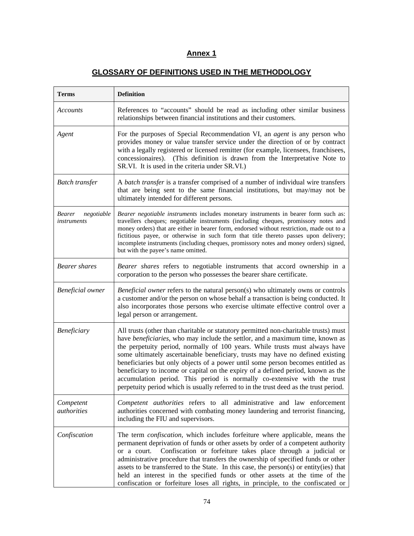# **Annex 1**

## **GLOSSARY OF DEFINITIONS USED IN THE METHODOLOGY**

| <b>Terms</b>                        | <b>Definition</b>                                                                                                                                                                                                                                                                                                                                                                                                                                                                                                                                                                                                                                                                          |
|-------------------------------------|--------------------------------------------------------------------------------------------------------------------------------------------------------------------------------------------------------------------------------------------------------------------------------------------------------------------------------------------------------------------------------------------------------------------------------------------------------------------------------------------------------------------------------------------------------------------------------------------------------------------------------------------------------------------------------------------|
| Accounts                            | References to "accounts" should be read as including other similar business<br>relationships between financial institutions and their customers.                                                                                                                                                                                                                                                                                                                                                                                                                                                                                                                                           |
| Agent                               | For the purposes of Special Recommendation VI, an <i>agent</i> is any person who<br>provides money or value transfer service under the direction of or by contract<br>with a legally registered or licensed remitter (for example, licensees, franchisees,<br>concessionaires). (This definition is drawn from the Interpretative Note to<br>SR.VI. It is used in the criteria under SR.VI.)                                                                                                                                                                                                                                                                                               |
| <b>Batch transfer</b>               | A batch transfer is a transfer comprised of a number of individual wire transfers<br>that are being sent to the same financial institutions, but may/may not be<br>ultimately intended for different persons.                                                                                                                                                                                                                                                                                                                                                                                                                                                                              |
| Bearer<br>negotiable<br>instruments | Bearer negotiable instruments includes monetary instruments in bearer form such as:<br>travellers cheques; negotiable instruments (including cheques, promissory notes and<br>money orders) that are either in bearer form, endorsed without restriction, made out to a<br>fictitious payee, or otherwise in such form that title thereto passes upon delivery;<br>incomplete instruments (including cheques, promissory notes and money orders) signed,<br>but with the payee's name omitted.                                                                                                                                                                                             |
| <b>Bearer</b> shares                | Bearer shares refers to negotiable instruments that accord ownership in a<br>corporation to the person who possesses the bearer share certificate.                                                                                                                                                                                                                                                                                                                                                                                                                                                                                                                                         |
| <b>Beneficial</b> owner             | Beneficial owner refers to the natural person(s) who ultimately owns or controls<br>a customer and/or the person on whose behalf a transaction is being conducted. It<br>also incorporates those persons who exercise ultimate effective control over a<br>legal person or arrangement.                                                                                                                                                                                                                                                                                                                                                                                                    |
| <b>Beneficiary</b>                  | All trusts (other than charitable or statutory permitted non-charitable trusts) must<br>have <i>beneficiaries</i> , who may include the settlor, and a maximum time, known as<br>the perpetuity period, normally of 100 years. While trusts must always have<br>some ultimately ascertainable beneficiary, trusts may have no defined existing<br>beneficiaries but only objects of a power until some person becomes entitled as<br>beneficiary to income or capital on the expiry of a defined period, known as the<br>accumulation period. This period is normally co-extensive with the trust<br>perpetuity period which is usually referred to in the trust deed as the trust period. |
| Competent<br>authorities            | Competent authorities refers to all administrative and law enforcement<br>authorities concerned with combating money laundering and terrorist financing,<br>including the FIU and supervisors.                                                                                                                                                                                                                                                                                                                                                                                                                                                                                             |
| Confiscation                        | The term <i>confiscation</i> , which includes forfeiture where applicable, means the<br>permanent deprivation of funds or other assets by order of a competent authority<br>or a court. Confiscation or forfeiture takes place through a judicial or<br>administrative procedure that transfers the ownership of specified funds or other<br>assets to be transferred to the State. In this case, the person(s) or entity(ies) that<br>held an interest in the specified funds or other assets at the time of the<br>confiscation or forfeiture loses all rights, in principle, to the confiscated or                                                                                      |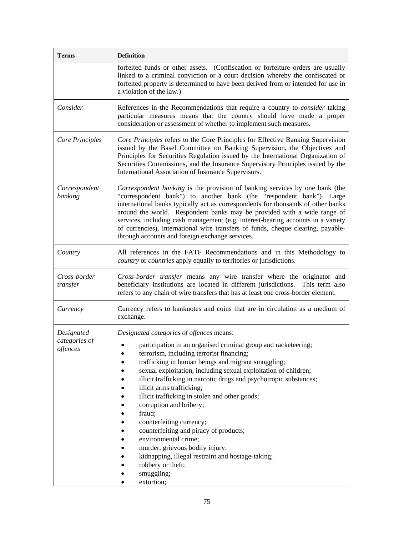| <b>Definition</b>                                                                                                                                                                                                                                                                                                                                                                                                                                                                                                                                                                                                                                                                                                                                     |
|-------------------------------------------------------------------------------------------------------------------------------------------------------------------------------------------------------------------------------------------------------------------------------------------------------------------------------------------------------------------------------------------------------------------------------------------------------------------------------------------------------------------------------------------------------------------------------------------------------------------------------------------------------------------------------------------------------------------------------------------------------|
| forfeited funds or other assets. (Confiscation or forfeiture orders are usually<br>linked to a criminal conviction or a court decision whereby the confiscated or<br>forfeited property is determined to have been derived from or intended for use in<br>a violation of the law.)                                                                                                                                                                                                                                                                                                                                                                                                                                                                    |
| References in the Recommendations that require a country to <i>consider</i> taking<br>particular measures means that the country should have made a proper<br>consideration or assessment of whether to implement such measures.                                                                                                                                                                                                                                                                                                                                                                                                                                                                                                                      |
| Core Principles refers to the Core Principles for Effective Banking Supervision<br>issued by the Basel Committee on Banking Supervision, the Objectives and<br>Principles for Securities Regulation issued by the International Organization of<br>Securities Commissions, and the Insurance Supervisory Principles issued by the<br>International Association of Insurance Supervisors.                                                                                                                                                                                                                                                                                                                                                              |
| Correspondent banking is the provision of banking services by one bank (the<br>"correspondent bank") to another bank (the "respondent bank"). Large<br>international banks typically act as correspondents for thousands of other banks<br>around the world. Respondent banks may be provided with a wide range of<br>services, including cash management (e.g. interest-bearing accounts in a variety<br>of currencies), international wire transfers of funds, cheque clearing, payable-<br>through accounts and foreign exchange services.                                                                                                                                                                                                         |
| All references in the FATF Recommendations and in this Methodology to<br>country or countries apply equally to territories or jurisdictions.                                                                                                                                                                                                                                                                                                                                                                                                                                                                                                                                                                                                          |
| Cross-border transfer means any wire transfer where the originator and<br>beneficiary institutions are located in different jurisdictions.<br>This term also<br>refers to any chain of wire transfers that has at least one cross-border element.                                                                                                                                                                                                                                                                                                                                                                                                                                                                                                     |
| Currency refers to banknotes and coins that are in circulation as a medium of<br>exchange.                                                                                                                                                                                                                                                                                                                                                                                                                                                                                                                                                                                                                                                            |
| Designated categories of offences means:<br>participation in an organised criminal group and racketeering;<br>terrorism, including terrorist financing;<br>trafficking in human beings and migrant smuggling;<br>sexual exploitation, including sexual exploitation of children;<br>illicit trafficking in narcotic drugs and psychotropic substances;<br>illicit arms trafficking;<br>٠<br>illicit trafficking in stolen and other goods;<br>$\bullet$<br>corruption and bribery;<br>٠<br>fraud;<br>counterfeiting currency;<br>counterfeiting and piracy of products;<br>environmental crime;<br>murder, grievous bodily injury;<br>kidnapping, illegal restraint and hostage-taking;<br>robbery or theft;<br>$\bullet$<br>smuggling;<br>extortion; |
|                                                                                                                                                                                                                                                                                                                                                                                                                                                                                                                                                                                                                                                                                                                                                       |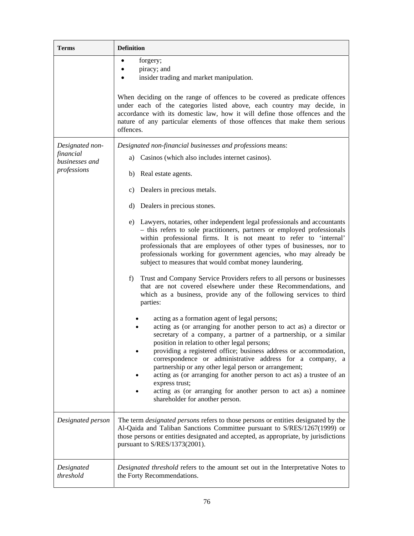| <b>Terms</b>                  | <b>Definition</b>                                                                                                                                                                                                                                                                                                                                                                                                                                                                                                                                                                                                                                                                                                                                                                                                                                                                                                                                                                                                                                                                                                                                                                                                                                                                |
|-------------------------------|----------------------------------------------------------------------------------------------------------------------------------------------------------------------------------------------------------------------------------------------------------------------------------------------------------------------------------------------------------------------------------------------------------------------------------------------------------------------------------------------------------------------------------------------------------------------------------------------------------------------------------------------------------------------------------------------------------------------------------------------------------------------------------------------------------------------------------------------------------------------------------------------------------------------------------------------------------------------------------------------------------------------------------------------------------------------------------------------------------------------------------------------------------------------------------------------------------------------------------------------------------------------------------|
|                               | forgery;<br>piracy; and<br>insider trading and market manipulation.<br>When deciding on the range of offences to be covered as predicate offences<br>under each of the categories listed above, each country may decide, in<br>accordance with its domestic law, how it will define those offences and the<br>nature of any particular elements of those offences that make them serious                                                                                                                                                                                                                                                                                                                                                                                                                                                                                                                                                                                                                                                                                                                                                                                                                                                                                         |
|                               | offences.                                                                                                                                                                                                                                                                                                                                                                                                                                                                                                                                                                                                                                                                                                                                                                                                                                                                                                                                                                                                                                                                                                                                                                                                                                                                        |
| Designated non-<br>financial  | Designated non-financial businesses and professions means:<br>a) Casinos (which also includes internet casinos).                                                                                                                                                                                                                                                                                                                                                                                                                                                                                                                                                                                                                                                                                                                                                                                                                                                                                                                                                                                                                                                                                                                                                                 |
| businesses and<br>professions | b) Real estate agents.                                                                                                                                                                                                                                                                                                                                                                                                                                                                                                                                                                                                                                                                                                                                                                                                                                                                                                                                                                                                                                                                                                                                                                                                                                                           |
|                               | c) Dealers in precious metals.                                                                                                                                                                                                                                                                                                                                                                                                                                                                                                                                                                                                                                                                                                                                                                                                                                                                                                                                                                                                                                                                                                                                                                                                                                                   |
|                               | d) Dealers in precious stones.                                                                                                                                                                                                                                                                                                                                                                                                                                                                                                                                                                                                                                                                                                                                                                                                                                                                                                                                                                                                                                                                                                                                                                                                                                                   |
|                               | e) Lawyers, notaries, other independent legal professionals and accountants<br>- this refers to sole practitioners, partners or employed professionals<br>within professional firms. It is not meant to refer to 'internal'<br>professionals that are employees of other types of businesses, nor to<br>professionals working for government agencies, who may already be<br>subject to measures that would combat money laundering.<br>Trust and Company Service Providers refers to all persons or businesses<br>f)<br>that are not covered elsewhere under these Recommendations, and<br>which as a business, provide any of the following services to third<br>parties:<br>acting as a formation agent of legal persons;<br>acting as (or arranging for another person to act as) a director or<br>secretary of a company, a partner of a partnership, or a similar<br>position in relation to other legal persons;<br>providing a registered office; business address or accommodation,<br>correspondence or administrative address for a company, a<br>partnership or any other legal person or arrangement;<br>acting as (or arranging for another person to act as) a trustee of an<br>express trust;<br>acting as (or arranging for another person to act as) a nominee |
|                               | shareholder for another person.                                                                                                                                                                                                                                                                                                                                                                                                                                                                                                                                                                                                                                                                                                                                                                                                                                                                                                                                                                                                                                                                                                                                                                                                                                                  |
| Designated person             | The term <i>designated persons</i> refers to those persons or entities designated by the<br>Al-Qaida and Taliban Sanctions Committee pursuant to S/RES/1267(1999) or<br>those persons or entities designated and accepted, as appropriate, by jurisdictions<br>pursuant to S/RES/1373(2001).                                                                                                                                                                                                                                                                                                                                                                                                                                                                                                                                                                                                                                                                                                                                                                                                                                                                                                                                                                                     |
| Designated<br>threshold       | Designated threshold refers to the amount set out in the Interpretative Notes to<br>the Forty Recommendations.                                                                                                                                                                                                                                                                                                                                                                                                                                                                                                                                                                                                                                                                                                                                                                                                                                                                                                                                                                                                                                                                                                                                                                   |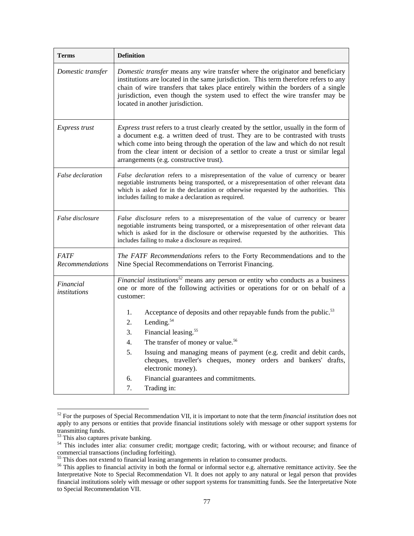| <b>Terms</b>                          | <b>Definition</b>                                                                                                                                                                                                                                                                                                                                                                                                                                                |
|---------------------------------------|------------------------------------------------------------------------------------------------------------------------------------------------------------------------------------------------------------------------------------------------------------------------------------------------------------------------------------------------------------------------------------------------------------------------------------------------------------------|
| Domestic transfer                     | Domestic transfer means any wire transfer where the originator and beneficiary<br>institutions are located in the same jurisdiction. This term therefore refers to any<br>chain of wire transfers that takes place entirely within the borders of a single<br>jurisdiction, even though the system used to effect the wire transfer may be<br>located in another jurisdiction.                                                                                   |
| <i>Express trust</i>                  | Express trust refers to a trust clearly created by the settlor, usually in the form of<br>a document e.g. a written deed of trust. They are to be contrasted with trusts<br>which come into being through the operation of the law and which do not result<br>from the clear intent or decision of a settlor to create a trust or similar legal<br>arrangements (e.g. constructive trust).                                                                       |
| False declaration                     | False declaration refers to a misrepresentation of the value of currency or bearer<br>negotiable instruments being transported, or a misrepresentation of other relevant data<br>which is asked for in the declaration or otherwise requested by the authorities. This<br>includes failing to make a declaration as required.                                                                                                                                    |
| False disclosure                      | False disclosure refers to a misrepresentation of the value of currency or bearer<br>negotiable instruments being transported, or a misrepresentation of other relevant data<br>which is asked for in the disclosure or otherwise requested by the authorities. This<br>includes failing to make a disclosure as required.                                                                                                                                       |
| <b>FATF</b><br><b>Recommendations</b> | The FATF Recommendations refers to the Forty Recommendations and to the<br>Nine Special Recommendations on Terrorist Financing.                                                                                                                                                                                                                                                                                                                                  |
| Financial<br>institutions             | Financial institutions <sup>52</sup> means any person or entity who conducts as a business<br>one or more of the following activities or operations for or on behalf of a<br>customer:                                                                                                                                                                                                                                                                           |
|                                       | Acceptance of deposits and other repayable funds from the public. <sup>53</sup><br>1.<br>Lending. <sup>54</sup><br>2.<br>Financial leasing. <sup>55</sup><br>3.<br>The transfer of money or value. <sup>56</sup><br>4.<br>5.<br>Issuing and managing means of payment (e.g. credit and debit cards,<br>cheques, traveller's cheques, money orders and bankers' drafts,<br>electronic money).<br>б.<br>Financial guarantees and commitments.<br>7.<br>Trading in: |

<sup>52</sup> For the purposes of Special Recommendation VII, it is important to note that the term *financial institution* does not apply to any persons or entities that provide financial institutions solely with message or other support systems for transmitting funds.

l

<sup>&</sup>lt;sup>53</sup> This also captures private banking.

<sup>&</sup>lt;sup>54</sup> This includes inter alia: consumer credit; mortgage credit; factoring, with or without recourse; and finance of commercial transactions (including forfeiting).

<sup>&</sup>lt;sup>55</sup> This does not extend to financial leasing arrangements in relation to consumer products.

<sup>&</sup>lt;sup>56</sup> This applies to financial activity in both the formal or informal sector e.g. alternative remittance activity. See the Interpretative Note to Special Recommendation VI. It does not apply to any natural or legal person that provides financial institutions solely with message or other support systems for transmitting funds. See the Interpretative Note to Special Recommendation VII.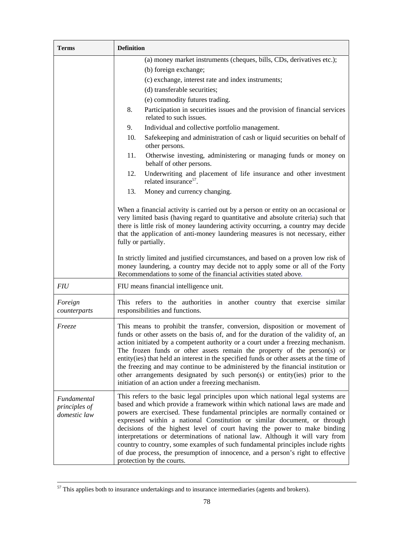| <b>Terms</b>                                 | <b>Definition</b>                                                                                                                                                                                                                                                                                                                                                                                                                                                                                                                                                                                                                                                                          |
|----------------------------------------------|--------------------------------------------------------------------------------------------------------------------------------------------------------------------------------------------------------------------------------------------------------------------------------------------------------------------------------------------------------------------------------------------------------------------------------------------------------------------------------------------------------------------------------------------------------------------------------------------------------------------------------------------------------------------------------------------|
|                                              | (a) money market instruments (cheques, bills, CDs, derivatives etc.);<br>(b) foreign exchange;                                                                                                                                                                                                                                                                                                                                                                                                                                                                                                                                                                                             |
|                                              | (c) exchange, interest rate and index instruments;                                                                                                                                                                                                                                                                                                                                                                                                                                                                                                                                                                                                                                         |
|                                              | (d) transferable securities;                                                                                                                                                                                                                                                                                                                                                                                                                                                                                                                                                                                                                                                               |
|                                              | (e) commodity futures trading.                                                                                                                                                                                                                                                                                                                                                                                                                                                                                                                                                                                                                                                             |
|                                              | Participation in securities issues and the provision of financial services<br>8.<br>related to such issues.                                                                                                                                                                                                                                                                                                                                                                                                                                                                                                                                                                                |
|                                              | Individual and collective portfolio management.<br>9.                                                                                                                                                                                                                                                                                                                                                                                                                                                                                                                                                                                                                                      |
|                                              | Safekeeping and administration of cash or liquid securities on behalf of<br>10.<br>other persons.                                                                                                                                                                                                                                                                                                                                                                                                                                                                                                                                                                                          |
|                                              | Otherwise investing, administering or managing funds or money on<br>11.<br>behalf of other persons.                                                                                                                                                                                                                                                                                                                                                                                                                                                                                                                                                                                        |
|                                              | 12.<br>Underwriting and placement of life insurance and other investment<br>related insurance <sup>57</sup> .                                                                                                                                                                                                                                                                                                                                                                                                                                                                                                                                                                              |
|                                              | 13.<br>Money and currency changing.                                                                                                                                                                                                                                                                                                                                                                                                                                                                                                                                                                                                                                                        |
|                                              | When a financial activity is carried out by a person or entity on an occasional or<br>very limited basis (having regard to quantitative and absolute criteria) such that<br>there is little risk of money laundering activity occurring, a country may decide<br>that the application of anti-money laundering measures is not necessary, either<br>fully or partially.                                                                                                                                                                                                                                                                                                                    |
|                                              | In strictly limited and justified circumstances, and based on a proven low risk of<br>money laundering, a country may decide not to apply some or all of the Forty<br>Recommendations to some of the financial activities stated above.                                                                                                                                                                                                                                                                                                                                                                                                                                                    |
| <b>FIU</b>                                   | FIU means financial intelligence unit.                                                                                                                                                                                                                                                                                                                                                                                                                                                                                                                                                                                                                                                     |
| Foreign<br>counterparts                      | This refers to the authorities in another country that exercise similar<br>responsibilities and functions.                                                                                                                                                                                                                                                                                                                                                                                                                                                                                                                                                                                 |
| <i>Freeze</i>                                | This means to prohibit the transfer, conversion, disposition or movement of<br>funds or other assets on the basis of, and for the duration of the validity of, an<br>action initiated by a competent authority or a court under a freezing mechanism.<br>The frozen funds or other assets remain the property of the person(s) or<br>entity(ies) that held an interest in the specified funds or other assets at the time of<br>the freezing and may continue to be administered by the financial institution or<br>other arrangements designated by such person(s) or entity(ies) prior to the<br>initiation of an action under a freezing mechanism.                                     |
| Fundamental<br>principles of<br>domestic law | This refers to the basic legal principles upon which national legal systems are<br>based and which provide a framework within which national laws are made and<br>powers are exercised. These fundamental principles are normally contained or<br>expressed within a national Constitution or similar document, or through<br>decisions of the highest level of court having the power to make binding<br>interpretations or determinations of national law. Although it will vary from<br>country to country, some examples of such fundamental principles include rights<br>of due process, the presumption of innocence, and a person's right to effective<br>protection by the courts. |

 $\overline{\phantom{1}}^{57}$  This applies both to insurance undertakings and to insurance intermediaries (agents and brokers).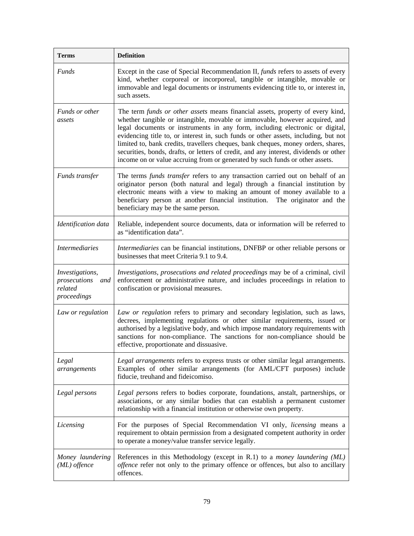| <b>Terms</b>                                                     | <b>Definition</b>                                                                                                                                                                                                                                                                                                                                                                                                                                                                                                                                                                                  |
|------------------------------------------------------------------|----------------------------------------------------------------------------------------------------------------------------------------------------------------------------------------------------------------------------------------------------------------------------------------------------------------------------------------------------------------------------------------------------------------------------------------------------------------------------------------------------------------------------------------------------------------------------------------------------|
| Funds                                                            | Except in the case of Special Recommendation II, funds refers to assets of every<br>kind, whether corporeal or incorporeal, tangible or intangible, movable or<br>immovable and legal documents or instruments evidencing title to, or interest in,<br>such assets.                                                                                                                                                                                                                                                                                                                                |
| Funds or other<br>assets                                         | The term funds or other assets means financial assets, property of every kind,<br>whether tangible or intangible, movable or immovable, however acquired, and<br>legal documents or instruments in any form, including electronic or digital,<br>evidencing title to, or interest in, such funds or other assets, including, but not<br>limited to, bank credits, travellers cheques, bank cheques, money orders, shares,<br>securities, bonds, drafts, or letters of credit, and any interest, dividends or other<br>income on or value accruing from or generated by such funds or other assets. |
| Funds transfer                                                   | The terms <i>funds transfer</i> refers to any transaction carried out on behalf of an<br>originator person (both natural and legal) through a financial institution by<br>electronic means with a view to making an amount of money available to a<br>beneficiary person at another financial institution.<br>The originator and the<br>beneficiary may be the same person.                                                                                                                                                                                                                        |
| Identification data                                              | Reliable, independent source documents, data or information will be referred to<br>as "identification data".                                                                                                                                                                                                                                                                                                                                                                                                                                                                                       |
| <i>Intermediaries</i>                                            | Intermediaries can be financial institutions, DNFBP or other reliable persons or<br>businesses that meet Criteria 9.1 to 9.4.                                                                                                                                                                                                                                                                                                                                                                                                                                                                      |
| Investigations,<br>prosecutions<br>and<br>related<br>proceedings | Investigations, prosecutions and related proceedings may be of a criminal, civil<br>enforcement or administrative nature, and includes proceedings in relation to<br>confiscation or provisional measures.                                                                                                                                                                                                                                                                                                                                                                                         |
| Law or regulation                                                | Law or regulation refers to primary and secondary legislation, such as laws,<br>decrees, implementing regulations or other similar requirements, issued or<br>authorised by a legislative body, and which impose mandatory requirements with<br>sanctions for non-compliance. The sanctions for non-compliance should be<br>effective, proportionate and dissuasive.                                                                                                                                                                                                                               |
| Legal<br>arrangements                                            | Legal arrangements refers to express trusts or other similar legal arrangements.<br>Examples of other similar arrangements (for AML/CFT purposes) include<br>fiducie, treuhand and fideicomiso.                                                                                                                                                                                                                                                                                                                                                                                                    |
| Legal persons                                                    | Legal persons refers to bodies corporate, foundations, anstalt, partnerships, or<br>associations, or any similar bodies that can establish a permanent customer<br>relationship with a financial institution or otherwise own property.                                                                                                                                                                                                                                                                                                                                                            |
| Licensing                                                        | For the purposes of Special Recommendation VI only, licensing means a<br>requirement to obtain permission from a designated competent authority in order<br>to operate a money/value transfer service legally.                                                                                                                                                                                                                                                                                                                                                                                     |
| Money laundering<br>$(ML)$ offence                               | References in this Methodology (except in R.1) to a <i>money laundering (ML)</i><br>offence refer not only to the primary offence or offences, but also to ancillary<br>offences.                                                                                                                                                                                                                                                                                                                                                                                                                  |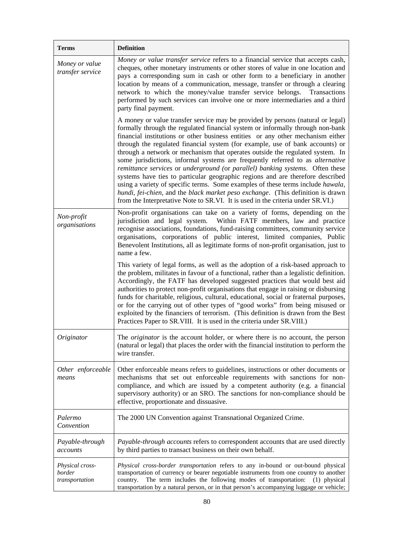| <b>Terms</b>                                | <b>Definition</b>                                                                                                                                                                                                                                                                                                                                                                                                                                                                                                                                                                                                                                                                                                                                                                                                                                                                                                                    |
|---------------------------------------------|--------------------------------------------------------------------------------------------------------------------------------------------------------------------------------------------------------------------------------------------------------------------------------------------------------------------------------------------------------------------------------------------------------------------------------------------------------------------------------------------------------------------------------------------------------------------------------------------------------------------------------------------------------------------------------------------------------------------------------------------------------------------------------------------------------------------------------------------------------------------------------------------------------------------------------------|
| Money or value<br>transfer service          | Money or value transfer service refers to a financial service that accepts cash,<br>cheques, other monetary instruments or other stores of value in one location and<br>pays a corresponding sum in cash or other form to a beneficiary in another<br>location by means of a communication, message, transfer or through a clearing<br>network to which the money/value transfer service belongs.<br>Transactions<br>performed by such services can involve one or more intermediaries and a third<br>party final payment.                                                                                                                                                                                                                                                                                                                                                                                                           |
|                                             | A money or value transfer service may be provided by persons (natural or legal)<br>formally through the regulated financial system or informally through non-bank<br>financial institutions or other business entities or any other mechanism either<br>through the regulated financial system (for example, use of bank accounts) or<br>through a network or mechanism that operates outside the regulated system. In<br>some jurisdictions, informal systems are frequently referred to as alternative<br>remittance services or underground (or parallel) banking systems. Often these<br>systems have ties to particular geographic regions and are therefore described<br>using a variety of specific terms. Some examples of these terms include hawala,<br>hundi, fei-chien, and the black market peso exchange. (This definition is drawn<br>from the Interpretative Note to SR.VI. It is used in the criteria under SR.VI.) |
| Non-profit<br>organisations                 | Non-profit organisations can take on a variety of forms, depending on the<br>jurisdiction and legal system. Within FATF members, law and practice<br>recognise associations, foundations, fund-raising committees, community service<br>organisations, corporations of public interest, limited companies, Public<br>Benevolent Institutions, all as legitimate forms of non-profit organisation, just to<br>name a few.                                                                                                                                                                                                                                                                                                                                                                                                                                                                                                             |
|                                             | This variety of legal forms, as well as the adoption of a risk-based approach to<br>the problem, militates in favour of a functional, rather than a legalistic definition.<br>Accordingly, the FATF has developed suggested practices that would best aid<br>authorities to protect non-profit organisations that engage in raising or disbursing<br>funds for charitable, religious, cultural, educational, social or fraternal purposes,<br>or for the carrying out of other types of "good works" from being misused or<br>exploited by the financiers of terrorism. (This definition is drawn from the Best<br>Practices Paper to SR. VIII. It is used in the criteria under SR. VIII.)                                                                                                                                                                                                                                          |
| Originator                                  | The <i>originator</i> is the account holder, or where there is no account, the person<br>(natural or legal) that places the order with the financial institution to perform the<br>wire transfer.                                                                                                                                                                                                                                                                                                                                                                                                                                                                                                                                                                                                                                                                                                                                    |
| Other enforceable<br>means                  | Other enforceable means refers to guidelines, instructions or other documents or<br>mechanisms that set out enforceable requirements with sanctions for non-<br>compliance, and which are issued by a competent authority (e.g. a financial<br>supervisory authority) or an SRO. The sanctions for non-compliance should be<br>effective, proportionate and dissuasive.                                                                                                                                                                                                                                                                                                                                                                                                                                                                                                                                                              |
| Palermo<br>Convention                       | The 2000 UN Convention against Transnational Organized Crime.                                                                                                                                                                                                                                                                                                                                                                                                                                                                                                                                                                                                                                                                                                                                                                                                                                                                        |
| Payable-through<br>accounts                 | Payable-through accounts refers to correspondent accounts that are used directly<br>by third parties to transact business on their own behalf.                                                                                                                                                                                                                                                                                                                                                                                                                                                                                                                                                                                                                                                                                                                                                                                       |
| Physical cross-<br>border<br>transportation | Physical cross-border transportation refers to any in-bound or out-bound physical<br>transportation of currency or bearer negotiable instruments from one country to another<br>The term includes the following modes of transportation:<br>country.<br>$(1)$ physical<br>transportation by a natural person, or in that person's accompanying luggage or vehicle;                                                                                                                                                                                                                                                                                                                                                                                                                                                                                                                                                                   |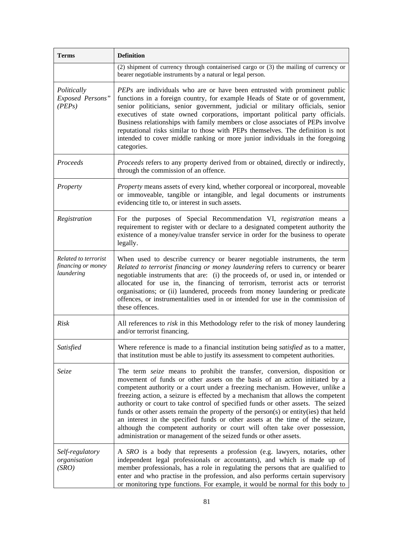| <b>Terms</b>                                             | <b>Definition</b>                                                                                                                                                                                                                                                                                                                                                                                                                                                                                                                                                                                                                                                                                                                           |
|----------------------------------------------------------|---------------------------------------------------------------------------------------------------------------------------------------------------------------------------------------------------------------------------------------------------------------------------------------------------------------------------------------------------------------------------------------------------------------------------------------------------------------------------------------------------------------------------------------------------------------------------------------------------------------------------------------------------------------------------------------------------------------------------------------------|
|                                                          | (2) shipment of currency through containerised cargo or (3) the mailing of currency or<br>bearer negotiable instruments by a natural or legal person.                                                                                                                                                                                                                                                                                                                                                                                                                                                                                                                                                                                       |
| Politically<br>Exposed Persons"<br>(PEPs)                | <i>PEPs</i> are individuals who are or have been entrusted with prominent public<br>functions in a foreign country, for example Heads of State or of government,<br>senior politicians, senior government, judicial or military officials, senior<br>executives of state owned corporations, important political party officials.<br>Business relationships with family members or close associates of PEPs involve<br>reputational risks similar to those with PEPs themselves. The definition is not<br>intended to cover middle ranking or more junior individuals in the foregoing<br>categories.                                                                                                                                       |
| Proceeds                                                 | Proceeds refers to any property derived from or obtained, directly or indirectly,<br>through the commission of an offence.                                                                                                                                                                                                                                                                                                                                                                                                                                                                                                                                                                                                                  |
| Property                                                 | Property means assets of every kind, whether corporeal or incorporeal, moveable<br>or immoveable, tangible or intangible, and legal documents or instruments<br>evidencing title to, or interest in such assets.                                                                                                                                                                                                                                                                                                                                                                                                                                                                                                                            |
| Registration                                             | For the purposes of Special Recommendation VI, registration means a<br>requirement to register with or declare to a designated competent authority the<br>existence of a money/value transfer service in order for the business to operate<br>legally.                                                                                                                                                                                                                                                                                                                                                                                                                                                                                      |
| Related to terrorist<br>financing or money<br>laundering | When used to describe currency or bearer negotiable instruments, the term<br>Related to terrorist financing or money laundering refers to currency or bearer<br>negotiable instruments that are: (i) the proceeds of, or used in, or intended or<br>allocated for use in, the financing of terrorism, terrorist acts or terrorist<br>organisations; or (ii) laundered, proceeds from money laundering or predicate<br>offences, or instrumentalities used in or intended for use in the commission of<br>these offences.                                                                                                                                                                                                                    |
| <b>Risk</b>                                              | All references to risk in this Methodology refer to the risk of money laundering<br>and/or terrorist financing.                                                                                                                                                                                                                                                                                                                                                                                                                                                                                                                                                                                                                             |
| Satisfied                                                | Where reference is made to a financial institution being satisfied as to a matter,<br>that institution must be able to justify its assessment to competent authorities.                                                                                                                                                                                                                                                                                                                                                                                                                                                                                                                                                                     |
| <i>Seize</i>                                             | The term seize means to prohibit the transfer, conversion, disposition or<br>movement of funds or other assets on the basis of an action initiated by a<br>competent authority or a court under a freezing mechanism. However, unlike a<br>freezing action, a seizure is effected by a mechanism that allows the competent<br>authority or court to take control of specified funds or other assets. The seized<br>funds or other assets remain the property of the person(s) or entity(ies) that held<br>an interest in the specified funds or other assets at the time of the seizure,<br>although the competent authority or court will often take over possession,<br>administration or management of the seized funds or other assets. |
| Self-regulatory<br>organisation<br>(SRO)                 | A SRO is a body that represents a profession (e.g. lawyers, notaries, other<br>independent legal professionals or accountants), and which is made up of<br>member professionals, has a role in regulating the persons that are qualified to<br>enter and who practise in the profession, and also performs certain supervisory<br>or monitoring type functions. For example, it would be normal for this body to                                                                                                                                                                                                                                                                                                                            |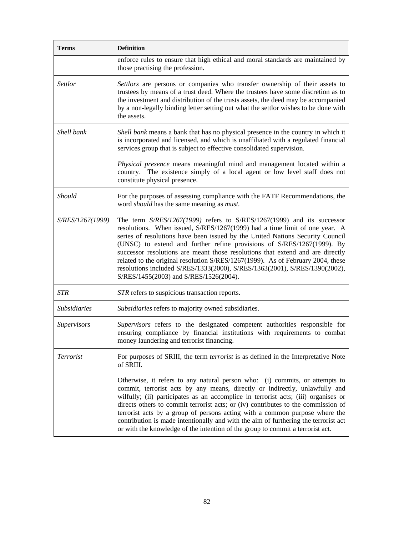| <b>Terms</b>        | <b>Definition</b>                                                                                                                                                                                                                                                                                                                                                                                                                                                                                                                                                                                            |
|---------------------|--------------------------------------------------------------------------------------------------------------------------------------------------------------------------------------------------------------------------------------------------------------------------------------------------------------------------------------------------------------------------------------------------------------------------------------------------------------------------------------------------------------------------------------------------------------------------------------------------------------|
|                     | enforce rules to ensure that high ethical and moral standards are maintained by<br>those practising the profession.                                                                                                                                                                                                                                                                                                                                                                                                                                                                                          |
| Settlor             | Settlors are persons or companies who transfer ownership of their assets to<br>trustees by means of a trust deed. Where the trustees have some discretion as to<br>the investment and distribution of the trusts assets, the deed may be accompanied<br>by a non-legally binding letter setting out what the settlor wishes to be done with<br>the assets.                                                                                                                                                                                                                                                   |
| Shell bank          | Shell bank means a bank that has no physical presence in the country in which it<br>is incorporated and licensed, and which is unaffiliated with a regulated financial<br>services group that is subject to effective consolidated supervision.                                                                                                                                                                                                                                                                                                                                                              |
|                     | Physical presence means meaningful mind and management located within a<br>country. The existence simply of a local agent or low level staff does not<br>constitute physical presence.                                                                                                                                                                                                                                                                                                                                                                                                                       |
| Should              | For the purposes of assessing compliance with the FATF Recommendations, the<br>word should has the same meaning as must.                                                                                                                                                                                                                                                                                                                                                                                                                                                                                     |
| S/RES/1267(1999)    | The term S/RES/1267(1999) refers to S/RES/1267(1999) and its successor<br>resolutions. When issued, S/RES/1267(1999) had a time limit of one year. A<br>series of resolutions have been issued by the United Nations Security Council<br>(UNSC) to extend and further refine provisions of S/RES/1267(1999). By<br>successor resolutions are meant those resolutions that extend and are directly<br>related to the original resolution S/RES/1267(1999). As of February 2004, these<br>resolutions included S/RES/1333(2000), S/RES/1363(2001), S/RES/1390(2002),<br>S/RES/1455(2003) and S/RES/1526(2004). |
| <b>STR</b>          | STR refers to suspicious transaction reports.                                                                                                                                                                                                                                                                                                                                                                                                                                                                                                                                                                |
| <b>Subsidiaries</b> | Subsidiaries refers to majority owned subsidiaries.                                                                                                                                                                                                                                                                                                                                                                                                                                                                                                                                                          |
| Supervisors         | Supervisors refers to the designated competent authorities responsible for<br>ensuring compliance by financial institutions with requirements to combat<br>money laundering and terrorist financing.                                                                                                                                                                                                                                                                                                                                                                                                         |
| Terrorist           | For purposes of SRIII, the term <i>terrorist</i> is as defined in the Interpretative Note<br>of SRIII.                                                                                                                                                                                                                                                                                                                                                                                                                                                                                                       |
|                     | Otherwise, it refers to any natural person who: (i) commits, or attempts to<br>commit, terrorist acts by any means, directly or indirectly, unlawfully and<br>wilfully; (ii) participates as an accomplice in terrorist acts; (iii) organises or<br>directs others to commit terrorist acts; or (iv) contributes to the commission of<br>terrorist acts by a group of persons acting with a common purpose where the<br>contribution is made intentionally and with the aim of furthering the terrorist act<br>or with the knowledge of the intention of the group to commit a terrorist act.                |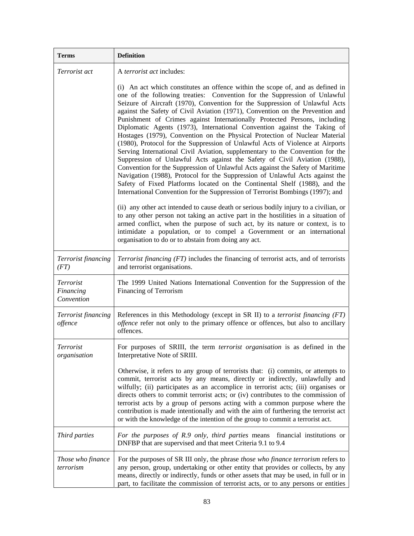| <b>Terms</b>                                | <b>Definition</b>                                                                                                                                                                                                                                                                                                                                                                                                                                                                                                                                                                                                                                                                                                                                                                                                                                                                                                                                                                                                                                                                                                                                                                                                                                                                                                                                                                                                                                                                                                                                     |
|---------------------------------------------|-------------------------------------------------------------------------------------------------------------------------------------------------------------------------------------------------------------------------------------------------------------------------------------------------------------------------------------------------------------------------------------------------------------------------------------------------------------------------------------------------------------------------------------------------------------------------------------------------------------------------------------------------------------------------------------------------------------------------------------------------------------------------------------------------------------------------------------------------------------------------------------------------------------------------------------------------------------------------------------------------------------------------------------------------------------------------------------------------------------------------------------------------------------------------------------------------------------------------------------------------------------------------------------------------------------------------------------------------------------------------------------------------------------------------------------------------------------------------------------------------------------------------------------------------------|
| <i>Terrorist act</i>                        | A <i>terrorist act</i> includes:                                                                                                                                                                                                                                                                                                                                                                                                                                                                                                                                                                                                                                                                                                                                                                                                                                                                                                                                                                                                                                                                                                                                                                                                                                                                                                                                                                                                                                                                                                                      |
|                                             | (i) An act which constitutes an offence within the scope of, and as defined in<br>one of the following treaties: Convention for the Suppression of Unlawful<br>Seizure of Aircraft (1970), Convention for the Suppression of Unlawful Acts<br>against the Safety of Civil Aviation (1971), Convention on the Prevention and<br>Punishment of Crimes against Internationally Protected Persons, including<br>Diplomatic Agents (1973), International Convention against the Taking of<br>Hostages (1979), Convention on the Physical Protection of Nuclear Material<br>(1980), Protocol for the Suppression of Unlawful Acts of Violence at Airports<br>Serving International Civil Aviation, supplementary to the Convention for the<br>Suppression of Unlawful Acts against the Safety of Civil Aviation (1988),<br>Convention for the Suppression of Unlawful Acts against the Safety of Maritime<br>Navigation (1988), Protocol for the Suppression of Unlawful Acts against the<br>Safety of Fixed Platforms located on the Continental Shelf (1988), and the<br>International Convention for the Suppression of Terrorist Bombings (1997); and<br>(ii) any other act intended to cause death or serious bodily injury to a civilian, or<br>to any other person not taking an active part in the hostilities in a situation of<br>armed conflict, when the purpose of such act, by its nature or context, is to<br>intimidate a population, or to compel a Government or an international<br>organisation to do or to abstain from doing any act. |
| Terrorist financing<br>(FT)                 | Terrorist financing (FT) includes the financing of terrorist acts, and of terrorists<br>and terrorist organisations.                                                                                                                                                                                                                                                                                                                                                                                                                                                                                                                                                                                                                                                                                                                                                                                                                                                                                                                                                                                                                                                                                                                                                                                                                                                                                                                                                                                                                                  |
| <i>Terrorist</i><br>Financing<br>Convention | The 1999 United Nations International Convention for the Suppression of the<br>Financing of Terrorism                                                                                                                                                                                                                                                                                                                                                                                                                                                                                                                                                                                                                                                                                                                                                                                                                                                                                                                                                                                                                                                                                                                                                                                                                                                                                                                                                                                                                                                 |
| Terrorist financing<br>offence              | References in this Methodology (except in SR II) to a terrorist financing (FT)<br>offence refer not only to the primary offence or offences, but also to ancillary<br>offences.                                                                                                                                                                                                                                                                                                                                                                                                                                                                                                                                                                                                                                                                                                                                                                                                                                                                                                                                                                                                                                                                                                                                                                                                                                                                                                                                                                       |
| Terrorist<br>organisation                   | For purposes of SRIII, the term <i>terrorist organisation</i> is as defined in the<br>Interpretative Note of SRIII.                                                                                                                                                                                                                                                                                                                                                                                                                                                                                                                                                                                                                                                                                                                                                                                                                                                                                                                                                                                                                                                                                                                                                                                                                                                                                                                                                                                                                                   |
|                                             | Otherwise, it refers to any group of terrorists that: (i) commits, or attempts to<br>commit, terrorist acts by any means, directly or indirectly, unlawfully and<br>wilfully; (ii) participates as an accomplice in terrorist acts; (iii) organises or<br>directs others to commit terrorist acts; or (iv) contributes to the commission of<br>terrorist acts by a group of persons acting with a common purpose where the<br>contribution is made intentionally and with the aim of furthering the terrorist act<br>or with the knowledge of the intention of the group to commit a terrorist act.                                                                                                                                                                                                                                                                                                                                                                                                                                                                                                                                                                                                                                                                                                                                                                                                                                                                                                                                                   |
| Third parties                               | For the purposes of R.9 only, third parties means financial institutions or<br>DNFBP that are supervised and that meet Criteria 9.1 to 9.4                                                                                                                                                                                                                                                                                                                                                                                                                                                                                                                                                                                                                                                                                                                                                                                                                                                                                                                                                                                                                                                                                                                                                                                                                                                                                                                                                                                                            |
| Those who finance<br>terrorism              | For the purposes of SR III only, the phrase those who finance terrorism refers to<br>any person, group, undertaking or other entity that provides or collects, by any<br>means, directly or indirectly, funds or other assets that may be used, in full or in<br>part, to facilitate the commission of terrorist acts, or to any persons or entities                                                                                                                                                                                                                                                                                                                                                                                                                                                                                                                                                                                                                                                                                                                                                                                                                                                                                                                                                                                                                                                                                                                                                                                                  |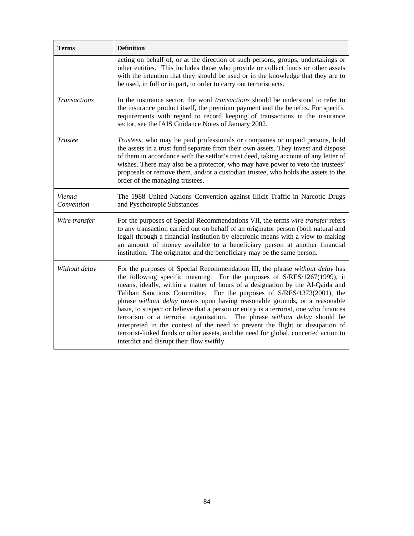| <b>Terms</b>         | <b>Definition</b>                                                                                                                                                                                                                                                                                                                                                                                                                                                                                                                                                                                                                                                                                                                                                                                 |
|----------------------|---------------------------------------------------------------------------------------------------------------------------------------------------------------------------------------------------------------------------------------------------------------------------------------------------------------------------------------------------------------------------------------------------------------------------------------------------------------------------------------------------------------------------------------------------------------------------------------------------------------------------------------------------------------------------------------------------------------------------------------------------------------------------------------------------|
|                      | acting on behalf of, or at the direction of such persons, groups, undertakings or<br>other entities. This includes those who provide or collect funds or other assets<br>with the intention that they should be used or in the knowledge that they are to<br>be used, in full or in part, in order to carry out terrorist acts.                                                                                                                                                                                                                                                                                                                                                                                                                                                                   |
| <b>Transactions</b>  | In the insurance sector, the word <i>transactions</i> should be understood to refer to<br>the insurance product itself, the premium payment and the benefits. For specific<br>requirements with regard to record keeping of transactions in the insurance<br>sector, see the IAIS Guidance Notes of January 2002.                                                                                                                                                                                                                                                                                                                                                                                                                                                                                 |
| <b>Trustee</b>       | Trustees, who may be paid professionals or companies or unpaid persons, hold<br>the assets in a trust fund separate from their own assets. They invest and dispose<br>of them in accordance with the settlor's trust deed, taking account of any letter of<br>wishes. There may also be a protector, who may have power to veto the trustees'<br>proposals or remove them, and/or a custodian trustee, who holds the assets to the<br>order of the managing trustees.                                                                                                                                                                                                                                                                                                                             |
| Vienna<br>Convention | The 1988 United Nations Convention against Illicit Traffic in Narcotic Drugs<br>and Pyschotropic Substances                                                                                                                                                                                                                                                                                                                                                                                                                                                                                                                                                                                                                                                                                       |
| Wire transfer        | For the purposes of Special Recommendations VII, the terms wire transfer refers<br>to any transaction carried out on behalf of an originator person (both natural and<br>legal) through a financial institution by electronic means with a view to making<br>an amount of money available to a beneficiary person at another financial<br>institution. The originator and the beneficiary may be the same person.                                                                                                                                                                                                                                                                                                                                                                                 |
| Without delay        | For the purposes of Special Recommendation III, the phrase without delay has<br>the following specific meaning. For the purposes of S/RES/1267(1999), it<br>means, ideally, within a matter of hours of a designation by the Al-Qaida and<br>Taliban Sanctions Committee. For the purposes of S/RES/1373(2001), the<br>phrase without delay means upon having reasonable grounds, or a reasonable<br>basis, to suspect or believe that a person or entity is a terrorist, one who finances<br>terrorism or a terrorist organisation.<br>The phrase without delay should be<br>interpreted in the context of the need to prevent the flight or dissipation of<br>terrorist-linked funds or other assets, and the need for global, concerted action to<br>interdict and disrupt their flow swiftly. |